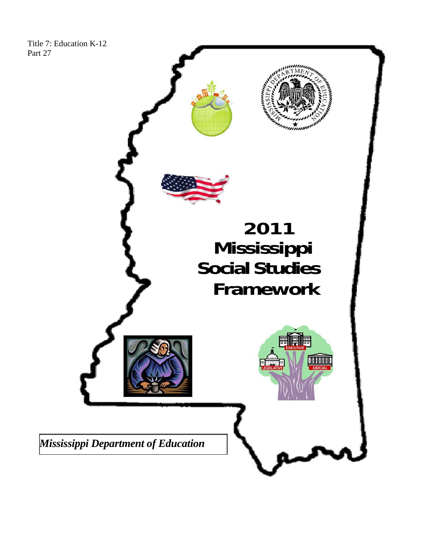

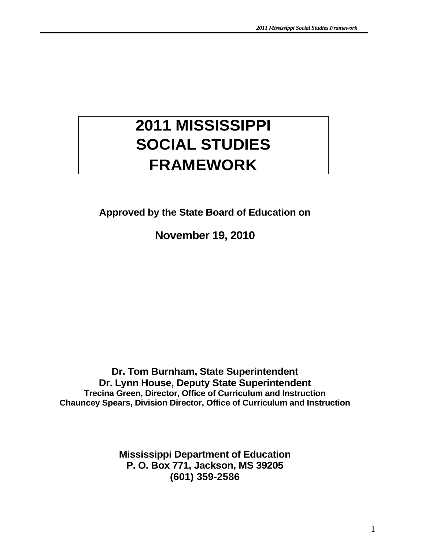# **2011 MISSISSIPPI SOCIAL STUDIES FRAMEWORK**

**Approved by the State Board of Education on**

**November 19, 2010**

**Dr. Tom Burnham, State Superintendent Dr. Lynn House, Deputy State Superintendent Trecina Green, Director, Office of Curriculum and Instruction Chauncey Spears, Division Director, Office of Curriculum and Instruction**

> **Mississippi Department of Education P. O. Box 771, Jackson, MS 39205 (601) 359-2586**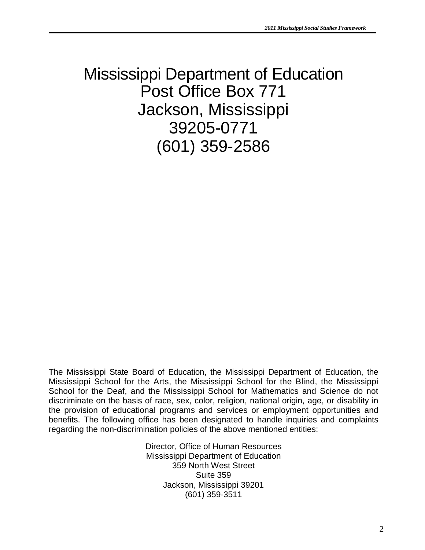# Mississippi Department of Education Post Office Box 771 Jackson, Mississippi 39205-0771 (601) 359-2586

The Mississippi State Board of Education, the Mississippi Department of Education, the Mississippi School for the Arts, the Mississippi School for the Blind, the Mississippi School for the Deaf, and the Mississippi School for Mathematics and Science do not discriminate on the basis of race, sex, color, religion, national origin, age, or disability in the provision of educational programs and services or employment opportunities and benefits. The following office has been designated to handle inquiries and complaints regarding the non-discrimination policies of the above mentioned entities:

> Director, Office of Human Resources Mississippi Department of Education 359 North West Street Suite 359 Jackson, Mississippi 39201 (601) 359-3511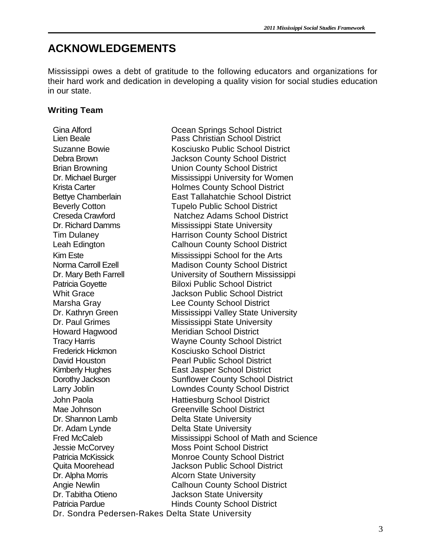## **ACKNOWLEDGEMENTS**

Mississippi owes a debt of gratitude to the following educators and organizations for their hard work and dedication in developing a quality vision for social studies education in our state.

#### **Writing Team**

Dr. Shannon Lamb Delta State University Dr. Adam Lynde Delta State University Dr. Sondra Pedersen-Rakes Delta State University

Gina Alford<br>
Lien Beale<br>
Dess Christian School District<br>
Pass Christian School District Pass Christian School District Suzanne Bowie Kosciusko Public School District Debra Brown Jackson County School District Brian Browning Union County School District Dr. Michael Burger Mississippi University for Women Krista Carter **Holmes County School District** Bettye Chamberlain East Tallahatchie School District Beverly Cotton Tupelo Public School District Creseda Crawford **Natchez Adams School District**<br>
Dr. Richard Damms Mississippi State University **Mississippi State University** Tim Dulaney **Harrison County School District** Leah Edington Calhoun County School District Kim Este Mississippi School for the Arts Norma Carroll Ezell Madison County School District Dr. Mary Beth Farrell University of Southern Mississippi Patricia Govette Biloxi Public School District Whit Grace Jackson Public School District Marsha Gray Lee County School District Dr. Kathryn Green Mississippi Valley State University Dr. Paul Grimes Mississippi State University Howard Hagwood Meridian School District Tracy Harris Wayne County School District Frederick Hickmon Kosciusko School District David Houston **Pearl Public School District** Kimberly Hughes East Jasper School District Dorothy Jackson Sunflower County School District Larry Joblin Lowndes County School District John Paola **Hattiesburg School District** Mae Johnson Greenville School District Fred McCaleb Mississippi School of Math and Science Jessie McCorvey Moss Point School District Patricia McKissick Monroe County School District<br>
Quita Moorehead Jackson Public School District Jackson Public School District Dr. Alpha Morris Alcorn State University Angie Newlin Calhoun County School District Dr. Tabitha Otieno **Jackson State University** Patricia Pardue **Hinds County School District**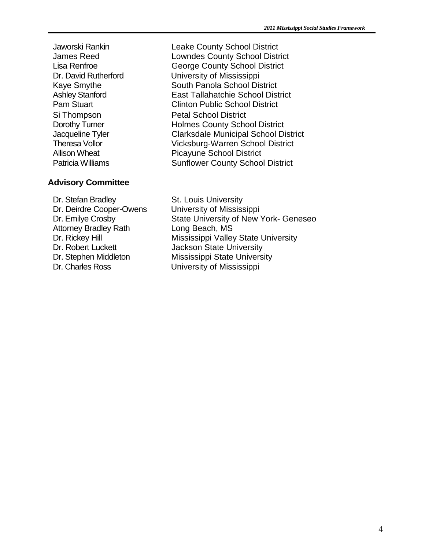Jaworski Rankin Leake County School District

#### James Reed Lowndes County School District Lisa Renfroe **George County School District** Dr. David Rutherford University of Mississippi Kaye Smythe South Panola School District Ashley Stanford East Tallahatchie School District<br>
Pam Stuart Clinton Public School District **Clinton Public School District** Si Thompson **Petal School District** Dorothy Turner **Holmes County School District** Jacqueline Tyler Clarksdale Municipal School District Theresa Vollor Vicksburg-Warren School District<br>Allison Wheat Picavune School District **Picayune School District** Patricia Williams Sunflower County School District

#### **Advisory Committee**

Dr. Stefan Bradley St. Louis University Dr. Deirdre Cooper-Owens University of Mississippi Attorney Bradley Rath Long Beach, MS Dr. Robert Luckett Jackson State University Dr. Charles Ross University of Mississippi

Dr. Emilye Crosby State University of New York- Geneseo Dr. Rickey Hill Mississippi Valley State University Dr. Stephen Middleton Mississippi State University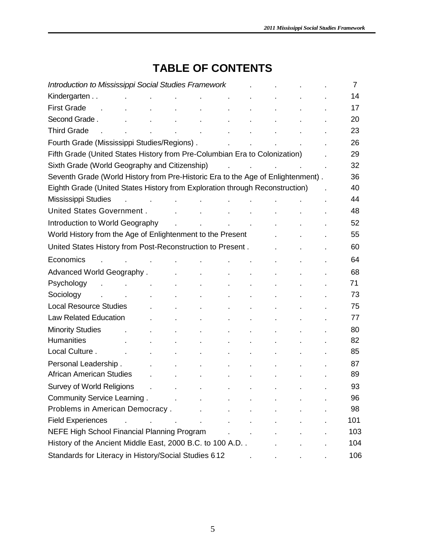# **TABLE OF CONTENTS**

| <b>Introduction to Mississippi Social Studies Framework</b>                      |  |    |  |  | 7   |
|----------------------------------------------------------------------------------|--|----|--|--|-----|
| Kindergarten                                                                     |  |    |  |  | 14  |
| <b>First Grade</b>                                                               |  |    |  |  | 17  |
| Second Grade.                                                                    |  |    |  |  | 20  |
| <b>Third Grade</b>                                                               |  |    |  |  | 23  |
| Fourth Grade (Mississippi Studies/Regions).                                      |  |    |  |  | 26  |
| Fifth Grade (United States History from Pre-Columbian Era to Colonization)       |  |    |  |  | 29  |
| Sixth Grade (World Geography and Citizenship)                                    |  |    |  |  | 32  |
| Seventh Grade (World History from Pre-Historic Era to the Age of Enlightenment). |  |    |  |  | 36  |
| Eighth Grade (United States History from Exploration through Reconstruction)     |  |    |  |  | 40  |
| Mississippi Studies                                                              |  |    |  |  | 44  |
| United States Government.                                                        |  |    |  |  | 48  |
| Introduction to World Geography                                                  |  |    |  |  | 52  |
| World History from the Age of Enlightenment to the Present                       |  |    |  |  | 55  |
| United States History from Post-Reconstruction to Present.                       |  |    |  |  | 60  |
| Economics                                                                        |  |    |  |  | 64  |
| Advanced World Geography.                                                        |  |    |  |  | 68  |
| Psychology                                                                       |  |    |  |  | 71  |
| Sociology                                                                        |  |    |  |  | 73  |
| <b>Local Resource Studies</b>                                                    |  |    |  |  | 75  |
| <b>Law Related Education</b>                                                     |  |    |  |  | 77  |
| <b>Minority Studies</b>                                                          |  |    |  |  | 80  |
| <b>Humanities</b>                                                                |  |    |  |  | 82  |
| Local Culture.                                                                   |  |    |  |  | 85  |
| Personal Leadership.                                                             |  |    |  |  | 87  |
| <b>African American Studies</b>                                                  |  |    |  |  | 89  |
| <b>Survey of World Religions</b>                                                 |  |    |  |  | 93  |
| Community Service Learning.                                                      |  |    |  |  | 96  |
| Problems in American Democracy.                                                  |  |    |  |  | 98  |
| <b>Field Experiences</b>                                                         |  | ä, |  |  | 101 |
| NEFE High School Financial Planning Program                                      |  |    |  |  | 103 |
| History of the Ancient Middle East, 2000 B.C. to 100 A.D                         |  |    |  |  | 104 |
| Standards for Literacy in History/Social Studies 6.12                            |  |    |  |  | 106 |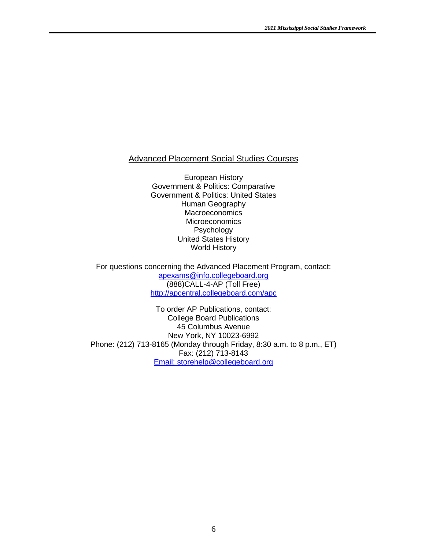#### Advanced Placement Social Studies Courses

European History Government & Politics: Comparative Government & Politics: United States Human Geography **Macroeconomics Microeconomics** Psychology United States History World History

For questions concerning the Advanced Placement Program, contact: [apexams@info.collegeboard.org](mailto:apexams@info.collegeboard.org) (888)CALL-4-AP (Toll Free) <http://apcentral.collegeboard.com/apc>

To order AP Publications, contact: College Board Publications 45 Columbus Avenue New York, NY 10023-6992 Phone: (212) 713-8165 (Monday through Friday, 8:30 a.m. to 8 p.m., ET) Fax: (212) 713-8143 [Email: storehelp@collegeboard.org](mailto:storehelp@collegeboard.org) 

6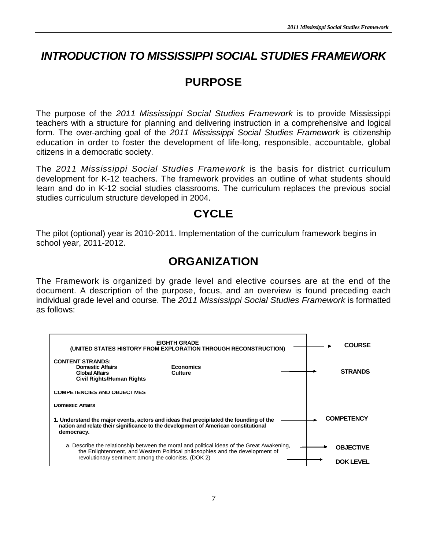# *INTRODUCTION TO MISSISSIPPI SOCIAL STUDIES FRAMEWORK*

# **PURPOSE**

The purpose of the *2011 Mississippi Social Studies Framework* is to provide Mississippi teachers with a structure for planning and delivering instruction in a comprehensive and logical form. The over-arching goal of the *2011 Mississippi Social Studies Framework* is citizenship education in order to foster the development of life-long, responsible, accountable, global citizens in a democratic society.

The *2011 Mississippi Social Studies Framework* is the basis for district curriculum development for K-12 teachers. The framework provides an outline of what students should learn and do in K-12 social studies classrooms. The curriculum replaces the previous social studies curriculum structure developed in 2004.

### **CYCLE**

The pilot (optional) year is 2010-2011. Implementation of the curriculum framework begins in school year, 2011-2012.

# **ORGANIZATION**

The Framework is organized by grade level and elective courses are at the end of the document. A description of the purpose, focus, and an overview is found preceding each individual grade level and course. The *2011 Mississippi Social Studies Framework* is formatted as follows:

| <b>EIGHTH GRADE</b><br>(UNITED STATES HISTORY FROM EXPLORATION THROUGH RECONSTRUCTION)                                                                                                                                             |                      | <b>COURSE</b>                        |                |
|------------------------------------------------------------------------------------------------------------------------------------------------------------------------------------------------------------------------------------|----------------------|--------------------------------------|----------------|
| <b>CONTENT STRANDS:</b><br><b>Domestic Affairs</b><br><b>Global Affairs</b><br><b>Civil Rights/Human Rights</b>                                                                                                                    | Economics<br>Culture |                                      | <b>STRANDS</b> |
| <b>COMPETENCIES AND OBJECTIVES</b>                                                                                                                                                                                                 |                      |                                      |                |
| <b>Domestic Attairs</b>                                                                                                                                                                                                            |                      |                                      |                |
| 1. Understand the major events, actors and ideas that precipitated the founding of the<br>nation and relate their significance to the development of American constitutional<br>democracy.                                         |                      | <b>COMPETENCY</b>                    |                |
| a. Describe the relationship between the moral and political ideas of the Great Awakening,<br>the Enlightenment, and Western Political philosophies and the development of<br>revolutionary sentiment among the colonists. (DOK 2) |                      | <b>OBJECTIVE</b><br><b>DOK LEVEL</b> |                |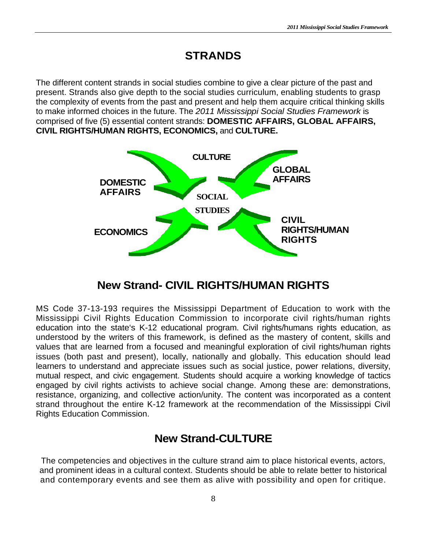# **STRANDS**

The different content strands in social studies combine to give a clear picture of the past and present. Strands also give depth to the social studies curriculum, enabling students to grasp the complexity of events from the past and present and help them acquire critical thinking skills to make informed choices in the future. The *2011 Mississippi Social Studies Framework* is comprised of five (5) essential content strands: **DOMESTIC AFFAIRS, GLOBAL AFFAIRS, CIVIL RIGHTS/HUMAN RIGHTS, ECONOMICS,** and **CULTURE.**



# **New Strand- CIVIL RIGHTS/HUMAN RIGHTS**

MS Code 37-13-193 requires the Mississippi Department of Education to work with the Mississippi Civil Rights Education Commission to incorporate civil rights/human rights education into the state's K-12 educational program. Civil rights/humans rights education, as understood by the writers of this framework, is defined as the mastery of content, skills and values that are learned from a focused and meaningful exploration of civil rights/human rights issues (both past and present), locally, nationally and globally. This education should lead learners to understand and appreciate issues such as social justice, power relations, diversity, mutual respect, and civic engagement. Students should acquire a working knowledge of tactics engaged by civil rights activists to achieve social change. Among these are: demonstrations, resistance, organizing, and collective action/unity. The content was incorporated as a content strand throughout the entire K-12 framework at the recommendation of the Mississippi Civil Rights Education Commission.

# **New Strand-CULTURE**

The competencies and objectives in the culture strand aim to place historical events, actors, and prominent ideas in a cultural context. Students should be able to relate better to historical and contemporary events and see them as alive with possibility and open for critique.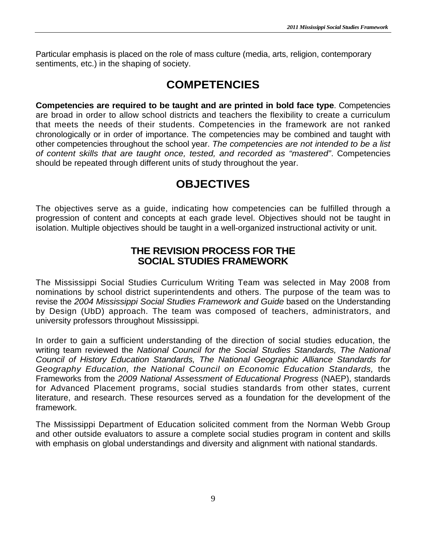Particular emphasis is placed on the role of mass culture (media, arts, religion, contemporary sentiments, etc.) in the shaping of society.

### **COMPETENCIES**

**Competencies are required to be taught and are printed in bold face type**. Competencies are broad in order to allow school districts and teachers the flexibility to create a curriculum that meets the needs of their students. Competencies in the framework are not ranked chronologically or in order of importance. The competencies may be combined and taught with other competencies throughout the school year. *The competencies are not intended to be a list of content skills that are taught once, tested, and recorded as "mastered"*. Competencies should be repeated through different units of study throughout the year.

# **OBJECTIVES**

The objectives serve as a guide, indicating how competencies can be fulfilled through a progression of content and concepts at each grade level. Objectives should not be taught in isolation. Multiple objectives should be taught in a well-organized instructional activity or unit.

#### **THE REVISION PROCESS FOR THE SOCIAL STUDIES FRAMEWORK**

The Mississippi Social Studies Curriculum Writing Team was selected in May 2008 from nominations by school district superintendents and others. The purpose of the team was to revise the *2004 Mississippi Social Studies Framework and Guide* based on the Understanding by Design (UbD) approach. The team was composed of teachers, administrators, and university professors throughout Mississippi.

In order to gain a sufficient understanding of the direction of social studies education, the writing team reviewed the *National Council for the Social Studies Standards, The National Council of History Education Standards, The National Geographic Alliance Standards for Geography Education, the National Council on Economic Education Standards,* the Frameworks from the *2009 National Assessment of Educational Progress* (NAEP), standards for Advanced Placement programs, social studies standards from other states, current literature, and research. These resources served as a foundation for the development of the framework.

The Mississippi Department of Education solicited comment from the Norman Webb Group and other outside evaluators to assure a complete social studies program in content and skills with emphasis on global understandings and diversity and alignment with national standards.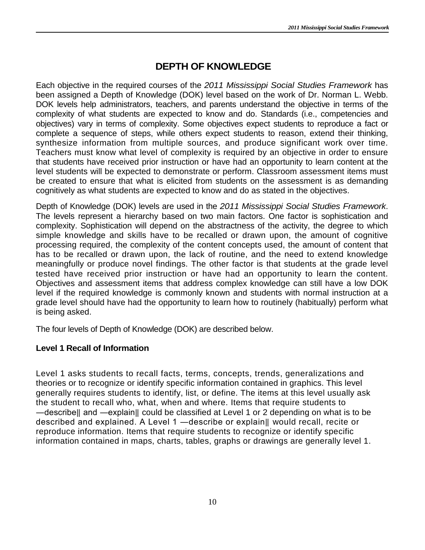### **DEPTH OF KNOWLEDGE**

Each objective in the required courses of the *2011 Mississippi Social Studies Framework* has been assigned a Depth of Knowledge (DOK) level based on the work of Dr. Norman L. Webb. DOK levels help administrators, teachers, and parents understand the objective in terms of the complexity of what students are expected to know and do. Standards (i.e., competencies and objectives) vary in terms of complexity. Some objectives expect students to reproduce a fact or complete a sequence of steps, while others expect students to reason, extend their thinking, synthesize information from multiple sources, and produce significant work over time. Teachers must know what level of complexity is required by an objective in order to ensure that students have received prior instruction or have had an opportunity to learn content at the level students will be expected to demonstrate or perform. Classroom assessment items must be created to ensure that what is elicited from students on the assessment is as demanding cognitively as what students are expected to know and do as stated in the objectives.

Depth of Knowledge (DOK) levels are used in the *2011 Mississippi Social Studies Framework*. The levels represent a hierarchy based on two main factors. One factor is sophistication and complexity. Sophistication will depend on the abstractness of the activity, the degree to which simple knowledge and skills have to be recalled or drawn upon, the amount of cognitive processing required, the complexity of the content concepts used, the amount of content that has to be recalled or drawn upon, the lack of routine, and the need to extend knowledge meaningfully or produce novel findings. The other factor is that students at the grade level tested have received prior instruction or have had an opportunity to learn the content. Objectives and assessment items that address complex knowledge can still have a low DOK level if the required knowledge is commonly known and students with normal instruction at a grade level should have had the opportunity to learn how to routinely (habitually) perform what is being asked.

The four levels of Depth of Knowledge (DOK) are described below.

#### **Level 1 Recall of Information**

Level 1 asks students to recall facts, terms, concepts, trends, generalizations and theories or to recognize or identify specific information contained in graphics. This level generally requires students to identify, list, or define. The items at this level usually ask the student to recall who, what, when and where. Items that require students to ―describe‖ and ―explain‖ could be classified at Level 1 or 2 depending on what is to be described and explained. A Level 1 ―describe or explain‖ would recall, recite or reproduce information. Items that require students to recognize or identify specific information contained in maps, charts, tables, graphs or drawings are generally level 1.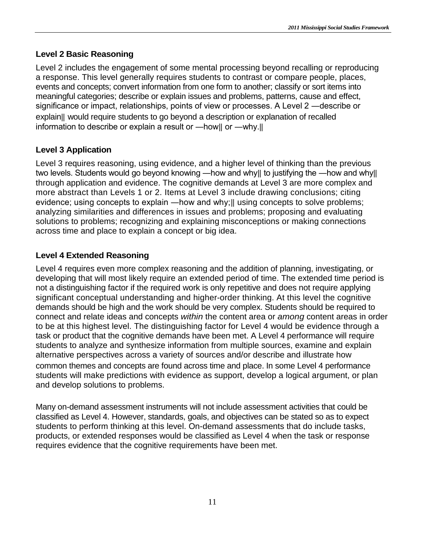#### **Level 2 Basic Reasoning**

Level 2 includes the engagement of some mental processing beyond recalling or reproducing a response. This level generally requires students to contrast or compare people, places, events and concepts; convert information from one form to another; classify or sort items into meaningful categories; describe or explain issues and problems, patterns, cause and effect, significance or impact, relationships, points of view or processes. A Level 2 ―describe or explain‖ would require students to go beyond a description or explanation of recalled information to describe or explain a result or ―how‖ or ―why.‖

#### **Level 3 Application**

Level 3 requires reasoning, using evidence, and a higher level of thinking than the previous two levels. Students would go beyond knowing ―how and why‖ to justifying the ―how and why‖ through application and evidence. The cognitive demands at Level 3 are more complex and more abstract than Levels 1 or 2. Items at Level 3 include drawing conclusions; citing evidence; using concepts to explain ―how and why;‖ using concepts to solve problems; analyzing similarities and differences in issues and problems; proposing and evaluating solutions to problems; recognizing and explaining misconceptions or making connections across time and place to explain a concept or big idea.

#### **Level 4 Extended Reasoning**

Level 4 requires even more complex reasoning and the addition of planning, investigating, or developing that will most likely require an extended period of time. The extended time period is not a distinguishing factor if the required work is only repetitive and does not require applying significant conceptual understanding and higher-order thinking. At this level the cognitive demands should be high and the work should be very complex. Students should be required to connect and relate ideas and concepts *within* the content area or *among* content areas in order to be at this highest level. The distinguishing factor for Level 4 would be evidence through a task or product that the cognitive demands have been met. A Level 4 performance will require students to analyze and synthesize information from multiple sources, examine and explain alternative perspectives across a variety of sources and/or describe and illustrate how common themes and concepts are found across time and place. In some Level 4 performance students will make predictions with evidence as support, develop a logical argument, or plan and develop solutions to problems.

Many on-demand assessment instruments will not include assessment activities that could be classified as Level 4. However, standards, goals, and objectives can be stated so as to expect students to perform thinking at this level. On-demand assessments that do include tasks, products, or extended responses would be classified as Level 4 when the task or response requires evidence that the cognitive requirements have been met.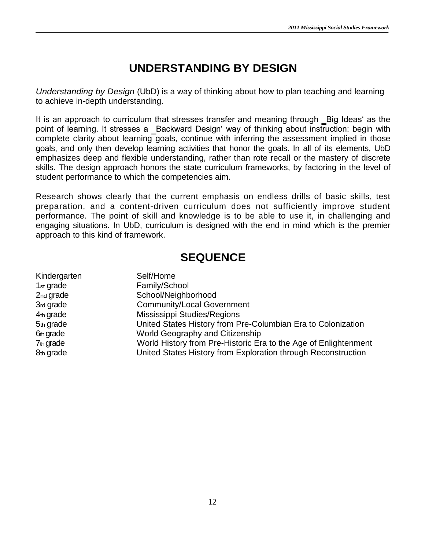# **UNDERSTANDING BY DESIGN**

*Understanding by Design* (UbD) is a way of thinking about how to plan teaching and learning to achieve in-depth understanding.

It is an approach to curriculum that stresses transfer and meaning through Big Ideas' as the point of learning. It stresses a \_Backward Design' way of thinking about instruction: begin with complete clarity about learning goals, continue with inferring the assessment implied in those goals, and only then develop learning activities that honor the goals. In all of its elements, UbD emphasizes deep and flexible understanding, rather than rote recall or the mastery of discrete skills. The design approach honors the state curriculum frameworks, by factoring in the level of student performance to which the competencies aim.

Research shows clearly that the current emphasis on endless drills of basic skills, test preparation, and a content-driven curriculum does not sufficiently improve student performance. The point of skill and knowledge is to be able to use it, in challenging and engaging situations. In UbD, curriculum is designed with the end in mind which is the premier approach to this kind of framework.

### **SEQUENCE**

| Kindergarten          | Self/Home                                                       |
|-----------------------|-----------------------------------------------------------------|
| 1 <sub>st</sub> grade | Family/School                                                   |
| 2 <sub>nd</sub> grade | School/Neighborhood                                             |
| 3rd grade             | <b>Community/Local Government</b>                               |
| 4th grade             | Mississippi Studies/Regions                                     |
| 5th grade             | United States History from Pre-Columbian Era to Colonization    |
| 6th grade             | <b>World Geography and Citizenship</b>                          |
| 7 <sub>th</sub> grade | World History from Pre-Historic Era to the Age of Enlightenment |
| 8th grade             | United States History from Exploration through Reconstruction   |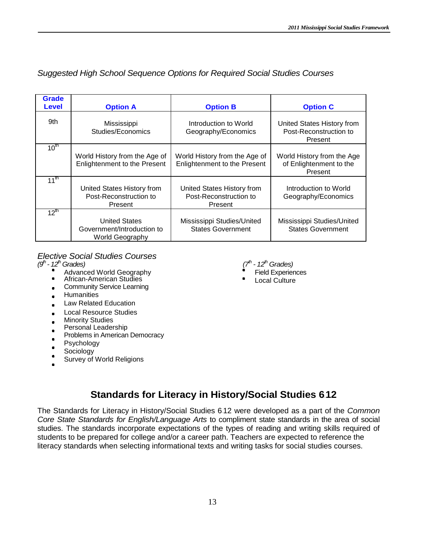#### *Suggested High School Sequence Options for Required Social Studies Courses*

| <b>Grade</b><br><b>Level</b> | <b>Option A</b>                                                              | <b>Option B</b>                                                      | <b>Option C</b>                                                  |
|------------------------------|------------------------------------------------------------------------------|----------------------------------------------------------------------|------------------------------------------------------------------|
| 9th                          | Mississippi<br>Studies/Economics                                             | Introduction to World<br>Geography/Economics                         | United States History from<br>Post-Reconstruction to<br>Present  |
| 10 <sup>th</sup>             | World History from the Age of<br><b>Enlightenment to the Present</b>         | World History from the Age of<br><b>Enlightenment to the Present</b> | World History from the Age<br>of Enlightenment to the<br>Present |
| $11^{\text{th}}$             | United States History from<br>Post-Reconstruction to<br>Present              | United States History from<br>Post-Reconstruction to<br>Present      | Introduction to World<br>Geography/Economics                     |
| $12^{th}$                    | <b>United States</b><br>Government/Introduction to<br><b>World Geography</b> | Mississippi Studies/United<br><b>States Government</b>               | Mississippi Studies/United<br><b>States Government</b>           |

# *Elective Social Studies Courses*

- - Advanced World Geography
	- African-American Studies
	- Community Service Learning
	- **Humanities**
	- Law Related Education  $\bullet$
	- Local Resource Studies
	- Minority Studies
	- Personal Leadership  $\bullet$
	- Problems in American Democracy
	- Psychology
	- Sociology
	- Survey of World Religions
- *(9th - 12th Grades) (7th - 12th Grades)*
- Field Experiences
- Local Culture

# **Standards for Literacy in History/Social Studies 6–12**

The Standards for Literacy in History/Social Studies 6–12 were developed as a part of the *Common Core State Standards for English/Language Arts* to compliment state standards in the area of social studies. The standards incorporate expectations of the types of reading and writing skills required of students to be prepared for college and/or a career path. Teachers are expected to reference the literacy standards when selecting informational texts and writing tasks for social studies courses.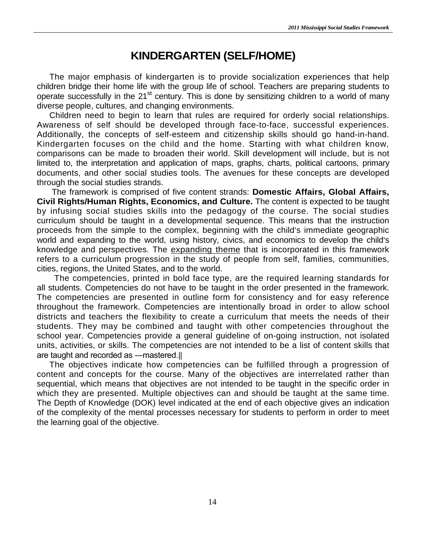### **KINDERGARTEN (SELF/HOME)**

The major emphasis of kindergarten is to provide socialization experiences that help children bridge their home life with the group life of school. Teachers are preparing students to operate successfully in the 21<sup>st</sup> century. This is done by sensitizing children to a world of many diverse people, cultures, and changing environments.

Children need to begin to learn that rules are required for orderly social relationships. Awareness of self should be developed through face-to-face, successful experiences. Additionally, the concepts of self-esteem and citizenship skills should go hand-in-hand. Kindergarten focuses on the child and the home. Starting with what children know, comparisons can be made to broaden their world. Skill development will include, but is not limited to, the interpretation and application of maps, graphs, charts, political cartoons, primary documents, and other social studies tools. The avenues for these concepts are developed through the social studies strands.

The framework is comprised of five content strands: **Domestic Affairs, Global Affairs, Civil Rights/Human Rights, Economics, and Culture.** The content is expected to be taught by infusing social studies skills into the pedagogy of the course. The social studies curriculum should be taught in a developmental sequence. This means that the instruction proceeds from the simple to the complex, beginning with the child's immediate geographic world and expanding to the world, using history, civics, and economics to develop the child's knowledge and perspectives. The expanding theme that is incorporated in this framework refers to a curriculum progression in the study of people from self, families, communities, cities, regions, the United States, and to the world.

The competencies, printed in bold face type, are the required learning standards for all students. Competencies do not have to be taught in the order presented in the framework. The competencies are presented in outline form for consistency and for easy reference throughout the framework. Competencies are intentionally broad in order to allow school districts and teachers the flexibility to create a curriculum that meets the needs of their students. They may be combined and taught with other competencies throughout the school year. Competencies provide a general guideline of on-going instruction, not isolated units, activities, or skills. The competencies are not intended to be a list of content skills that are taught and recorded as ―mastered.‖

The objectives indicate how competencies can be fulfilled through a progression of content and concepts for the course. Many of the objectives are interrelated rather than sequential, which means that objectives are not intended to be taught in the specific order in which they are presented. Multiple objectives can and should be taught at the same time. The Depth of Knowledge (DOK) level indicated at the end of each objective gives an indication of the complexity of the mental processes necessary for students to perform in order to meet the learning goal of the objective.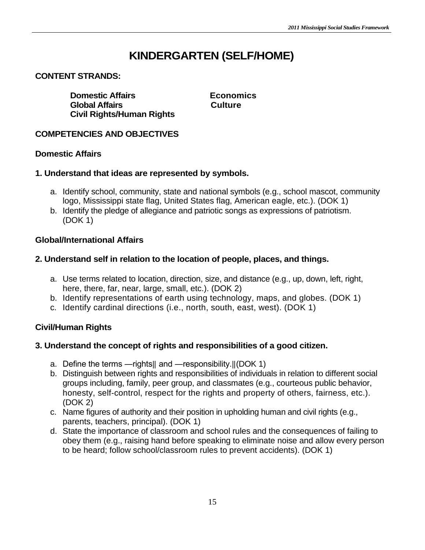# **KINDERGARTEN (SELF/HOME)**

#### **CONTENT STRANDS:**

**Domestic Affairs Economics Global Affairs Culture Civil Rights/Human Rights**

#### **COMPETENCIES AND OBJECTIVES**

#### **Domestic Affairs**

#### **1. Understand that ideas are represented by symbols.**

- a. Identify school, community, state and national symbols (e.g., school mascot, community logo, Mississippi state flag, United States flag, American eagle, etc.). (DOK 1)
- b. Identify the pledge of allegiance and patriotic songs as expressions of patriotism. (DOK 1)

#### **Global/International Affairs**

#### **2. Understand self in relation to the location of people, places, and things.**

- a. Use terms related to location, direction, size, and distance (e.g., up, down, left, right, here, there, far, near, large, small, etc.). (DOK 2)
- b. Identify representations of earth using technology, maps, and globes. (DOK 1)
- c. Identify cardinal directions (i.e., north, south, east, west). (DOK 1)

#### **Civil/Human Rights**

#### **3. Understand the concept of rights and responsibilities of a good citizen.**

- a. Define the terms ―rights‖ and ―responsibility.‖(DOK 1)
- b. Distinguish between rights and responsibilities of individuals in relation to different social groups including, family, peer group, and classmates (e.g., courteous public behavior, honesty, self-control, respect for the rights and property of others, fairness, etc.). (DOK 2)
- c. Name figures of authority and their position in upholding human and civil rights (e.g., parents, teachers, principal). (DOK 1)
- d. State the importance of classroom and school rules and the consequences of failing to obey them (e.g., raising hand before speaking to eliminate noise and allow every person to be heard; follow school/classroom rules to prevent accidents). (DOK 1)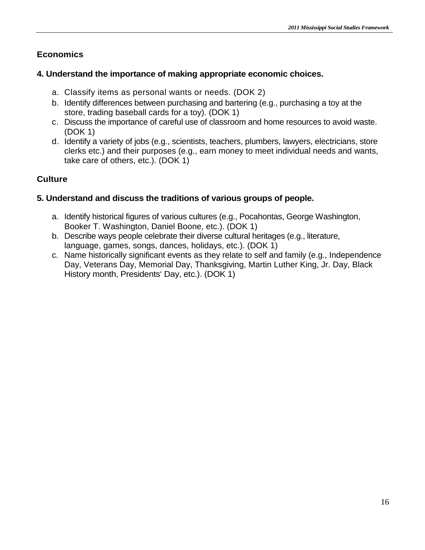#### **Economics**

#### **4. Understand the importance of making appropriate economic choices.**

- a. Classify items as personal wants or needs. (DOK 2)
- b. Identify differences between purchasing and bartering (e.g., purchasing a toy at the store, trading baseball cards for a toy). (DOK 1)
- c. Discuss the importance of careful use of classroom and home resources to avoid waste. (DOK 1)
- d. Identify a variety of jobs (e.g., scientists, teachers, plumbers, lawyers, electricians, store clerks etc.) and their purposes (e.g., earn money to meet individual needs and wants, take care of others, etc.). (DOK 1)

#### **Culture**

#### **5. Understand and discuss the traditions of various groups of people.**

- a. Identify historical figures of various cultures (e.g., Pocahontas, George Washington, Booker T. Washington, Daniel Boone, etc.). (DOK 1)
- b. Describe ways people celebrate their diverse cultural heritages (e.g., literature, language, games, songs, dances, holidays, etc.). (DOK 1)
- c. Name historically significant events as they relate to self and family (e.g., Independence Day, Veterans Day, Memorial Day, Thanksgiving, Martin Luther King, Jr. Day, Black History month, Presidents' Day, etc.). (DOK 1)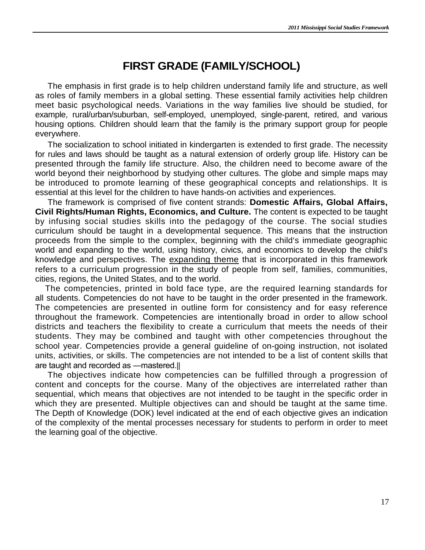# **FIRST GRADE (FAMILY/SCHOOL)**

The emphasis in first grade is to help children understand family life and structure, as well as roles of family members in a global setting. These essential family activities help children meet basic psychological needs. Variations in the way families live should be studied, for example, rural/urban/suburban, self-employed, unemployed, single-parent, retired, and various housing options. Children should learn that the family is the primary support group for people everywhere.

The socialization to school initiated in kindergarten is extended to first grade. The necessity for rules and laws should be taught as a natural extension of orderly group life. History can be presented through the family life structure. Also, the children need to become aware of the world beyond their neighborhood by studying other cultures. The globe and simple maps may be introduced to promote learning of these geographical concepts and relationships. It is essential at this level for the children to have hands-on activities and experiences.

The framework is comprised of five content strands: **Domestic Affairs, Global Affairs, Civil Rights/Human Rights, Economics, and Culture.** The content is expected to be taught by infusing social studies skills into the pedagogy of the course. The social studies curriculum should be taught in a developmental sequence. This means that the instruction proceeds from the simple to the complex, beginning with the child's immediate geographic world and expanding to the world, using history, civics, and economics to develop the child's knowledge and perspectives. The expanding theme that is incorporated in this framework refers to a curriculum progression in the study of people from self, families, communities, cities, regions, the United States, and to the world.

The competencies, printed in bold face type, are the required learning standards for all students. Competencies do not have to be taught in the order presented in the framework. The competencies are presented in outline form for consistency and for easy reference throughout the framework. Competencies are intentionally broad in order to allow school districts and teachers the flexibility to create a curriculum that meets the needs of their students. They may be combined and taught with other competencies throughout the school year. Competencies provide a general guideline of on-going instruction, not isolated units, activities, or skills. The competencies are not intended to be a list of content skills that are taught and recorded as ―mastered.‖

The objectives indicate how competencies can be fulfilled through a progression of content and concepts for the course. Many of the objectives are interrelated rather than sequential, which means that objectives are not intended to be taught in the specific order in which they are presented. Multiple objectives can and should be taught at the same time. The Depth of Knowledge (DOK) level indicated at the end of each objective gives an indication of the complexity of the mental processes necessary for students to perform in order to meet the learning goal of the objective.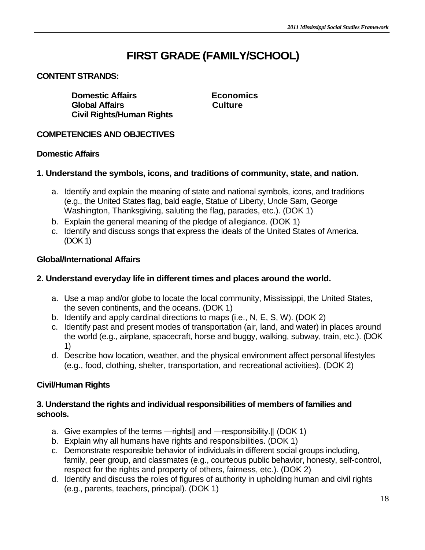# **FIRST GRADE (FAMILY/SCHOOL)**

#### **CONTENT STRANDS:**

**Domestic Affairs Economics Global Affairs Culture Civil Rights/Human Rights**

#### **COMPETENCIES AND OBJECTIVES**

#### **Domestic Affairs**

#### **1. Understand the symbols, icons, and traditions of community, state, and nation.**

- a. Identify and explain the meaning of state and national symbols, icons, and traditions (e.g., the United States flag, bald eagle, Statue of Liberty, Uncle Sam, George Washington, Thanksgiving, saluting the flag, parades, etc.). (DOK 1)
- b. Explain the general meaning of the pledge of allegiance. (DOK 1)
- c. Identify and discuss songs that express the ideals of the United States of America. (DOK 1)

#### **Global/International Affairs**

#### **2. Understand everyday life in different times and places around the world.**

- a. Use a map and/or globe to locate the local community, Mississippi, the United States, the seven continents, and the oceans. (DOK 1)
- b. Identify and apply cardinal directions to maps (i.e., N, E, S, W). (DOK 2)
- c. Identify past and present modes of transportation (air, land, and water) in places around the world (e.g., airplane, spacecraft, horse and buggy, walking, subway, train, etc.). (DOK 1)
- d. Describe how location, weather, and the physical environment affect personal lifestyles (e.g., food, clothing, shelter, transportation, and recreational activities). (DOK 2)

#### **Civil/Human Rights**

#### **3. Understand the rights and individual responsibilities of members of families and schools.**

- a. Give examples of the terms ―rights‖ and ―responsibility.‖ (DOK 1)
- b. Explain why all humans have rights and responsibilities. (DOK 1)
- c. Demonstrate responsible behavior of individuals in different social groups including, family, peer group, and classmates (e.g., courteous public behavior, honesty, self-control, respect for the rights and property of others, fairness, etc.). (DOK 2)
- d. Identify and discuss the roles of figures of authority in upholding human and civil rights (e.g., parents, teachers, principal). (DOK 1)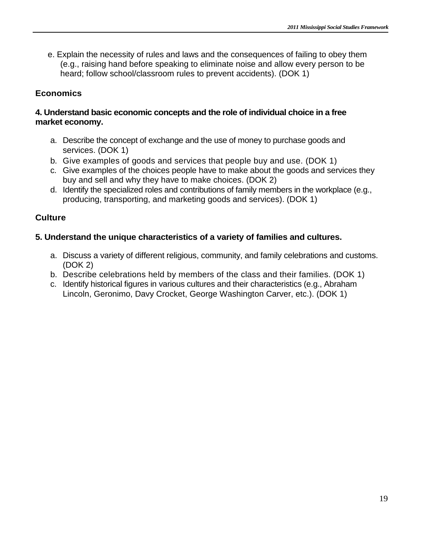e. Explain the necessity of rules and laws and the consequences of failing to obey them (e.g., raising hand before speaking to eliminate noise and allow every person to be heard; follow school/classroom rules to prevent accidents). (DOK 1)

#### **Economics**

#### **4. Understand basic economic concepts and the role of individual choice in a free market economy.**

- a. Describe the concept of exchange and the use of money to purchase goods and services. (DOK 1)
- b. Give examples of goods and services that people buy and use. (DOK 1)
- c. Give examples of the choices people have to make about the goods and services they buy and sell and why they have to make choices. (DOK 2)
- d. Identify the specialized roles and contributions of family members in the workplace (e.g., producing, transporting, and marketing goods and services). (DOK 1)

#### **Culture**

#### **5. Understand the unique characteristics of a variety of families and cultures.**

- a. Discuss a variety of different religious, community, and family celebrations and customs. (DOK 2)
- b. Describe celebrations held by members of the class and their families. (DOK 1)
- c. Identify historical figures in various cultures and their characteristics (e.g., Abraham Lincoln, Geronimo, Davy Crocket, George Washington Carver, etc.). (DOK 1)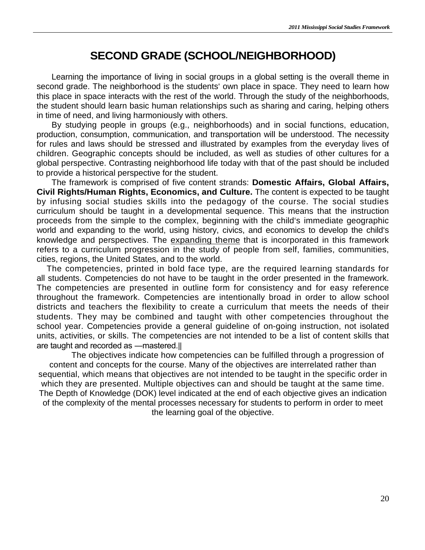### **SECOND GRADE (SCHOOL/NEIGHBORHOOD)**

Learning the importance of living in social groups in a global setting is the overall theme in second grade. The neighborhood is the students' own place in space. They need to learn how this place in space interacts with the rest of the world. Through the study of the neighborhoods, the student should learn basic human relationships such as sharing and caring, helping others in time of need, and living harmoniously with others.

By studying people in groups (e.g., neighborhoods) and in social functions, education, production, consumption, communication, and transportation will be understood. The necessity for rules and laws should be stressed and illustrated by examples from the everyday lives of children. Geographic concepts should be included, as well as studies of other cultures for a global perspective. Contrasting neighborhood life today with that of the past should be included to provide a historical perspective for the student.

The framework is comprised of five content strands: **Domestic Affairs, Global Affairs, Civil Rights/Human Rights, Economics, and Culture.** The content is expected to be taught by infusing social studies skills into the pedagogy of the course. The social studies curriculum should be taught in a developmental sequence. This means that the instruction proceeds from the simple to the complex, beginning with the child's immediate geographic world and expanding to the world, using history, civics, and economics to develop the child's knowledge and perspectives. The expanding theme that is incorporated in this framework refers to a curriculum progression in the study of people from self, families, communities, cities, regions, the United States, and to the world.

The competencies, printed in bold face type, are the required learning standards for all students. Competencies do not have to be taught in the order presented in the framework. The competencies are presented in outline form for consistency and for easy reference throughout the framework. Competencies are intentionally broad in order to allow school districts and teachers the flexibility to create a curriculum that meets the needs of their students. They may be combined and taught with other competencies throughout the school year. Competencies provide a general guideline of on-going instruction, not isolated units, activities, or skills. The competencies are not intended to be a list of content skills that are taught and recorded as ―mastered.‖

The objectives indicate how competencies can be fulfilled through a progression of content and concepts for the course. Many of the objectives are interrelated rather than sequential, which means that objectives are not intended to be taught in the specific order in which they are presented. Multiple objectives can and should be taught at the same time. The Depth of Knowledge (DOK) level indicated at the end of each objective gives an indication of the complexity of the mental processes necessary for students to perform in order to meet the learning goal of the objective.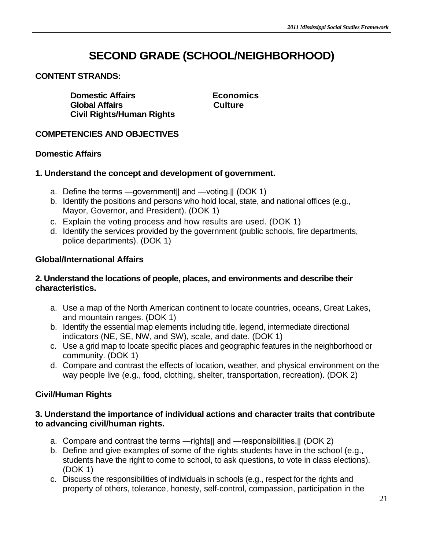# **SECOND GRADE (SCHOOL/NEIGHBORHOOD)**

#### **CONTENT STRANDS:**

**Domestic Affairs Economics Global Affairs Culture Civil Rights/Human Rights**

#### **COMPETENCIES AND OBJECTIVES**

#### **Domestic Affairs**

#### **1. Understand the concept and development of government.**

- a. Define the terms ―government‖ and ―voting.‖ (DOK 1)
- b. Identify the positions and persons who hold local, state, and national offices (e.g., Mayor, Governor, and President). (DOK 1)
- c. Explain the voting process and how results are used. (DOK 1)
- d. Identify the services provided by the government (public schools, fire departments, police departments). (DOK 1)

#### **Global/International Affairs**

#### **2. Understand the locations of people, places, and environments and describe their characteristics.**

- a. Use a map of the North American continent to locate countries, oceans, Great Lakes, and mountain ranges. (DOK 1)
- b. Identify the essential map elements including title, legend, intermediate directional indicators (NE, SE, NW, and SW), scale, and date. (DOK 1)
- c. Use a grid map to locate specific places and geographic features in the neighborhood or community. (DOK 1)
- d. Compare and contrast the effects of location, weather, and physical environment on the way people live (e.g., food, clothing, shelter, transportation, recreation). (DOK 2)

#### **Civil/Human Rights**

#### **3. Understand the importance of individual actions and character traits that contribute to advancing civil/human rights.**

- a. Compare and contrast the terms ―rights‖ and ―responsibilities.‖ (DOK 2)
- b. Define and give examples of some of the rights students have in the school (e.g., students have the right to come to school, to ask questions, to vote in class elections). (DOK 1)
- c. Discuss the responsibilities of individuals in schools (e.g., respect for the rights and property of others, tolerance, honesty, self-control, compassion, participation in the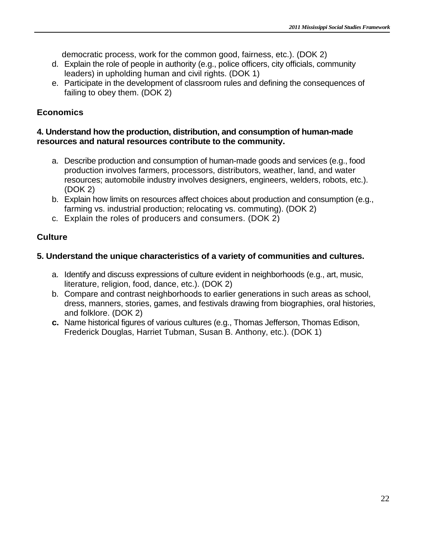democratic process, work for the common good, fairness, etc.). (DOK 2)

- d. Explain the role of people in authority (e.g., police officers, city officials, community leaders) in upholding human and civil rights. (DOK 1)
- e. Participate in the development of classroom rules and defining the consequences of failing to obey them. (DOK 2)

#### **Economics**

#### **4. Understand how the production, distribution, and consumption of human-made resources and natural resources contribute to the community.**

- a. Describe production and consumption of human-made goods and services (e.g., food production involves farmers, processors, distributors, weather, land, and water resources; automobile industry involves designers, engineers, welders, robots, etc.). (DOK 2)
- b. Explain how limits on resources affect choices about production and consumption (e.g., farming vs. industrial production; relocating vs. commuting). (DOK 2)
- c. Explain the roles of producers and consumers. (DOK 2)

#### **Culture**

#### **5. Understand the unique characteristics of a variety of communities and cultures.**

- a. Identify and discuss expressions of culture evident in neighborhoods (e.g., art, music, literature, religion, food, dance, etc.). (DOK 2)
- b. Compare and contrast neighborhoods to earlier generations in such areas as school, dress, manners, stories, games, and festivals drawing from biographies, oral histories, and folklore. (DOK 2)
- **c.** Name historical figures of various cultures (e.g., Thomas Jefferson, Thomas Edison, Frederick Douglas, Harriet Tubman, Susan B. Anthony, etc.). (DOK 1)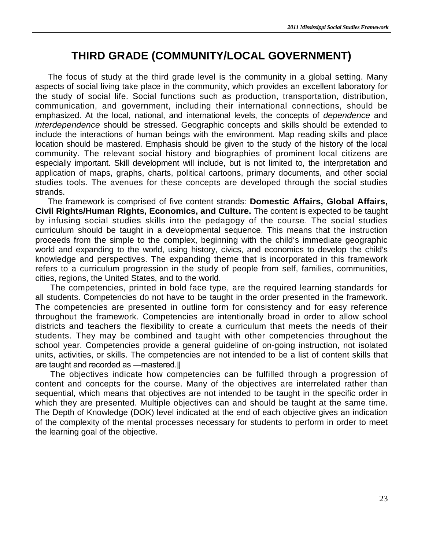## **THIRD GRADE (COMMUNITY/LOCAL GOVERNMENT)**

The focus of study at the third grade level is the community in a global setting. Many aspects of social living take place in the community, which provides an excellent laboratory for the study of social life. Social functions such as production, transportation, distribution, communication, and government, including their international connections, should be emphasized. At the local, national, and international levels, the concepts of *dependence* and *interdependence* should be stressed. Geographic concepts and skills should be extended to include the interactions of human beings with the environment. Map reading skills and place location should be mastered. Emphasis should be given to the study of the history of the local community. The relevant social history and biographies of prominent local citizens are especially important. Skill development will include, but is not limited to, the interpretation and application of maps, graphs, charts, political cartoons, primary documents, and other social studies tools. The avenues for these concepts are developed through the social studies strands.

The framework is comprised of five content strands: **Domestic Affairs, Global Affairs, Civil Rights/Human Rights, Economics, and Culture.** The content is expected to be taught by infusing social studies skills into the pedagogy of the course. The social studies curriculum should be taught in a developmental sequence. This means that the instruction proceeds from the simple to the complex, beginning with the child's immediate geographic world and expanding to the world, using history, civics, and economics to develop the child's knowledge and perspectives. The expanding theme that is incorporated in this framework refers to a curriculum progression in the study of people from self, families, communities, cities, regions, the United States, and to the world.

The competencies, printed in bold face type, are the required learning standards for all students. Competencies do not have to be taught in the order presented in the framework. The competencies are presented in outline form for consistency and for easy reference throughout the framework. Competencies are intentionally broad in order to allow school districts and teachers the flexibility to create a curriculum that meets the needs of their students. They may be combined and taught with other competencies throughout the school year. Competencies provide a general guideline of on-going instruction, not isolated units, activities, or skills. The competencies are not intended to be a list of content skills that are taught and recorded as ―mastered.‖

The objectives indicate how competencies can be fulfilled through a progression of content and concepts for the course. Many of the objectives are interrelated rather than sequential, which means that objectives are not intended to be taught in the specific order in which they are presented. Multiple objectives can and should be taught at the same time. The Depth of Knowledge (DOK) level indicated at the end of each objective gives an indication of the complexity of the mental processes necessary for students to perform in order to meet the learning goal of the objective.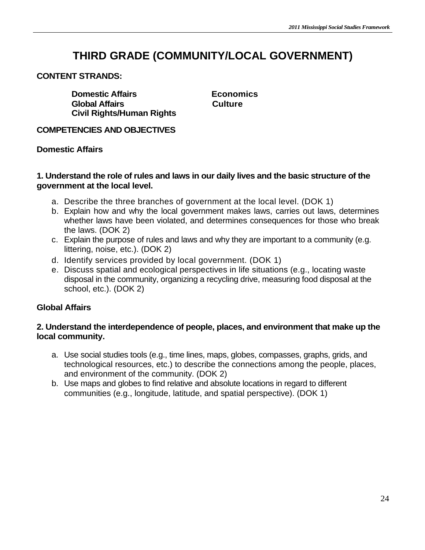# **THIRD GRADE (COMMUNITY/LOCAL GOVERNMENT)**

#### **CONTENT STRANDS:**

**Domestic Affairs**<br> **Global Affairs**<br> **Culture Global Affairs Civil Rights/Human Rights**

#### **COMPETENCIES AND OBJECTIVES**

#### **Domestic Affairs**

#### **1. Understand the role of rules and laws in our daily lives and the basic structure of the government at the local level.**

- a. Describe the three branches of government at the local level. (DOK 1)
- b. Explain how and why the local government makes laws, carries out laws, determines whether laws have been violated, and determines consequences for those who break the laws. (DOK 2)
- c. Explain the purpose of rules and laws and why they are important to a community (e.g. littering, noise, etc.). (DOK 2)
- d. Identify services provided by local government. (DOK 1)
- e. Discuss spatial and ecological perspectives in life situations (e.g., locating waste disposal in the community, organizing a recycling drive, measuring food disposal at the school, etc.). (DOK 2)

#### **Global Affairs**

#### **2. Understand the interdependence of people, places, and environment that make up the local community.**

- a. Use social studies tools (e.g., time lines, maps, globes, compasses, graphs, grids, and technological resources, etc.) to describe the connections among the people, places, and environment of the community. (DOK 2)
- b. Use maps and globes to find relative and absolute locations in regard to different communities (e.g., longitude, latitude, and spatial perspective). (DOK 1)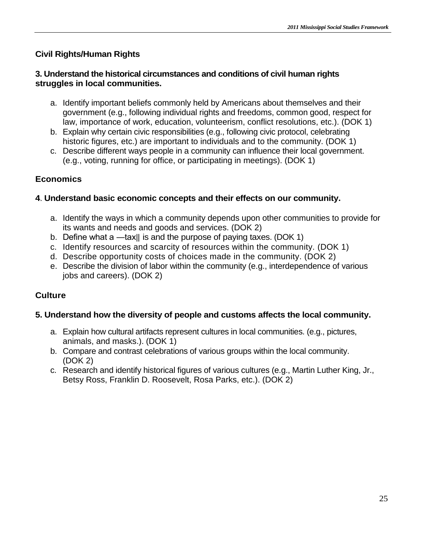#### **Civil Rights/Human Rights**

#### **3. Understand the historical circumstances and conditions of civil human rights struggles in local communities.**

- a. Identify important beliefs commonly held by Americans about themselves and their government (e.g., following individual rights and freedoms, common good, respect for law, importance of work, education, volunteerism, conflict resolutions, etc.). (DOK 1)
- b. Explain why certain civic responsibilities (e.g., following civic protocol, celebrating historic figures, etc.) are important to individuals and to the community. (DOK 1)
- c. Describe different ways people in a community can influence their local government. (e.g., voting, running for office, or participating in meetings). (DOK 1)

#### **Economics**

#### **4**. **Understand basic economic concepts and their effects on our community.**

- a. Identify the ways in which a community depends upon other communities to provide for its wants and needs and goods and services. (DOK 2)
- b. Define what a —tax|| is and the purpose of paying taxes. (DOK 1)
- c. Identify resources and scarcity of resources within the community. (DOK 1)
- d. Describe opportunity costs of choices made in the community. (DOK 2)
- e. Describe the division of labor within the community (e.g., interdependence of various jobs and careers). (DOK 2)

#### **Culture**

#### **5. Understand how the diversity of people and customs affects the local community.**

- a. Explain how cultural artifacts represent cultures in local communities. (e.g., pictures, animals, and masks.). (DOK 1)
- b. Compare and contrast celebrations of various groups within the local community. (DOK 2)
- c. Research and identify historical figures of various cultures (e.g., Martin Luther King, Jr., Betsy Ross, Franklin D. Roosevelt, Rosa Parks, etc.). (DOK 2)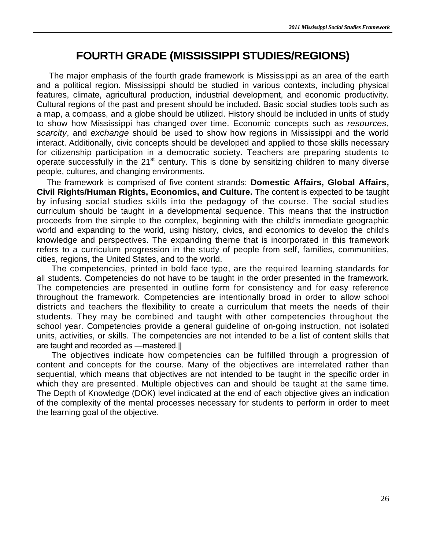### **FOURTH GRADE (MISSISSIPPI STUDIES/REGIONS)**

The major emphasis of the fourth grade framework is Mississippi as an area of the earth and a political region. Mississippi should be studied in various contexts, including physical features, climate, agricultural production, industrial development, and economic productivity. Cultural regions of the past and present should be included. Basic social studies tools such as a map, a compass, and a globe should be utilized. History should be included in units of study to show how Mississippi has changed over time. Economic concepts such as *resources*, *scarcity*, and *exchange* should be used to show how regions in Mississippi and the world interact. Additionally, civic concepts should be developed and applied to those skills necessary for citizenship participation in a democratic society. Teachers are preparing students to operate successfully in the  $21<sup>st</sup>$  century. This is done by sensitizing children to many diverse people, cultures, and changing environments.

The framework is comprised of five content strands: **Domestic Affairs, Global Affairs, Civil Rights/Human Rights, Economics, and Culture.** The content is expected to be taught by infusing social studies skills into the pedagogy of the course. The social studies curriculum should be taught in a developmental sequence. This means that the instruction proceeds from the simple to the complex, beginning with the child's immediate geographic world and expanding to the world, using history, civics, and economics to develop the child's knowledge and perspectives. The expanding theme that is incorporated in this framework refers to a curriculum progression in the study of people from self, families, communities, cities, regions, the United States, and to the world.

The competencies, printed in bold face type, are the required learning standards for all students. Competencies do not have to be taught in the order presented in the framework. The competencies are presented in outline form for consistency and for easy reference throughout the framework. Competencies are intentionally broad in order to allow school districts and teachers the flexibility to create a curriculum that meets the needs of their students. They may be combined and taught with other competencies throughout the school year. Competencies provide a general guideline of on-going instruction, not isolated units, activities, or skills. The competencies are not intended to be a list of content skills that are taught and recorded as ―mastered.‖

The objectives indicate how competencies can be fulfilled through a progression of content and concepts for the course. Many of the objectives are interrelated rather than sequential, which means that objectives are not intended to be taught in the specific order in which they are presented. Multiple objectives can and should be taught at the same time. The Depth of Knowledge (DOK) level indicated at the end of each objective gives an indication of the complexity of the mental processes necessary for students to perform in order to meet the learning goal of the objective.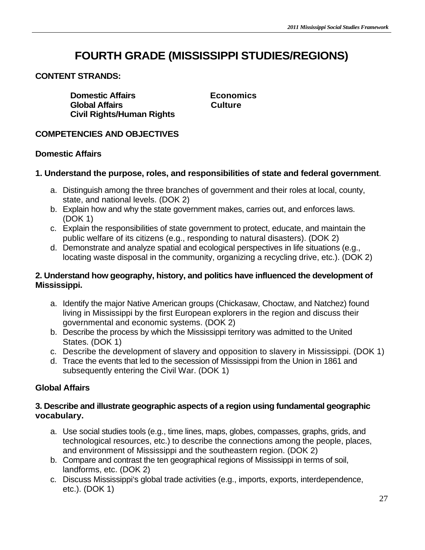# **FOURTH GRADE (MISSISSIPPI STUDIES/REGIONS)**

#### **CONTENT STRANDS:**

**Domestic Affairs Economics Global Affairs Culture Civil Rights/Human Rights**

#### **COMPETENCIES AND OBJECTIVES**

#### **Domestic Affairs**

#### **1. Understand the purpose, roles, and responsibilities of state and federal government**.

- a. Distinguish among the three branches of government and their roles at local, county, state, and national levels. (DOK 2)
- b. Explain how and why the state government makes, carries out, and enforces laws. (DOK 1)
- c. Explain the responsibilities of state government to protect, educate, and maintain the public welfare of its citizens (e.g., responding to natural disasters). (DOK 2)
- d. Demonstrate and analyze spatial and ecological perspectives in life situations (e.g., locating waste disposal in the community, organizing a recycling drive, etc.). (DOK 2)

#### **2. Understand how geography, history, and politics have influenced the development of Mississippi.**

- a. Identify the major Native American groups (Chickasaw, Choctaw, and Natchez) found living in Mississippi by the first European explorers in the region and discuss their governmental and economic systems. (DOK 2)
- b. Describe the process by which the Mississippi territory was admitted to the United States. (DOK 1)
- c. Describe the development of slavery and opposition to slavery in Mississippi. (DOK 1)
- d. Trace the events that led to the secession of Mississippi from the Union in 1861 and subsequently entering the Civil War. (DOK 1)

#### **Global Affairs**

#### **3. Describe and illustrate geographic aspects of a region using fundamental geographic vocabulary.**

- a. Use social studies tools (e.g., time lines, maps, globes, compasses, graphs, grids, and technological resources, etc.) to describe the connections among the people, places, and environment of Mississippi and the southeastern region. (DOK 2)
- b. Compare and contrast the ten geographical regions of Mississippi in terms of soil, landforms, etc. (DOK 2)
- c. Discuss Mississippi's global trade activities (e.g., imports, exports, interdependence, etc.). (DOK 1)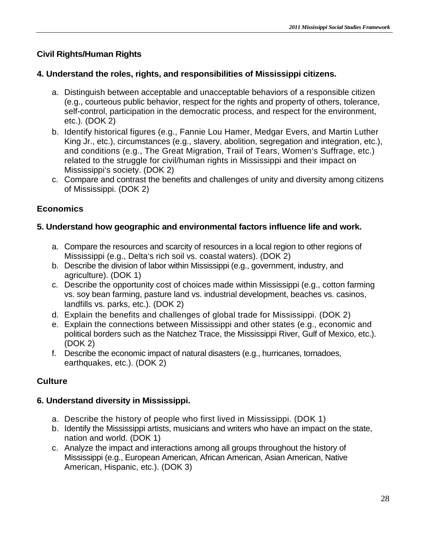### **Civil Rights/Human Rights**

#### **4. Understand the roles, rights, and responsibilities of Mississippi citizens.**

- a. Distinguish between acceptable and unacceptable behaviors of a responsible citizen (e.g., courteous public behavior, respect for the rights and property of others, tolerance, self-control, participation in the democratic process, and respect for the environment, etc.). (DOK 2)
- b. Identify historical figures (e.g., Fannie Lou Hamer, Medgar Evers, and Martin Luther King Jr., etc.), circumstances (e.g., slavery, abolition, segregation and integration, etc.), and conditions (e.g., The Great Migration, Trail of Tears, Women's Suffrage, etc.) related to the struggle for civil/human rights in Mississippi and their impact on Mississippi's society. (DOK 2)
- c. Compare and contrast the benefits and challenges of unity and diversity among citizens of Mississippi. (DOK 2)

#### **Economics**

#### **5. Understand how geographic and environmental factors influence life and work.**

- a. Compare the resources and scarcity of resources in a local region to other regions of Mississippi (e.g., Delta's rich soil vs. coastal waters). (DOK 2)
- b. Describe the division of labor within Mississippi (e.g., government, industry, and agriculture). (DOK 1)
- c. Describe the opportunity cost of choices made within Mississippi (e.g., cotton farming vs. soy bean farming, pasture land vs. industrial development, beaches vs. casinos, landfills vs. parks, etc.). (DOK 2)
- d. Explain the benefits and challenges of global trade for Mississippi. (DOK 2)
- e. Explain the connections between Mississippi and other states (e.g., economic and political borders such as the Natchez Trace, the Mississippi River, Gulf of Mexico, etc.). (DOK 2)
- f. Describe the economic impact of natural disasters (e.g., hurricanes, tornadoes, earthquakes, etc.). (DOK 2)

#### **Culture**

#### **6. Understand diversity in Mississippi.**

- a. Describe the history of people who first lived in Mississippi. (DOK 1)
- b. Identify the Mississippi artists, musicians and writers who have an impact on the state, nation and world. (DOK 1)
- c. Analyze the impact and interactions among all groups throughout the history of Mississippi (e.g., European American, African American, Asian American, Native American, Hispanic, etc.). (DOK 3)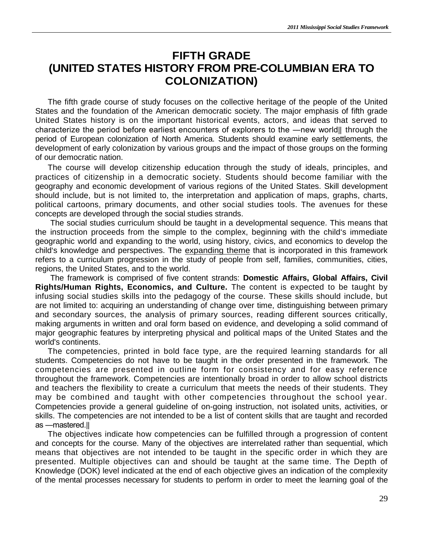### **FIFTH GRADE (UNITED STATES HISTORY FROM PRE-COLUMBIAN ERA TO COLONIZATION)**

The fifth grade course of study focuses on the collective heritage of the people of the United States and the foundation of the American democratic society. The major emphasis of fifth grade United States history is on the important historical events, actors, and ideas that served to characterize the period before earliest encounters of explorers to the ―new world‖ through the period of European colonization of North America. Students should examine early settlements, the development of early colonization by various groups and the impact of those groups on the forming of our democratic nation.

The course will develop citizenship education through the study of ideals, principles, and practices of citizenship in a democratic society. Students should become familiar with the geography and economic development of various regions of the United States. Skill development should include, but is not limited to, the interpretation and application of maps, graphs, charts, political cartoons, primary documents, and other social studies tools. The avenues for these concepts are developed through the social studies strands.

The social studies curriculum should be taught in a developmental sequence. This means that the instruction proceeds from the simple to the complex, beginning with the child's immediate geographic world and expanding to the world, using history, civics, and economics to develop the child's knowledge and perspectives. The expanding theme that is incorporated in this framework refers to a curriculum progression in the study of people from self, families, communities, cities, regions, the United States, and to the world.

The framework is comprised of five content strands: **Domestic Affairs, Global Affairs, Civil Rights/Human Rights, Economics, and Culture.** The content is expected to be taught by infusing social studies skills into the pedagogy of the course. These skills should include, but are not limited to: acquiring an understanding of change over time, distinguishing between primary and secondary sources, the analysis of primary sources, reading different sources critically, making arguments in written and oral form based on evidence, and developing a solid command of major geographic features by interpreting physical and political maps of the United States and the world's continents.

The competencies, printed in bold face type, are the required learning standards for all students. Competencies do not have to be taught in the order presented in the framework. The competencies are presented in outline form for consistency and for easy reference throughout the framework. Competencies are intentionally broad in order to allow school districts and teachers the flexibility to create a curriculum that meets the needs of their students. They may be combined and taught with other competencies throughout the school year. Competencies provide a general guideline of on-going instruction, not isolated units, activities, or skills. The competencies are not intended to be a list of content skills that are taught and recorded as ―mastered.‖

The objectives indicate how competencies can be fulfilled through a progression of content and concepts for the course. Many of the objectives are interrelated rather than sequential, which means that objectives are not intended to be taught in the specific order in which they are presented. Multiple objectives can and should be taught at the same time. The Depth of Knowledge (DOK) level indicated at the end of each objective gives an indication of the complexity of the mental processes necessary for students to perform in order to meet the learning goal of the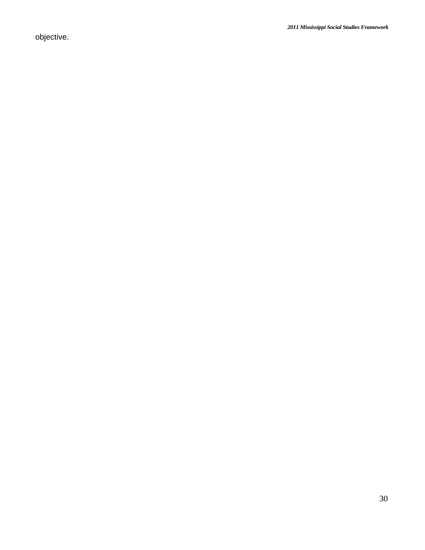objective.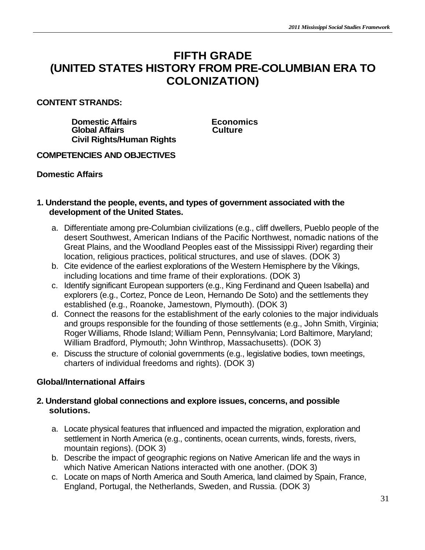## **FIFTH GRADE (UNITED STATES HISTORY FROM PRE-COLUMBIAN ERA TO COLONIZATION)**

#### **CONTENT STRANDS:**

**Domestic Affairs**<br> **Global Affairs**<br> **Culture Global Affairs Civil Rights/Human Rights**

**COMPETENCIES AND OBJECTIVES** 

**Domestic Affairs**

#### **1. Understand the people, events, and types of government associated with the development of the United States.**

- a. Differentiate among pre-Columbian civilizations (e.g., cliff dwellers, Pueblo people of the desert Southwest, American Indians of the Pacific Northwest, nomadic nations of the Great Plains, and the Woodland Peoples east of the Mississippi River) regarding their location, religious practices, political structures, and use of slaves. (DOK 3)
- b. Cite evidence of the earliest explorations of the Western Hemisphere by the Vikings, including locations and time frame of their explorations. (DOK 3)
- c. Identify significant European supporters (e.g., King Ferdinand and Queen Isabella) and explorers (e.g., Cortez, Ponce de Leon, Hernando De Soto) and the settlements they established (e.g., Roanoke, Jamestown, Plymouth). (DOK 3)
- d. Connect the reasons for the establishment of the early colonies to the major individuals and groups responsible for the founding of those settlements (e.g., John Smith, Virginia; Roger Williams, Rhode Island; William Penn, Pennsylvania; Lord Baltimore, Maryland; William Bradford, Plymouth; John Winthrop, Massachusetts). (DOK 3)
- e. Discuss the structure of colonial governments (e.g., legislative bodies, town meetings, charters of individual freedoms and rights). (DOK 3)

#### **Global/International Affairs**

#### **2. Understand global connections and explore issues, concerns, and possible solutions.**

- a. Locate physical features that influenced and impacted the migration, exploration and settlement in North America (e.g., continents, ocean currents, winds, forests, rivers, mountain regions). (DOK 3)
- b. Describe the impact of geographic regions on Native American life and the ways in which Native American Nations interacted with one another. (DOK 3)
- c. Locate on maps of North America and South America, land claimed by Spain, France, England, Portugal, the Netherlands, Sweden, and Russia. (DOK 3)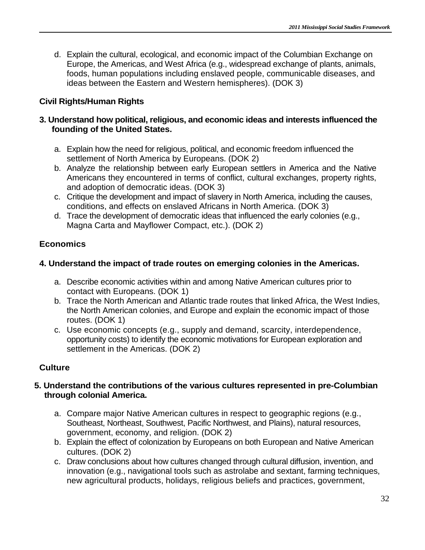d. Explain the cultural, ecological, and economic impact of the Columbian Exchange on Europe, the Americas, and West Africa (e.g., widespread exchange of plants, animals, foods, human populations including enslaved people, communicable diseases, and ideas between the Eastern and Western hemispheres). (DOK 3)

#### **Civil Rights/Human Rights**

#### **3. Understand how political, religious, and economic ideas and interests influenced the founding of the United States.**

- a. Explain how the need for religious, political, and economic freedom influenced the settlement of North America by Europeans. (DOK 2)
- b. Analyze the relationship between early European settlers in America and the Native Americans they encountered in terms of conflict, cultural exchanges, property rights, and adoption of democratic ideas. (DOK 3)
- c. Critique the development and impact of slavery in North America, including the causes, conditions, and effects on enslaved Africans in North America. (DOK 3)
- d. Trace the development of democratic ideas that influenced the early colonies (e.g., Magna Carta and Mayflower Compact, etc.). (DOK 2)

#### **Economics**

#### **4. Understand the impact of trade routes on emerging colonies in the Americas.**

- a. Describe economic activities within and among Native American cultures prior to contact with Europeans. (DOK 1)
- b. Trace the North American and Atlantic trade routes that linked Africa, the West Indies, the North American colonies, and Europe and explain the economic impact of those routes. (DOK 1)
- c. Use economic concepts (e.g., supply and demand, scarcity, interdependence, opportunity costs) to identify the economic motivations for European exploration and settlement in the Americas. (DOK 2)

#### **Culture**

#### **5. Understand the contributions of the various cultures represented in pre-Columbian through colonial America.**

- a. Compare major Native American cultures in respect to geographic regions (e.g., Southeast, Northeast, Southwest, Pacific Northwest, and Plains), natural resources, government, economy, and religion. (DOK 2)
- b. Explain the effect of colonization by Europeans on both European and Native American cultures. (DOK 2)
- c. Draw conclusions about how cultures changed through cultural diffusion, invention, and innovation (e.g., navigational tools such as astrolabe and sextant, farming techniques, new agricultural products, holidays, religious beliefs and practices, government,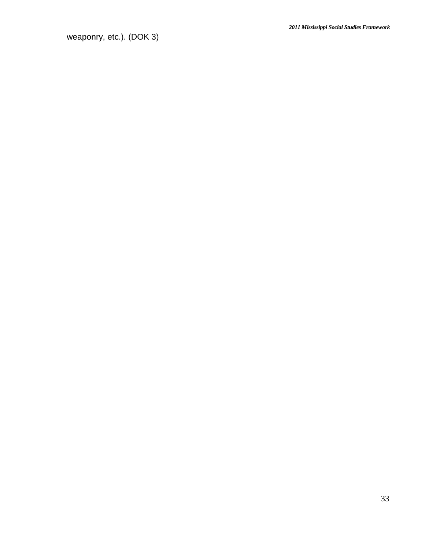weaponry, etc.). (DOK 3)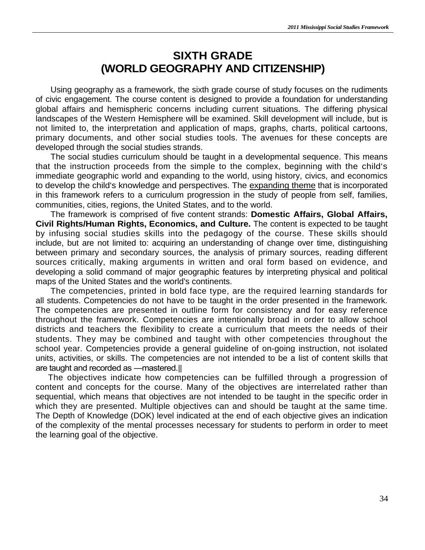### **SIXTH GRADE (WORLD GEOGRAPHY AND CITIZENSHIP)**

Using geography as a framework, the sixth grade course of study focuses on the rudiments of civic engagement. The course content is designed to provide a foundation for understanding global affairs and hemispheric concerns including current situations. The differing physical landscapes of the Western Hemisphere will be examined. Skill development will include, but is not limited to, the interpretation and application of maps, graphs, charts, political cartoons, primary documents, and other social studies tools. The avenues for these concepts are developed through the social studies strands.

The social studies curriculum should be taught in a developmental sequence. This means that the instruction proceeds from the simple to the complex, beginning with the child's immediate geographic world and expanding to the world, using history, civics, and economics to develop the child's knowledge and perspectives. The expanding theme that is incorporated in this framework refers to a curriculum progression in the study of people from self, families, communities, cities, regions, the United States, and to the world.

The framework is comprised of five content strands: **Domestic Affairs, Global Affairs, Civil Rights/Human Rights, Economics, and Culture.** The content is expected to be taught by infusing social studies skills into the pedagogy of the course. These skills should include, but are not limited to: acquiring an understanding of change over time, distinguishing between primary and secondary sources, the analysis of primary sources, reading different sources critically, making arguments in written and oral form based on evidence, and developing a solid command of major geographic features by interpreting physical and political maps of the United States and the world's continents.

The competencies, printed in bold face type, are the required learning standards for all students. Competencies do not have to be taught in the order presented in the framework. The competencies are presented in outline form for consistency and for easy reference throughout the framework. Competencies are intentionally broad in order to allow school districts and teachers the flexibility to create a curriculum that meets the needs of their students. They may be combined and taught with other competencies throughout the school year. Competencies provide a general guideline of on-going instruction, not isolated units, activities, or skills. The competencies are not intended to be a list of content skills that are taught and recorded as ―mastered.‖

The objectives indicate how competencies can be fulfilled through a progression of content and concepts for the course. Many of the objectives are interrelated rather than sequential, which means that objectives are not intended to be taught in the specific order in which they are presented. Multiple objectives can and should be taught at the same time. The Depth of Knowledge (DOK) level indicated at the end of each objective gives an indication of the complexity of the mental processes necessary for students to perform in order to meet the learning goal of the objective.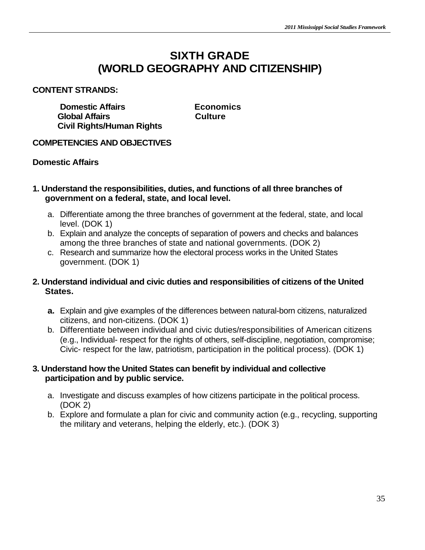### **SIXTH GRADE (WORLD GEOGRAPHY AND CITIZENSHIP)**

#### **CONTENT STRANDS:**

**Domestic Affairs Economics Global Affairs Culture Civil Rights/Human Rights**

#### **COMPETENCIES AND OBJECTIVES**

#### **Domestic Affairs**

#### **1. Understand the responsibilities, duties, and functions of all three branches of government on a federal, state, and local level.**

- a. Differentiate among the three branches of government at the federal, state, and local level. (DOK 1)
- b. Explain and analyze the concepts of separation of powers and checks and balances among the three branches of state and national governments. (DOK 2)
- c. Research and summarize how the electoral process works in the United States government. (DOK 1)

#### **2. Understand individual and civic duties and responsibilities of citizens of the United States.**

- **a.** Explain and give examples of the differences between natural-born citizens, naturalized citizens, and non-citizens. (DOK 1)
- b. Differentiate between individual and civic duties/responsibilities of American citizens (e.g., Individual- respect for the rights of others, self-discipline, negotiation, compromise; Civic- respect for the law, patriotism, participation in the political process). (DOK 1)

#### **3. Understand how the United States can benefit by individual and collective participation and by public service.**

- a. Investigate and discuss examples of how citizens participate in the political process. (DOK 2)
- b. Explore and formulate a plan for civic and community action (e.g., recycling, supporting the military and veterans, helping the elderly, etc.). (DOK 3)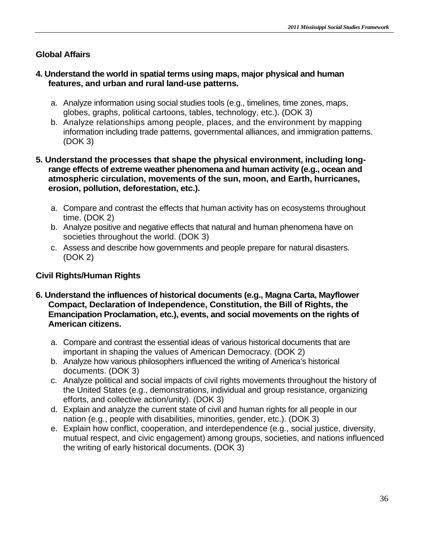## **Global Affairs**

## **4. Understand the world in spatial terms using maps, major physical and human features, and urban and rural land-use patterns.**

- a. Analyze information using social studies tools (e.g., timelines, time zones, maps, globes, graphs, political cartoons, tables, technology, etc.). (DOK 3)
- b. Analyze relationships among people, places, and the environment by mapping information including trade patterns, governmental alliances, and immigration patterns. (DOK 3)

#### **5. Understand the processes that shape the physical environment, including longrange effects of extreme weather phenomena and human activity (e.g., ocean and atmospheric circulation, movements of the sun, moon, and Earth, hurricanes, erosion, pollution, deforestation, etc.).**

- a. Compare and contrast the effects that human activity has on ecosystems throughout time. (DOK 2)
- b. Analyze positive and negative effects that natural and human phenomena have on societies throughout the world. (DOK 3)
- c. Assess and describe how governments and people prepare for natural disasters. (DOK 2)

## **Civil Rights/Human Rights**

- **6. Understand the influences of historical documents (e.g., Magna Carta, Mayflower Compact, Declaration of Independence, Constitution, the Bill of Rights, the Emancipation Proclamation, etc.), events, and social movements on the rights of American citizens.**
	- a. Compare and contrast the essential ideas of various historical documents that are important in shaping the values of American Democracy. (DOK 2)
	- b. Analyze how various philosophers influenced the writing of America's historical documents. (DOK 3)
	- c. Analyze political and social impacts of civil rights movements throughout the history of the United States (e.g., demonstrations, individual and group resistance, organizing efforts, and collective action/unity). (DOK 3)
	- d. Explain and analyze the current state of civil and human rights for all people in our nation (e.g., people with disabilities, minorities, gender, etc.). (DOK 3)
	- e. Explain how conflict, cooperation, and interdependence (e.g., social justice, diversity, mutual respect, and civic engagement) among groups, societies, and nations influenced the writing of early historical documents. (DOK 3)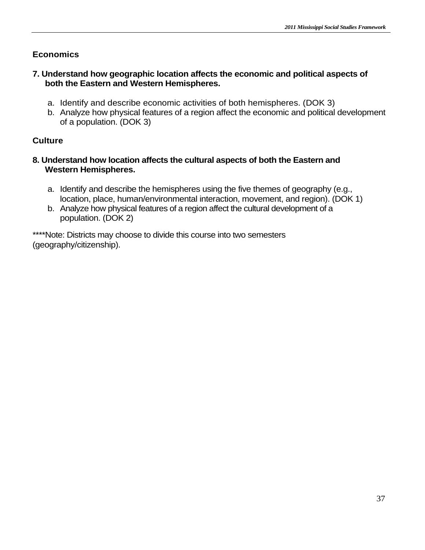- **7. Understand how geographic location affects the economic and political aspects of both the Eastern and Western Hemispheres.**
	- a. Identify and describe economic activities of both hemispheres. (DOK 3)
	- b. Analyze how physical features of a region affect the economic and political development of a population. (DOK 3)

## **Culture**

- **8. Understand how location affects the cultural aspects of both the Eastern and Western Hemispheres.**
	- a. Identify and describe the hemispheres using the five themes of geography (e.g., location, place, human/environmental interaction, movement, and region). (DOK 1)
	- b. Analyze how physical features of a region affect the cultural development of a population. (DOK 2)

\*\*\*\*Note: Districts may choose to divide this course into two semesters (geography/citizenship).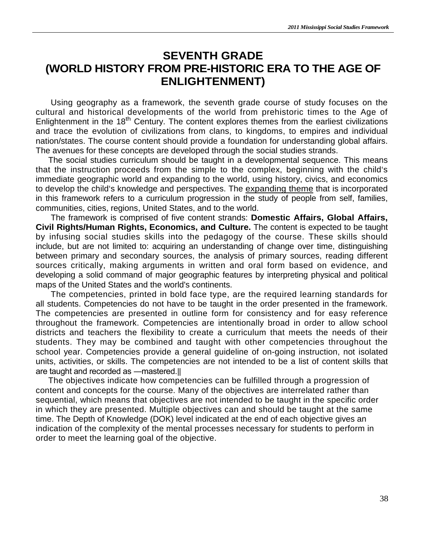## **SEVENTH GRADE (WORLD HISTORY FROM PRE-HISTORIC ERA TO THE AGE OF ENLIGHTENMENT)**

Using geography as a framework, the seventh grade course of study focuses on the cultural and historical developments of the world from prehistoric times to the Age of Enlightenment in the 18<sup>th</sup> Century. The content explores themes from the earliest civilizations and trace the evolution of civilizations from clans, to kingdoms, to empires and individual nation/states. The course content should provide a foundation for understanding global affairs. The avenues for these concepts are developed through the social studies strands.

The social studies curriculum should be taught in a developmental sequence. This means that the instruction proceeds from the simple to the complex, beginning with the child's immediate geographic world and expanding to the world, using history, civics, and economics to develop the child's knowledge and perspectives. The expanding theme that is incorporated in this framework refers to a curriculum progression in the study of people from self, families, communities, cities, regions, United States, and to the world.

The framework is comprised of five content strands: **Domestic Affairs, Global Affairs, Civil Rights/Human Rights, Economics, and Culture.** The content is expected to be taught by infusing social studies skills into the pedagogy of the course. These skills should include, but are not limited to: acquiring an understanding of change over time, distinguishing between primary and secondary sources, the analysis of primary sources, reading different sources critically, making arguments in written and oral form based on evidence, and developing a solid command of major geographic features by interpreting physical and political maps of the United States and the world's continents.

The competencies, printed in bold face type, are the required learning standards for all students. Competencies do not have to be taught in the order presented in the framework. The competencies are presented in outline form for consistency and for easy reference throughout the framework. Competencies are intentionally broad in order to allow school districts and teachers the flexibility to create a curriculum that meets the needs of their students. They may be combined and taught with other competencies throughout the school year. Competencies provide a general guideline of on-going instruction, not isolated units, activities, or skills. The competencies are not intended to be a list of content skills that are taught and recorded as ―mastered.‖

The objectives indicate how competencies can be fulfilled through a progression of content and concepts for the course. Many of the objectives are interrelated rather than sequential, which means that objectives are not intended to be taught in the specific order in which they are presented. Multiple objectives can and should be taught at the same time. The Depth of Knowledge (DOK) level indicated at the end of each objective gives an indication of the complexity of the mental processes necessary for students to perform in order to meet the learning goal of the objective.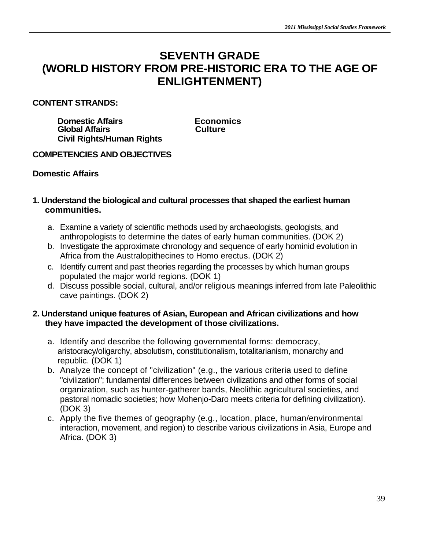## **SEVENTH GRADE (WORLD HISTORY FROM PRE-HISTORIC ERA TO THE AGE OF ENLIGHTENMENT)**

#### **CONTENT STRANDS:**

**Domestic Affairs Economics Global Affairs Civil Rights/Human Rights**

## **COMPETENCIES AND OBJECTIVES**

#### **Domestic Affairs**

#### **1. Understand the biological and cultural processes that shaped the earliest human communities.**

- a. Examine a variety of scientific methods used by archaeologists, geologists, and anthropologists to determine the dates of early human communities. (DOK 2)
- b. Investigate the approximate chronology and sequence of early hominid evolution in Africa from the Australopithecines to Homo erectus. (DOK 2)
- c. Identify current and past theories regarding the processes by which human groups populated the major world regions. (DOK 1)
- d. Discuss possible social, cultural, and/or religious meanings inferred from late Paleolithic cave paintings. (DOK 2)

#### **2. Understand unique features of Asian, European and African civilizations and how they have impacted the development of those civilizations.**

- a. Identify and describe the following governmental forms: democracy, aristocracy/oligarchy, absolutism, constitutionalism, totalitarianism, monarchy and republic. (DOK 1)
- b. Analyze the concept of "civilization" (e.g., the various criteria used to define "civilization"; fundamental differences between civilizations and other forms of social organization, such as hunter-gatherer bands, Neolithic agricultural societies, and pastoral nomadic societies; how Mohenjo-Daro meets criteria for defining civilization). (DOK 3)
- c. Apply the five themes of geography (e.g., location, place, human/environmental interaction, movement, and region) to describe various civilizations in Asia, Europe and Africa. (DOK 3)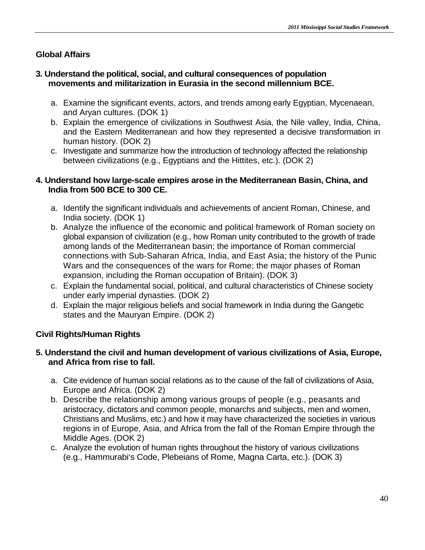## **Global Affairs**

## **3. Understand the political, social, and cultural consequences of population movements and militarization in Eurasia in the second millennium BCE.**

- a. Examine the significant events, actors, and trends among early Egyptian, Mycenaean, and Aryan cultures. (DOK 1)
- b. Explain the emergence of civilizations in Southwest Asia, the Nile valley, India, China, and the Eastern Mediterranean and how they represented a decisive transformation in human history. (DOK 2)
- c. Investigate and summarize how the introduction of technology affected the relationship between civilizations (e.g., Egyptians and the Hittites, etc.). (DOK 2)

## **4. Understand how large-scale empires arose in the Mediterranean Basin, China, and India from 500 BCE to 300 CE.**

- a. Identify the significant individuals and achievements of ancient Roman, Chinese, and India society. (DOK 1)
- b. Analyze the influence of the economic and political framework of Roman society on global expansion of civilization (e.g., how Roman unity contributed to the growth of trade among lands of the Mediterranean basin; the importance of Roman commercial connections with Sub-Saharan Africa, India, and East Asia; the history of the Punic Wars and the consequences of the wars for Rome; the major phases of Roman expansion, including the Roman occupation of Britain). (DOK 3)
- c. Explain the fundamental social, political, and cultural characteristics of Chinese society under early imperial dynasties. (DOK 2)
- d. Explain the major religious beliefs and social framework in India during the Gangetic states and the Mauryan Empire. (DOK 2)

## **Civil Rights/Human Rights**

## **5. Understand the civil and human development of various civilizations of Asia, Europe, and Africa from rise to fall.**

- a. Cite evidence of human social relations as to the cause of the fall of civilizations of Asia, Europe and Africa. (DOK 2)
- b. Describe the relationship among various groups of people (e.g., peasants and aristocracy, dictators and common people, monarchs and subjects, men and women, Christians and Muslims, etc.) and how it may have characterized the societies in various regions in of Europe, Asia, and Africa from the fall of the Roman Empire through the Middle Ages. (DOK 2)
- c. Analyze the evolution of human rights throughout the history of various civilizations (e.g., Hammurabi's Code, Plebeians of Rome, Magna Carta, etc.). (DOK 3)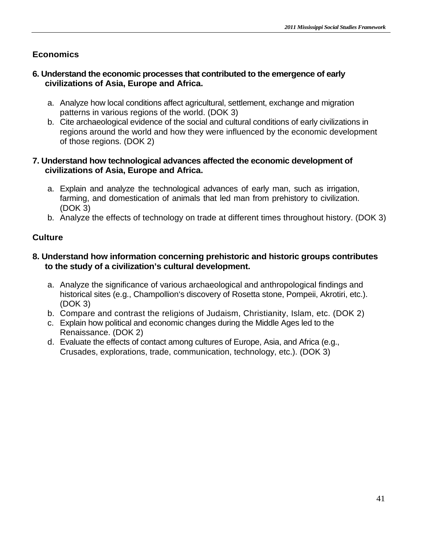### **6. Understand the economic processes that contributed to the emergence of early civilizations of Asia, Europe and Africa.**

- a. Analyze how local conditions affect agricultural, settlement, exchange and migration patterns in various regions of the world. (DOK 3)
- b. Cite archaeological evidence of the social and cultural conditions of early civilizations in regions around the world and how they were influenced by the economic development of those regions. (DOK 2)

## **7. Understand how technological advances affected the economic development of civilizations of Asia, Europe and Africa.**

- a. Explain and analyze the technological advances of early man, such as irrigation, farming, and domestication of animals that led man from prehistory to civilization. (DOK 3)
- b. Analyze the effects of technology on trade at different times throughout history. (DOK 3)

## **Culture**

## **8. Understand how information concerning prehistoric and historic groups contributes to the study of a civilization's cultural development.**

- a. Analyze the significance of various archaeological and anthropological findings and historical sites (e.g., Champollion's discovery of Rosetta stone, Pompeii, Akrotiri, etc.). (DOK 3)
- b. Compare and contrast the religions of Judaism, Christianity, Islam, etc. (DOK 2)
- c. Explain how political and economic changes during the Middle Ages led to the Renaissance. (DOK 2)
- d. Evaluate the effects of contact among cultures of Europe, Asia, and Africa (e.g., Crusades, explorations, trade, communication, technology, etc.). (DOK 3)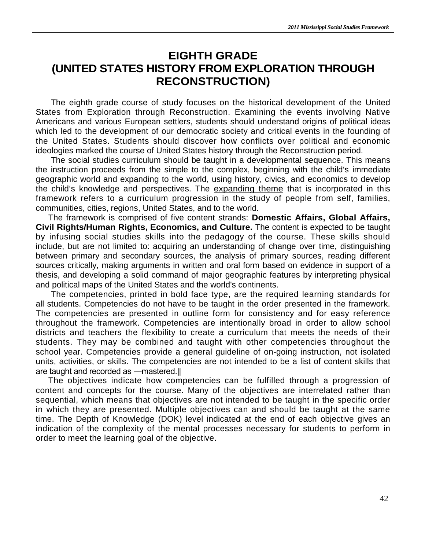## **EIGHTH GRADE (UNITED STATES HISTORY FROM EXPLORATION THROUGH RECONSTRUCTION)**

The eighth grade course of study focuses on the historical development of the United States from Exploration through Reconstruction. Examining the events involving Native Americans and various European settlers, students should understand origins of political ideas which led to the development of our democratic society and critical events in the founding of the United States. Students should discover how conflicts over political and economic ideologies marked the course of United States history through the Reconstruction period.

The social studies curriculum should be taught in a developmental sequence. This means the instruction proceeds from the simple to the complex, beginning with the child's immediate geographic world and expanding to the world, using history, civics, and economics to develop the child's knowledge and perspectives. The expanding theme that is incorporated in this framework refers to a curriculum progression in the study of people from self, families, communities, cities, regions, United States, and to the world.

The framework is comprised of five content strands: **Domestic Affairs, Global Affairs, Civil Rights/Human Rights, Economics, and Culture.** The content is expected to be taught by infusing social studies skills into the pedagogy of the course. These skills should include, but are not limited to: acquiring an understanding of change over time, distinguishing between primary and secondary sources, the analysis of primary sources, reading different sources critically, making arguments in written and oral form based on evidence in support of a thesis, and developing a solid command of major geographic features by interpreting physical and political maps of the United States and the world's continents.

The competencies, printed in bold face type, are the required learning standards for all students. Competencies do not have to be taught in the order presented in the framework. The competencies are presented in outline form for consistency and for easy reference throughout the framework. Competencies are intentionally broad in order to allow school districts and teachers the flexibility to create a curriculum that meets the needs of their students. They may be combined and taught with other competencies throughout the school year. Competencies provide a general guideline of on-going instruction, not isolated units, activities, or skills. The competencies are not intended to be a list of content skills that are taught and recorded as ―mastered.‖

The objectives indicate how competencies can be fulfilled through a progression of content and concepts for the course. Many of the objectives are interrelated rather than sequential, which means that objectives are not intended to be taught in the specific order in which they are presented. Multiple objectives can and should be taught at the same time. The Depth of Knowledge (DOK) level indicated at the end of each objective gives an indication of the complexity of the mental processes necessary for students to perform in order to meet the learning goal of the objective.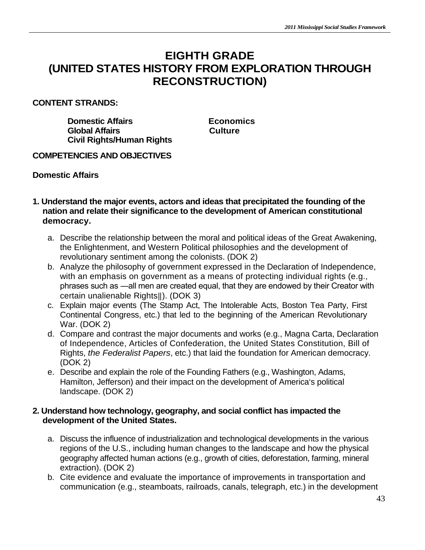## **EIGHTH GRADE (UNITED STATES HISTORY FROM EXPLORATION THROUGH RECONSTRUCTION)**

#### **CONTENT STRANDS:**

**Domestic Affairs Economics Global Affairs Culture Civil Rights/Human Rights**

#### **COMPETENCIES AND OBJECTIVES**

**Domestic Affairs**

- **1. Understand the major events, actors and ideas that precipitated the founding of the nation and relate their significance to the development of American constitutional democracy.**
	- a. Describe the relationship between the moral and political ideas of the Great Awakening, the Enlightenment, and Western Political philosophies and the development of revolutionary sentiment among the colonists. (DOK 2)
	- b. Analyze the philosophy of government expressed in the Declaration of Independence, with an emphasis on government as a means of protecting individual rights (e.g., phrases such as ―all men are created equal, that they are endowed by their Creator with certain unalienable Rights‖). (DOK 3)
	- c. Explain major events (The Stamp Act, The Intolerable Acts, Boston Tea Party, First Continental Congress, etc.) that led to the beginning of the American Revolutionary War. (DOK 2)
	- d. Compare and contrast the major documents and works (e.g., Magna Carta, Declaration of Independence, Articles of Confederation, the United States Constitution, Bill of Rights, *the Federalist Papers*, etc.) that laid the foundation for American democracy. (DOK 2)
	- e. Describe and explain the role of the Founding Fathers (e.g., Washington, Adams, Hamilton, Jefferson) and their impact on the development of America's political landscape. (DOK 2)

#### **2. Understand how technology, geography, and social conflict has impacted the development of the United States.**

- a. Discuss the influence of industrialization and technological developments in the various regions of the U.S., including human changes to the landscape and how the physical geography affected human actions (e.g., growth of cities, deforestation, farming, mineral extraction). (DOK 2)
- b. Cite evidence and evaluate the importance of improvements in transportation and communication (e.g., steamboats, railroads, canals, telegraph, etc.) in the development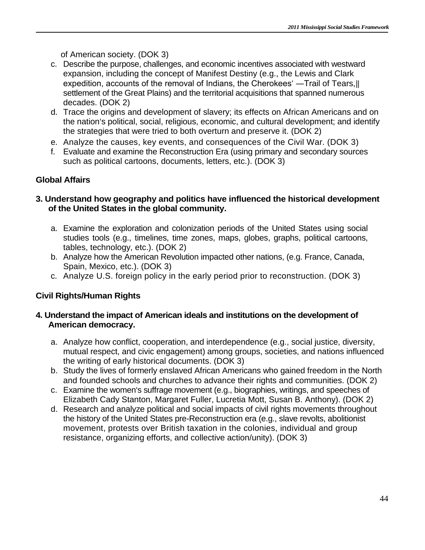of American society. (DOK 3)

- c. Describe the purpose, challenges, and economic incentives associated with westward expansion, including the concept of Manifest Destiny (e.g., the Lewis and Clark expedition, accounts of the removal of Indians, the Cherokees' — Trail of Tears, || settlement of the Great Plains) and the territorial acquisitions that spanned numerous decades. (DOK 2)
- d. Trace the origins and development of slavery; its effects on African Americans and on the nation's political, social, religious, economic, and cultural development; and identify the strategies that were tried to both overturn and preserve it. (DOK 2)
- e. Analyze the causes, key events, and consequences of the Civil War. (DOK 3)
- f. Evaluate and examine the Reconstruction Era (using primary and secondary sources such as political cartoons, documents, letters, etc.). (DOK 3)

## **Global Affairs**

#### **3. Understand how geography and politics have influenced the historical development of the United States in the global community.**

- a. Examine the exploration and colonization periods of the United States using social studies tools (e.g., timelines, time zones, maps, globes, graphs, political cartoons, tables, technology, etc.). (DOK 2)
- b. Analyze how the American Revolution impacted other nations, (e.g. France, Canada, Spain, Mexico, etc.). (DOK 3)
- c. Analyze U.S. foreign policy in the early period prior to reconstruction. (DOK 3)

## **Civil Rights/Human Rights**

## **4. Understand the impact of American ideals and institutions on the development of American democracy.**

- a. Analyze how conflict, cooperation, and interdependence (e.g., social justice, diversity, mutual respect, and civic engagement) among groups, societies, and nations influenced the writing of early historical documents. (DOK 3)
- b. Study the lives of formerly enslaved African Americans who gained freedom in the North and founded schools and churches to advance their rights and communities. (DOK 2)
- c. Examine the women's suffrage movement (e.g., biographies, writings, and speeches of Elizabeth Cady Stanton, Margaret Fuller, Lucretia Mott, Susan B. Anthony). (DOK 2)
- d. Research and analyze political and social impacts of civil rights movements throughout the history of the United States pre-Reconstruction era (e.g., slave revolts, abolitionist movement, protests over British taxation in the colonies, individual and group resistance, organizing efforts, and collective action/unity). (DOK 3)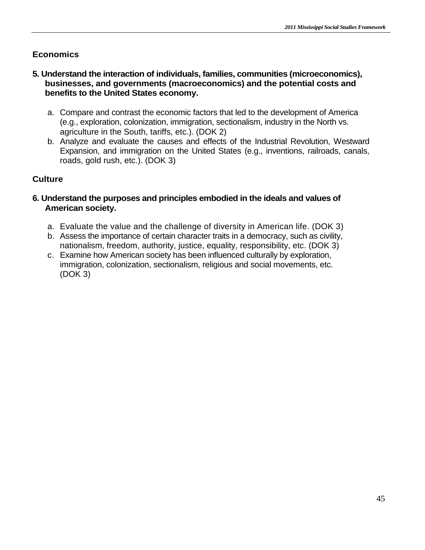#### **5. Understand the interaction of individuals, families, communities (microeconomics), businesses, and governments (macroeconomics) and the potential costs and benefits to the United States economy.**

- a. Compare and contrast the economic factors that led to the development of America (e.g., exploration, colonization, immigration, sectionalism, industry in the North vs. agriculture in the South, tariffs, etc.). (DOK 2)
- b. Analyze and evaluate the causes and effects of the Industrial Revolution, Westward Expansion, and immigration on the United States (e.g., inventions, railroads, canals, roads, gold rush, etc.). (DOK 3)

## **Culture**

## **6. Understand the purposes and principles embodied in the ideals and values of American society.**

- a. Evaluate the value and the challenge of diversity in American life. (DOK 3)
- b. Assess the importance of certain character traits in a democracy, such as civility, nationalism, freedom, authority, justice, equality, responsibility, etc. (DOK 3)
- c. Examine how American society has been influenced culturally by exploration, immigration, colonization, sectionalism, religious and social movements, etc. (DOK 3)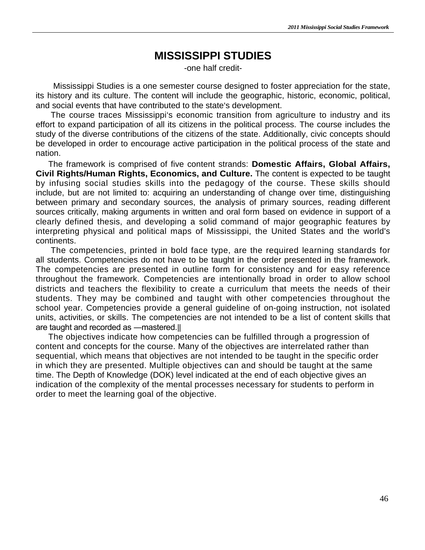## **MISSISSIPPI STUDIES**

-one half credit-

Mississippi Studies is a one semester course designed to foster appreciation for the state, its history and its culture. The content will include the geographic, historic, economic, political, and social events that have contributed to the state's development.

The course traces Mississippi's economic transition from agriculture to industry and its effort to expand participation of all its citizens in the political process. The course includes the study of the diverse contributions of the citizens of the state. Additionally, civic concepts should be developed in order to encourage active participation in the political process of the state and nation.

The framework is comprised of five content strands: **Domestic Affairs, Global Affairs, Civil Rights/Human Rights, Economics, and Culture.** The content is expected to be taught by infusing social studies skills into the pedagogy of the course. These skills should include, but are not limited to: acquiring an understanding of change over time, distinguishing between primary and secondary sources, the analysis of primary sources, reading different sources critically, making arguments in written and oral form based on evidence in support of a clearly defined thesis, and developing a solid command of major geographic features by interpreting physical and political maps of Mississippi, the United States and the world's continents.

The competencies, printed in bold face type, are the required learning standards for all students. Competencies do not have to be taught in the order presented in the framework. The competencies are presented in outline form for consistency and for easy reference throughout the framework. Competencies are intentionally broad in order to allow school districts and teachers the flexibility to create a curriculum that meets the needs of their students. They may be combined and taught with other competencies throughout the school year. Competencies provide a general guideline of on-going instruction, not isolated units, activities, or skills. The competencies are not intended to be a list of content skills that are taught and recorded as ―mastered.‖

The objectives indicate how competencies can be fulfilled through a progression of content and concepts for the course. Many of the objectives are interrelated rather than sequential, which means that objectives are not intended to be taught in the specific order in which they are presented. Multiple objectives can and should be taught at the same time. The Depth of Knowledge (DOK) level indicated at the end of each objective gives an indication of the complexity of the mental processes necessary for students to perform in order to meet the learning goal of the objective.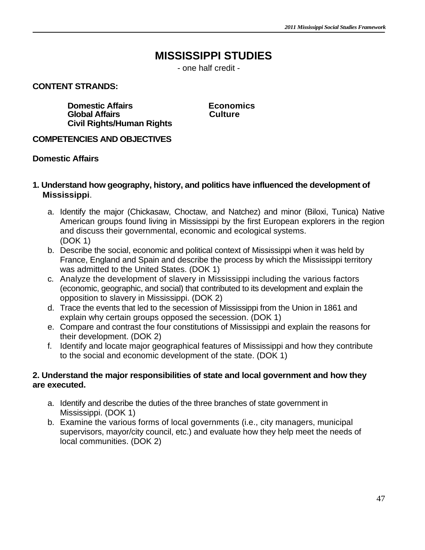## **MISSISSIPPI STUDIES**

- one half credit -

#### **CONTENT STRANDS:**

**Domestic Affairs**<br> **Global Affairs**<br> **Global Affairs Global Affairs Civil Rights/Human Rights**

#### **COMPETENCIES AND OBJECTIVES**

#### **Domestic Affairs**

#### **1. Understand how geography, history, and politics have influenced the development of Mississippi**.

- a. Identify the major (Chickasaw, Choctaw, and Natchez) and minor (Biloxi, Tunica) Native American groups found living in Mississippi by the first European explorers in the region and discuss their governmental, economic and ecological systems. (DOK 1)
- b. Describe the social, economic and political context of Mississippi when it was held by France, England and Spain and describe the process by which the Mississippi territory was admitted to the United States. (DOK 1)
- c. Analyze the development of slavery in Mississippi including the various factors (economic, geographic, and social) that contributed to its development and explain the opposition to slavery in Mississippi. (DOK 2)
- d. Trace the events that led to the secession of Mississippi from the Union in 1861 and explain why certain groups opposed the secession. (DOK 1)
- e. Compare and contrast the four constitutions of Mississippi and explain the reasons for their development. (DOK 2)
- f. Identify and locate major geographical features of Mississippi and how they contribute to the social and economic development of the state. (DOK 1)

#### **2. Understand the major responsibilities of state and local government and how they are executed.**

- a. Identify and describe the duties of the three branches of state government in Mississippi. (DOK 1)
- b. Examine the various forms of local governments (i.e., city managers, municipal supervisors, mayor/city council, etc.) and evaluate how they help meet the needs of local communities. (DOK 2)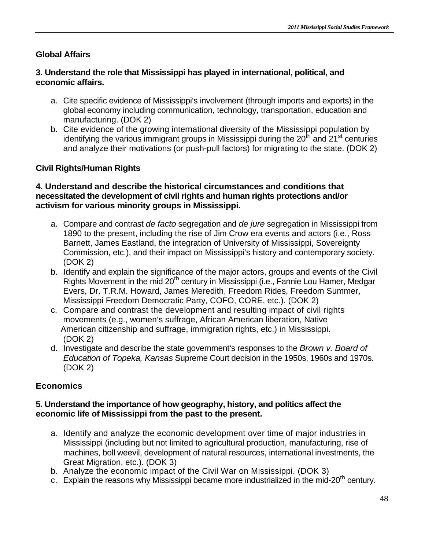## **Global Affairs**

### **3. Understand the role that Mississippi has played in international, political, and economic affairs.**

- a. Cite specific evidence of Mississippi's involvement (through imports and exports) in the global economy including communication, technology, transportation, education and manufacturing. (DOK 2)
- b. Cite evidence of the growing international diversity of the Mississippi population by identifying the various immigrant groups in Mississippi during the  $20<sup>th</sup>$  and  $21<sup>st</sup>$  centuries and analyze their motivations (or push-pull factors) for migrating to the state. (DOK 2)

## **Civil Rights/Human Rights**

#### **4. Understand and describe the historical circumstances and conditions that necessitated the development of civil rights and human rights protections and/or activism for various minority groups in Mississippi.**

- a. Compare and contrast *de facto* segregation and *de jure* segregation in Mississippi from 1890 to the present, including the rise of Jim Crow era events and actors (i.e., Ross Barnett, James Eastland, the integration of University of Mississippi, Sovereignty Commission, etc.), and their impact on Mississippi's history and contemporary society. (DOK 2)
- b. Identify and explain the significance of the major actors, groups and events of the Civil Rights Movement in the mid 20th century in Mississippi (i.e., Fannie Lou Hamer, Medgar Evers, Dr. T.R.M. Howard, James Meredith, Freedom Rides, Freedom Summer, Mississippi Freedom Democratic Party, COFO, CORE, etc.). (DOK 2)
- c. Compare and contrast the development and resulting impact of civil rights movements (e.g., women's suffrage, African American liberation, Native American citizenship and suffrage, immigration rights, etc.) in Mississippi. (DOK 2)
- d. Investigate and describe the state government's responses to the *Brown v. Board of Education of Topeka, Kansas* Supreme Court decision in the 1950s, 1960s and 1970s. (DOK 2)

## **Economics**

#### **5. Understand the importance of how geography, history, and politics affect the economic life of Mississippi from the past to the present.**

- a. Identify and analyze the economic development over time of major industries in Mississippi (including but not limited to agricultural production, manufacturing, rise of machines, boll weevil, development of natural resources, international investments, the Great Migration, etc.). (DOK 3)
- b. Analyze the economic impact of the Civil War on Mississippi. (DOK 3)
- c. Explain the reasons why Mississippi became more industrialized in the mid-20<sup>th</sup> century.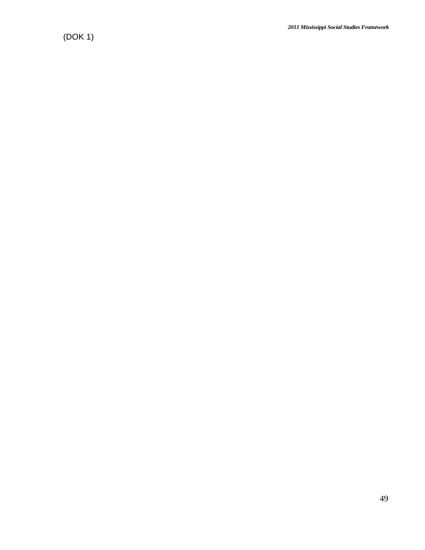(DOK 1)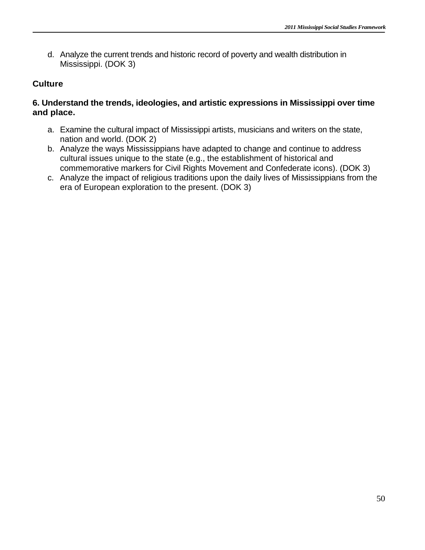d. Analyze the current trends and historic record of poverty and wealth distribution in Mississippi. (DOK 3)

## **Culture**

## **6. Understand the trends, ideologies, and artistic expressions in Mississippi over time and place.**

- a. Examine the cultural impact of Mississippi artists, musicians and writers on the state, nation and world. (DOK 2)
- b. Analyze the ways Mississippians have adapted to change and continue to address cultural issues unique to the state (e.g., the establishment of historical and commemorative markers for Civil Rights Movement and Confederate icons). (DOK 3)
- c. Analyze the impact of religious traditions upon the daily lives of Mississippians from the era of European exploration to the present. (DOK 3)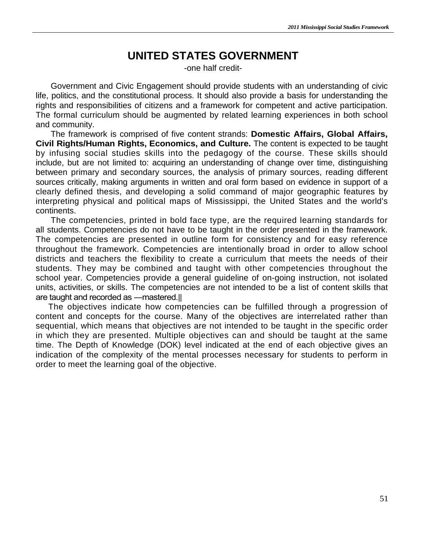# **UNITED STATES GOVERNMENT**

-one half credit-

Government and Civic Engagement should provide students with an understanding of civic life, politics, and the constitutional process. It should also provide a basis for understanding the rights and responsibilities of citizens and a framework for competent and active participation. The formal curriculum should be augmented by related learning experiences in both school and community.

The framework is comprised of five content strands: **Domestic Affairs, Global Affairs, Civil Rights/Human Rights, Economics, and Culture.** The content is expected to be taught by infusing social studies skills into the pedagogy of the course. These skills should include, but are not limited to: acquiring an understanding of change over time, distinguishing between primary and secondary sources, the analysis of primary sources, reading different sources critically, making arguments in written and oral form based on evidence in support of a clearly defined thesis, and developing a solid command of major geographic features by interpreting physical and political maps of Mississippi, the United States and the world's continents.

The competencies, printed in bold face type, are the required learning standards for all students. Competencies do not have to be taught in the order presented in the framework. The competencies are presented in outline form for consistency and for easy reference throughout the framework. Competencies are intentionally broad in order to allow school districts and teachers the flexibility to create a curriculum that meets the needs of their students. They may be combined and taught with other competencies throughout the school year. Competencies provide a general guideline of on-going instruction, not isolated units, activities, or skills. The competencies are not intended to be a list of content skills that are taught and recorded as ―mastered.‖

The objectives indicate how competencies can be fulfilled through a progression of content and concepts for the course. Many of the objectives are interrelated rather than sequential, which means that objectives are not intended to be taught in the specific order in which they are presented. Multiple objectives can and should be taught at the same time. The Depth of Knowledge (DOK) level indicated at the end of each objective gives an indication of the complexity of the mental processes necessary for students to perform in order to meet the learning goal of the objective.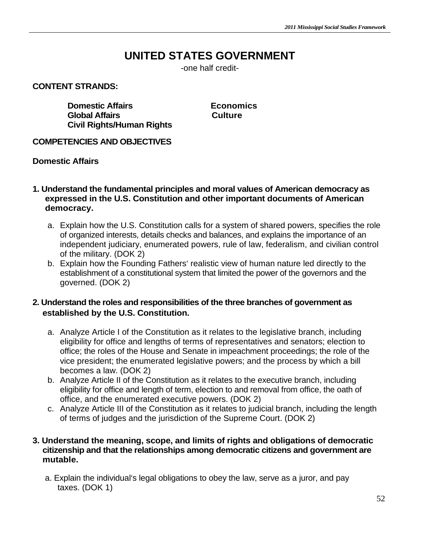# **UNITED STATES GOVERNMENT**

-one half credit-

#### **CONTENT STRANDS:**

**Domestic Affairs Economics Global Affairs Civil Rights/Human Rights**

#### **COMPETENCIES AND OBJECTIVES**

#### **Domestic Affairs**

#### **1. Understand the fundamental principles and moral values of American democracy as expressed in the U.S. Constitution and other important documents of American democracy.**

- a. Explain how the U.S. Constitution calls for a system of shared powers, specifies the role of organized interests, details checks and balances, and explains the importance of an independent judiciary, enumerated powers, rule of law, federalism, and civilian control of the military. (DOK 2)
- b. Explain how the Founding Fathers' realistic view of human nature led directly to the establishment of a constitutional system that limited the power of the governors and the governed. (DOK 2)

### **2. Understand the roles and responsibilities of the three branches of government as established by the U.S. Constitution.**

- a. Analyze Article I of the Constitution as it relates to the legislative branch, including eligibility for office and lengths of terms of representatives and senators; election to office; the roles of the House and Senate in impeachment proceedings; the role of the vice president; the enumerated legislative powers; and the process by which a bill becomes a law. (DOK 2)
- b. Analyze Article II of the Constitution as it relates to the executive branch, including eligibility for office and length of term, election to and removal from office, the oath of office, and the enumerated executive powers. (DOK 2)
- c. Analyze Article III of the Constitution as it relates to judicial branch, including the length of terms of judges and the jurisdiction of the Supreme Court. (DOK 2)

#### **3. Understand the meaning, scope, and limits of rights and obligations of democratic citizenship and that the relationships among democratic citizens and government are mutable.**

a. Explain the individual's legal obligations to obey the law, serve as a juror, and pay taxes. (DOK 1)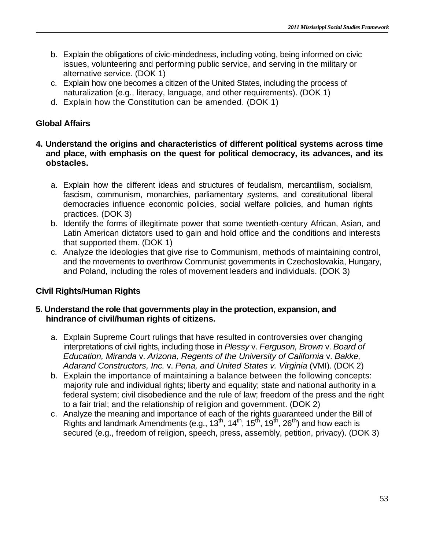- b. Explain the obligations of civic-mindedness, including voting, being informed on civic issues, volunteering and performing public service, and serving in the military or alternative service. (DOK 1)
- c. Explain how one becomes a citizen of the United States, including the process of naturalization (e.g., literacy, language, and other requirements). (DOK 1)
- d. Explain how the Constitution can be amended. (DOK 1)

## **Global Affairs**

- **4. Understand the origins and characteristics of different political systems across time and place, with emphasis on the quest for political democracy, its advances, and its obstacles.**
	- a. Explain how the different ideas and structures of feudalism, mercantilism, socialism, fascism, communism, monarchies, parliamentary systems, and constitutional liberal democracies influence economic policies, social welfare policies, and human rights practices. (DOK 3)
	- b. Identify the forms of illegitimate power that some twentieth-century African, Asian, and Latin American dictators used to gain and hold office and the conditions and interests that supported them. (DOK 1)
	- c. Analyze the ideologies that give rise to Communism, methods of maintaining control, and the movements to overthrow Communist governments in Czechoslovakia, Hungary, and Poland, including the roles of movement leaders and individuals. (DOK 3)

## **Civil Rights/Human Rights**

#### **5. Understand the role that governments play in the protection, expansion, and hindrance of civil/human rights of citizens.**

- a. Explain Supreme Court rulings that have resulted in controversies over changing interpretations of civil rights, including those in *Plessy* v. *Ferguson, Brown* v. *Board of Education, Miranda* v. *Arizona, Regents of the University of California* v. *Bakke, Adarand Constructors, Inc.* v. *Pena, and United States v. Virginia* (VMI). (DOK 2)
- b. Explain the importance of maintaining a balance between the following concepts: majority rule and individual rights; liberty and equality; state and national authority in a federal system; civil disobedience and the rule of law; freedom of the press and the right to a fair trial; and the relationship of religion and government. (DOK 2)
- c. Analyze the meaning and importance of each of the rights guaranteed under the Bill of Rights and landmark Amendments (e.g.,  $13^{th}$ ,  $14^{th}$ ,  $15^{th}$ ,  $19^{th}$ ,  $26^{th}$ ) and how each is secured (e.g., freedom of religion, speech, press, assembly, petition, privacy). (DOK 3)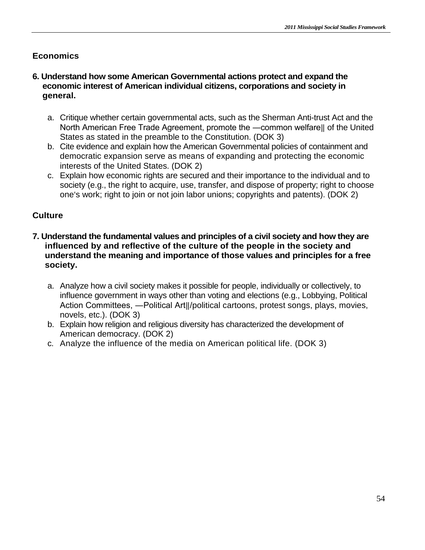### **6. Understand how some American Governmental actions protect and expand the economic interest of American individual citizens, corporations and society in general.**

- a. Critique whether certain governmental acts, such as the Sherman Anti-trust Act and the North American Free Trade Agreement, promote the ―common welfare‖ of the United States as stated in the preamble to the Constitution. (DOK 3)
- b. Cite evidence and explain how the American Governmental policies of containment and democratic expansion serve as means of expanding and protecting the economic interests of the United States. (DOK 2)
- c. Explain how economic rights are secured and their importance to the individual and to society (e.g., the right to acquire, use, transfer, and dispose of property; right to choose one's work; right to join or not join labor unions; copyrights and patents). (DOK 2)

## **Culture**

- **7. Understand the fundamental values and principles of a civil society and how they are influenced by and reflective of the culture of the people in the society and understand the meaning and importance of those values and principles for a free society.**
	- a. Analyze how a civil society makes it possible for people, individually or collectively, to influence government in ways other than voting and elections (e.g., Lobbying, Political Action Committees, -Political Art||/political cartoons, protest songs, plays, movies, novels, etc.). (DOK 3)
	- b. Explain how religion and religious diversity has characterized the development of American democracy. (DOK 2)
	- c. Analyze the influence of the media on American political life. (DOK 3)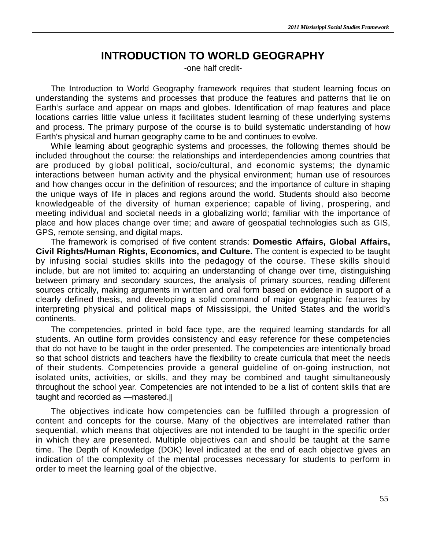## **INTRODUCTION TO WORLD GEOGRAPHY**

-one half credit-

The Introduction to World Geography framework requires that student learning focus on understanding the systems and processes that produce the features and patterns that lie on Earth's surface and appear on maps and globes. Identification of map features and place locations carries little value unless it facilitates student learning of these underlying systems and process. The primary purpose of the course is to build systematic understanding of how Earth's physical and human geography came to be and continues to evolve.

While learning about geographic systems and processes, the following themes should be included throughout the course: the relationships and interdependencies among countries that are produced by global political, socio/cultural, and economic systems; the dynamic interactions between human activity and the physical environment; human use of resources and how changes occur in the definition of resources; and the importance of culture in shaping the unique ways of life in places and regions around the world. Students should also become knowledgeable of the diversity of human experience; capable of living, prospering, and meeting individual and societal needs in a globalizing world; familiar with the importance of place and how places change over time; and aware of geospatial technologies such as GIS, GPS, remote sensing, and digital maps.

The framework is comprised of five content strands: **Domestic Affairs, Global Affairs, Civil Rights/Human Rights, Economics, and Culture.** The content is expected to be taught by infusing social studies skills into the pedagogy of the course. These skills should include, but are not limited to: acquiring an understanding of change over time, distinguishing between primary and secondary sources, the analysis of primary sources, reading different sources critically, making arguments in written and oral form based on evidence in support of a clearly defined thesis, and developing a solid command of major geographic features by interpreting physical and political maps of Mississippi, the United States and the world's continents.

The competencies, printed in bold face type, are the required learning standards for all students. An outline form provides consistency and easy reference for these competencies that do not have to be taught in the order presented. The competencies are intentionally broad so that school districts and teachers have the flexibility to create curricula that meet the needs of their students. Competencies provide a general guideline of on-going instruction, not isolated units, activities, or skills, and they may be combined and taught simultaneously throughout the school year. Competencies are not intended to be a list of content skills that are taught and recorded as ―mastered.‖

The objectives indicate how competencies can be fulfilled through a progression of content and concepts for the course. Many of the objectives are interrelated rather than sequential, which means that objectives are not intended to be taught in the specific order in which they are presented. Multiple objectives can and should be taught at the same time. The Depth of Knowledge (DOK) level indicated at the end of each objective gives an indication of the complexity of the mental processes necessary for students to perform in order to meet the learning goal of the objective.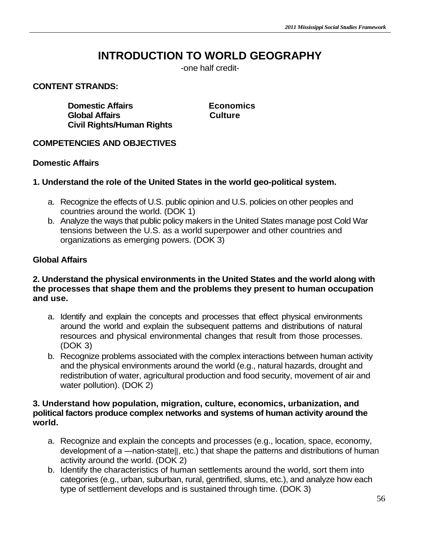# **INTRODUCTION TO WORLD GEOGRAPHY**

-one half credit-

#### **CONTENT STRANDS:**

**Domestic Affairs**<br> **Global Affairs**<br> **Culture Global Affairs Civil Rights/Human Rights**

#### **COMPETENCIES AND OBJECTIVES**

#### **Domestic Affairs**

#### **1. Understand the role of the United States in the world geo-political system.**

- a. Recognize the effects of U.S. public opinion and U.S. policies on other peoples and countries around the world. (DOK 1)
- b. Analyze the ways that public policy makers in the United States manage post Cold War tensions between the U.S. as a world superpower and other countries and organizations as emerging powers. (DOK 3)

#### **Global Affairs**

#### **2. Understand the physical environments in the United States and the world along with the processes that shape them and the problems they present to human occupation and use.**

- a. Identify and explain the concepts and processes that effect physical environments around the world and explain the subsequent patterns and distributions of natural resources and physical environmental changes that result from those processes. (DOK 3)
- b. Recognize problems associated with the complex interactions between human activity and the physical environments around the world (e.g., natural hazards, drought and redistribution of water, agricultural production and food security, movement of air and water pollution). (DOK 2)

#### **3. Understand how population, migration, culture, economics, urbanization, and political factors produce complex networks and systems of human activity around the world.**

- a. Recognize and explain the concepts and processes (e.g., location, space, economy, development of a ―nation-state‖, etc.) that shape the patterns and distributions of human activity around the world. (DOK 2)
- b. Identify the characteristics of human settlements around the world, sort them into categories (e.g., urban, suburban, rural, gentrified, slums, etc.), and analyze how each type of settlement develops and is sustained through time. (DOK 3)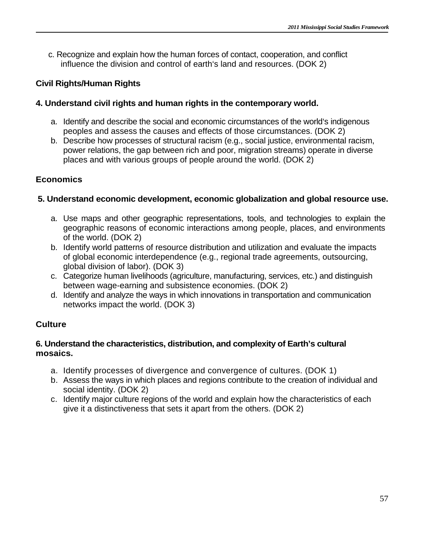c. Recognize and explain how the human forces of contact, cooperation, and conflict influence the division and control of earth's land and resources. (DOK 2)

## **Civil Rights/Human Rights**

## **4. Understand civil rights and human rights in the contemporary world.**

- a. Identify and describe the social and economic circumstances of the world's indigenous peoples and assess the causes and effects of those circumstances. (DOK 2)
- b. Describe how processes of structural racism (e.g., social justice, environmental racism, power relations, the gap between rich and poor, migration streams) operate in diverse places and with various groups of people around the world. (DOK 2)

## **Economics**

## **5. Understand economic development, economic globalization and global resource use.**

- a. Use maps and other geographic representations, tools, and technologies to explain the geographic reasons of economic interactions among people, places, and environments of the world. (DOK 2)
- b. Identify world patterns of resource distribution and utilization and evaluate the impacts of global economic interdependence (e.g., regional trade agreements, outsourcing, global division of labor). (DOK 3)
- c. Categorize human livelihoods (agriculture, manufacturing, services, etc.) and distinguish between wage-earning and subsistence economies. (DOK 2)
- d. Identify and analyze the ways in which innovations in transportation and communication networks impact the world. (DOK 3)

## **Culture**

## **6. Understand the characteristics, distribution, and complexity of Earth's cultural mosaics.**

- a. Identify processes of divergence and convergence of cultures. (DOK 1)
- b. Assess the ways in which places and regions contribute to the creation of individual and social identity. (DOK 2)
- c. Identify major culture regions of the world and explain how the characteristics of each give it a distinctiveness that sets it apart from the others. (DOK 2)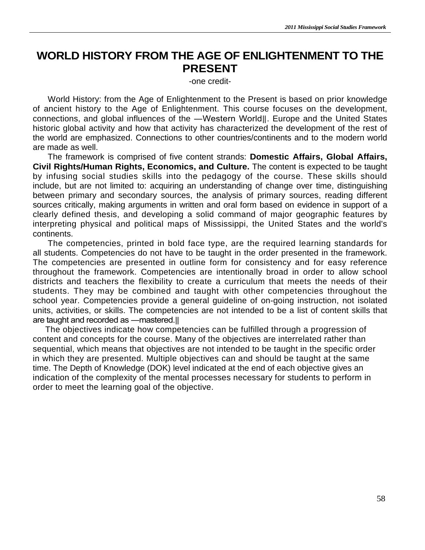## **WORLD HISTORY FROM THE AGE OF ENLIGHTENMENT TO THE PRESENT**

-one credit-

World History: from the Age of Enlightenment to the Present is based on prior knowledge of ancient history to the Age of Enlightenment. This course focuses on the development, connections, and global influences of the ―Western World‖. Europe and the United States historic global activity and how that activity has characterized the development of the rest of the world are emphasized. Connections to other countries/continents and to the modern world are made as well.

The framework is comprised of five content strands: **Domestic Affairs, Global Affairs, Civil Rights/Human Rights, Economics, and Culture.** The content is expected to be taught by infusing social studies skills into the pedagogy of the course. These skills should include, but are not limited to: acquiring an understanding of change over time, distinguishing between primary and secondary sources, the analysis of primary sources, reading different sources critically, making arguments in written and oral form based on evidence in support of a clearly defined thesis, and developing a solid command of major geographic features by interpreting physical and political maps of Mississippi, the United States and the world's continents.

The competencies, printed in bold face type, are the required learning standards for all students. Competencies do not have to be taught in the order presented in the framework. The competencies are presented in outline form for consistency and for easy reference throughout the framework. Competencies are intentionally broad in order to allow school districts and teachers the flexibility to create a curriculum that meets the needs of their students. They may be combined and taught with other competencies throughout the school year. Competencies provide a general guideline of on-going instruction, not isolated units, activities, or skills. The competencies are not intended to be a list of content skills that are taught and recorded as ―mastered.‖

The objectives indicate how competencies can be fulfilled through a progression of content and concepts for the course. Many of the objectives are interrelated rather than sequential, which means that objectives are not intended to be taught in the specific order in which they are presented. Multiple objectives can and should be taught at the same time. The Depth of Knowledge (DOK) level indicated at the end of each objective gives an indication of the complexity of the mental processes necessary for students to perform in order to meet the learning goal of the objective.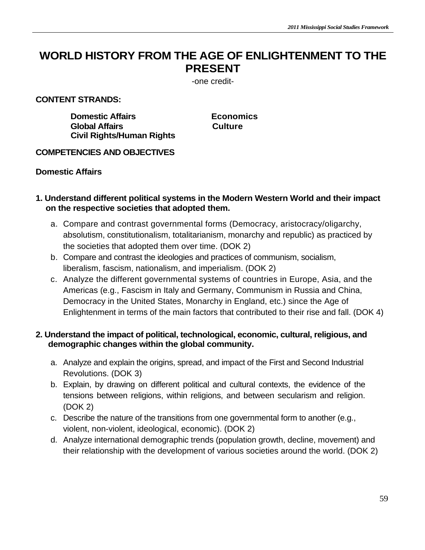## **WORLD HISTORY FROM THE AGE OF ENLIGHTENMENT TO THE PRESENT**

-one credit-

#### **CONTENT STRANDS:**

**Domestic Affairs Economics Global Affairs Culture Civil Rights/Human Rights**

## **COMPETENCIES AND OBJECTIVES**

#### **Domestic Affairs**

### **1. Understand different political systems in the Modern Western World and their impact on the respective societies that adopted them.**

- a. Compare and contrast governmental forms (Democracy, aristocracy/oligarchy, absolutism, constitutionalism, totalitarianism, monarchy and republic) as practiced by the societies that adopted them over time. (DOK 2)
- b. Compare and contrast the ideologies and practices of communism, socialism, liberalism, fascism, nationalism, and imperialism. (DOK 2)
- c. Analyze the different governmental systems of countries in Europe, Asia, and the Americas (e.g., Fascism in Italy and Germany, Communism in Russia and China, Democracy in the United States, Monarchy in England, etc.) since the Age of Enlightenment in terms of the main factors that contributed to their rise and fall. (DOK 4)

#### **2. Understand the impact of political, technological, economic, cultural, religious, and demographic changes within the global community.**

- a. Analyze and explain the origins, spread, and impact of the First and Second Industrial Revolutions. (DOK 3)
- b. Explain, by drawing on different political and cultural contexts, the evidence of the tensions between religions, within religions, and between secularism and religion. (DOK 2)
- c. Describe the nature of the transitions from one governmental form to another (e.g., violent, non-violent, ideological, economic). (DOK 2)
- d. Analyze international demographic trends (population growth, decline, movement) and their relationship with the development of various societies around the world. (DOK 2)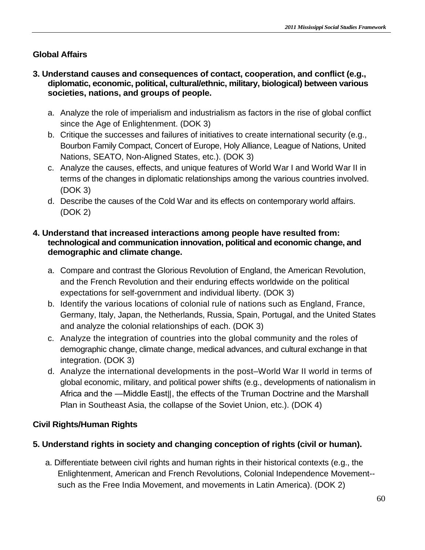## **Global Affairs**

- **3. Understand causes and consequences of contact, cooperation, and conflict (e.g., diplomatic, economic, political, cultural/ethnic, military, biological) between various societies, nations, and groups of people.**
	- a. Analyze the role of imperialism and industrialism as factors in the rise of global conflict since the Age of Enlightenment. (DOK 3)
	- b. Critique the successes and failures of initiatives to create international security (e.g., Bourbon Family Compact, Concert of Europe, Holy Alliance, League of Nations, United Nations, SEATO, Non-Aligned States, etc.). (DOK 3)
	- c. Analyze the causes, effects, and unique features of World War I and World War II in terms of the changes in diplomatic relationships among the various countries involved. (DOK 3)
	- d. Describe the causes of the Cold War and its effects on contemporary world affairs. (DOK 2)

## **4. Understand that increased interactions among people have resulted from: technological and communication innovation, political and economic change, and demographic and climate change.**

- a. Compare and contrast the Glorious Revolution of England, the American Revolution, and the French Revolution and their enduring effects worldwide on the political expectations for self-government and individual liberty. (DOK 3)
- b. Identify the various locations of colonial rule of nations such as England, France, Germany, Italy, Japan, the Netherlands, Russia, Spain, Portugal, and the United States and analyze the colonial relationships of each. (DOK 3)
- c. Analyze the integration of countries into the global community and the roles of demographic change, climate change, medical advances, and cultural exchange in that integration. (DOK 3)
- d. Analyze the international developments in the post–World War II world in terms of global economic, military, and political power shifts (e.g., developments of nationalism in Africa and the ―Middle East‖, the effects of the Truman Doctrine and the Marshall Plan in Southeast Asia, the collapse of the Soviet Union, etc.). (DOK 4)

## **Civil Rights/Human Rights**

## **5. Understand rights in society and changing conception of rights (civil or human).**

a. Differentiate between civil rights and human rights in their historical contexts (e.g., the Enlightenment, American and French Revolutions, Colonial Independence Movement- such as the Free India Movement, and movements in Latin America). (DOK 2)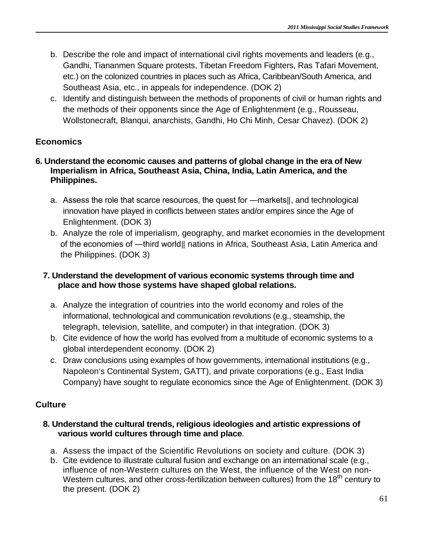- b. Describe the role and impact of international civil rights movements and leaders (e.g., Gandhi, Tiananmen Square protests, Tibetan Freedom Fighters, Ras Tafari Movement, etc.) on the colonized countries in places such as Africa, Caribbean/South America, and Southeast Asia, etc., in appeals for independence. (DOK 2)
- c. Identify and distinguish between the methods of proponents of civil or human rights and the methods of their opponents since the Age of Enlightenment (e.g., Rousseau, Wollstonecraft, Blanqui, anarchists, Gandhi, Ho Chi Minh, Cesar Chavez). (DOK 2)

#### **6. Understand the economic causes and patterns of global change in the era of New Imperialism in Africa, Southeast Asia, China, India, Latin America, and the Philippines.**

- a. Assess the role that scarce resources, the quest for ―markets‖, and technological innovation have played in conflicts between states and/or empires since the Age of Enlightenment. (DOK 3)
- b. Analyze the role of imperialism, geography, and market economies in the development of the economies of ―third world‖ nations in Africa, Southeast Asia, Latin America and the Philippines. (DOK 3)

## **7. Understand the development of various economic systems through time and place and how those systems have shaped global relations.**

- a. Analyze the integration of countries into the world economy and roles of the informational, technological and communication revolutions (e.g., steamship, the telegraph, television, satellite, and computer) in that integration. (DOK 3)
- b. Cite evidence of how the world has evolved from a multitude of economic systems to a global interdependent economy. (DOK 2)
- c. Draw conclusions using examples of how governments, international institutions (e.g., Napoleon's Continental System, GATT), and private corporations (e.g., East India Company) have sought to regulate economics since the Age of Enlightenment. (DOK 3)

## **Culture**

## **8. Understand the cultural trends, religious ideologies and artistic expressions of various world cultures through time and place**.

- a. Assess the impact of the Scientific Revolutions on society and culture. (DOK 3)
- b. Cite evidence to illustrate cultural fusion and exchange on an international scale (e.g., influence of non-Western cultures on the West, the influence of the West on non-Western cultures, and other cross-fertilization between cultures) from the  $18<sup>th</sup>$  century to the present. (DOK 2)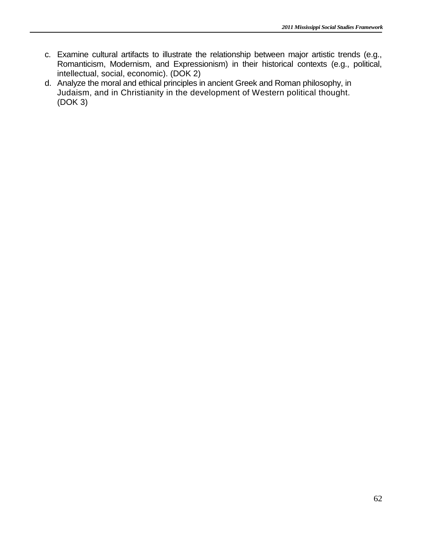- c. Examine cultural artifacts to illustrate the relationship between major artistic trends (e.g., Romanticism, Modernism, and Expressionism) in their historical contexts (e.g., political, intellectual, social, economic). (DOK 2)
- d. Analyze the moral and ethical principles in ancient Greek and Roman philosophy, in Judaism, and in Christianity in the development of Western political thought. (DOK 3)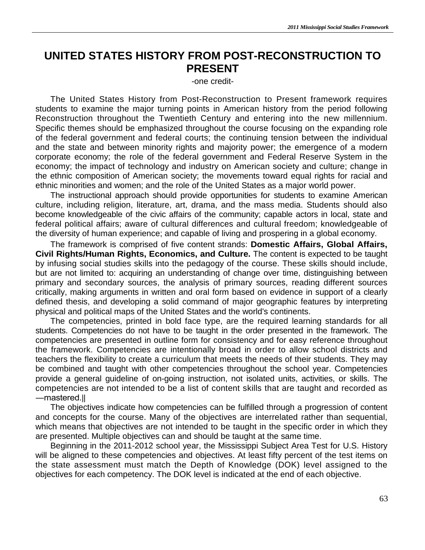## **UNITED STATES HISTORY FROM POST-RECONSTRUCTION TO PRESENT**

-one credit-

The United States History from Post-Reconstruction to Present framework requires students to examine the major turning points in American history from the period following Reconstruction throughout the Twentieth Century and entering into the new millennium. Specific themes should be emphasized throughout the course focusing on the expanding role of the federal government and federal courts; the continuing tension between the individual and the state and between minority rights and majority power; the emergence of a modern corporate economy; the role of the federal government and Federal Reserve System in the economy; the impact of technology and industry on American society and culture; change in the ethnic composition of American society; the movements toward equal rights for racial and ethnic minorities and women; and the role of the United States as a major world power.

The instructional approach should provide opportunities for students to examine American culture, including religion, literature, art, drama, and the mass media. Students should also become knowledgeable of the civic affairs of the community; capable actors in local, state and federal political affairs; aware of cultural differences and cultural freedom; knowledgeable of the diversity of human experience; and capable of living and prospering in a global economy.

The framework is comprised of five content strands: **Domestic Affairs, Global Affairs, Civil Rights/Human Rights, Economics, and Culture.** The content is expected to be taught by infusing social studies skills into the pedagogy of the course. These skills should include, but are not limited to: acquiring an understanding of change over time, distinguishing between primary and secondary sources, the analysis of primary sources, reading different sources critically, making arguments in written and oral form based on evidence in support of a clearly defined thesis, and developing a solid command of major geographic features by interpreting physical and political maps of the United States and the world's continents.

The competencies, printed in bold face type, are the required learning standards for all students. Competencies do not have to be taught in the order presented in the framework. The competencies are presented in outline form for consistency and for easy reference throughout the framework. Competencies are intentionally broad in order to allow school districts and teachers the flexibility to create a curriculum that meets the needs of their students. They may be combined and taught with other competencies throughout the school year. Competencies provide a general guideline of on-going instruction, not isolated units, activities, or skills. The competencies are not intended to be a list of content skills that are taught and recorded as ―mastered.‖

The objectives indicate how competencies can be fulfilled through a progression of content and concepts for the course. Many of the objectives are interrelated rather than sequential, which means that objectives are not intended to be taught in the specific order in which they are presented. Multiple objectives can and should be taught at the same time.

Beginning in the 2011-2012 school year, the Mississippi Subject Area Test for U.S. History will be aligned to these competencies and objectives. At least fifty percent of the test items on the state assessment must match the Depth of Knowledge (DOK) level assigned to the objectives for each competency. The DOK level is indicated at the end of each objective.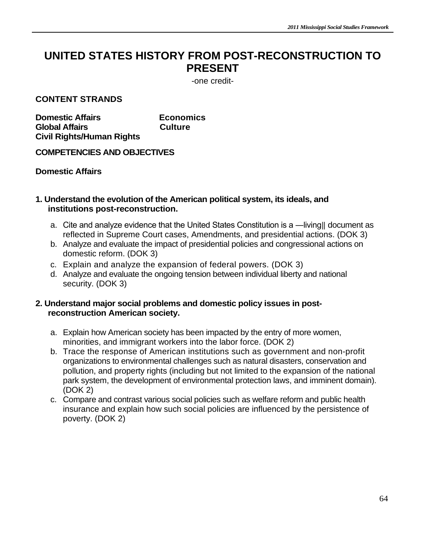# **UNITED STATES HISTORY FROM POST-RECONSTRUCTION TO PRESENT**

-one credit-

### **CONTENT STRANDS**

**Domestic Affairs Economics Global Affairs Culture Civil Rights/Human Rights**

**COMPETENCIES AND OBJECTIVES** 

**Domestic Affairs**

#### **1. Understand the evolution of the American political system, its ideals, and institutions post-reconstruction.**

- a. Cite and analyze evidence that the United States Constitution is a ―living‖ document as reflected in Supreme Court cases, Amendments, and presidential actions. (DOK 3)
- b. Analyze and evaluate the impact of presidential policies and congressional actions on domestic reform. (DOK 3)
- c. Explain and analyze the expansion of federal powers. (DOK 3)
- d. Analyze and evaluate the ongoing tension between individual liberty and national security. (DOK 3)

#### **2. Understand major social problems and domestic policy issues in postreconstruction American society.**

- a. Explain how American society has been impacted by the entry of more women, minorities, and immigrant workers into the labor force. (DOK 2)
- b. Trace the response of American institutions such as government and non-profit organizations to environmental challenges such as natural disasters, conservation and pollution, and property rights (including but not limited to the expansion of the national park system, the development of environmental protection laws, and imminent domain). (DOK 2)
- c. Compare and contrast various social policies such as welfare reform and public health insurance and explain how such social policies are influenced by the persistence of poverty. (DOK 2)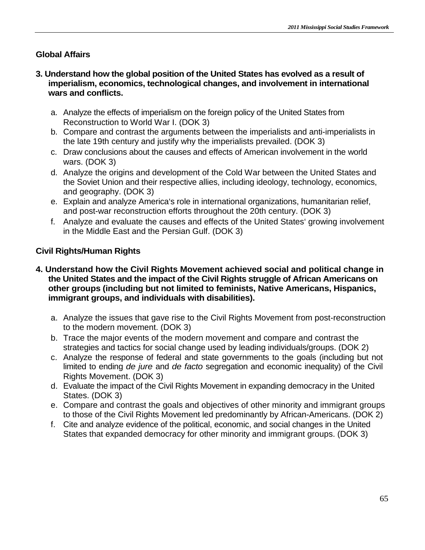## **Global Affairs**

- **3. Understand how the global position of the United States has evolved as a result of imperialism, economics, technological changes, and involvement in international wars and conflicts.**
	- a. Analyze the effects of imperialism on the foreign policy of the United States from Reconstruction to World War I. (DOK 3)
	- b. Compare and contrast the arguments between the imperialists and anti-imperialists in the late 19th century and justify why the imperialists prevailed. (DOK 3)
	- c. Draw conclusions about the causes and effects of American involvement in the world wars. (DOK 3)
	- d. Analyze the origins and development of the Cold War between the United States and the Soviet Union and their respective allies, including ideology, technology, economics, and geography. (DOK 3)
	- e. Explain and analyze America's role in international organizations, humanitarian relief, and post-war reconstruction efforts throughout the 20th century. (DOK 3)
	- f. Analyze and evaluate the causes and effects of the United States' growing involvement in the Middle East and the Persian Gulf. (DOK 3)

## **Civil Rights/Human Rights**

#### **4. Understand how the Civil Rights Movement achieved social and political change in the United States and the impact of the Civil Rights struggle of African Americans on other groups (including but not limited to feminists, Native Americans, Hispanics, immigrant groups, and individuals with disabilities).**

- a. Analyze the issues that gave rise to the Civil Rights Movement from post-reconstruction to the modern movement. (DOK 3)
- b. Trace the major events of the modern movement and compare and contrast the strategies and tactics for social change used by leading individuals/groups. (DOK 2)
- c. Analyze the response of federal and state governments to the goals (including but not limited to ending *de jure* and *de facto* segregation and economic inequality) of the Civil Rights Movement. (DOK 3)
- d. Evaluate the impact of the Civil Rights Movement in expanding democracy in the United States. (DOK 3)
- e. Compare and contrast the goals and objectives of other minority and immigrant groups to those of the Civil Rights Movement led predominantly by African-Americans. (DOK 2)
- f. Cite and analyze evidence of the political, economic, and social changes in the United States that expanded democracy for other minority and immigrant groups. (DOK 3)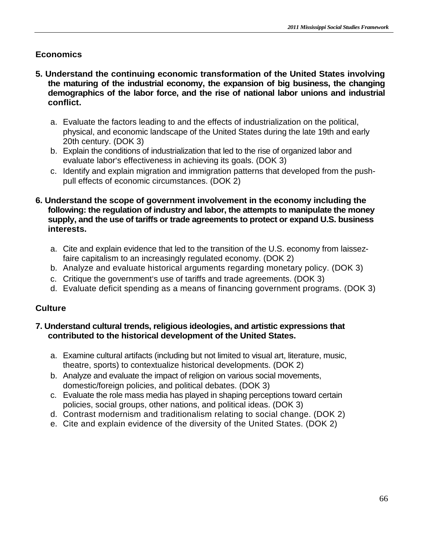- **5. Understand the continuing economic transformation of the United States involving the maturing of the industrial economy, the expansion of big business, the changing demographics of the labor force, and the rise of national labor unions and industrial conflict.**
	- a. Evaluate the factors leading to and the effects of industrialization on the political, physical, and economic landscape of the United States during the late 19th and early 20th century. (DOK 3)
	- b. Explain the conditions of industrialization that led to the rise of organized labor and evaluate labor's effectiveness in achieving its goals. (DOK 3)
	- c. Identify and explain migration and immigration patterns that developed from the pushpull effects of economic circumstances. (DOK 2)

#### **6. Understand the scope of government involvement in the economy including the following: the regulation of industry and labor, the attempts to manipulate the money supply, and the use of tariffs or trade agreements to protect or expand U.S. business interests.**

- a. Cite and explain evidence that led to the transition of the U.S. economy from laissezfaire capitalism to an increasingly regulated economy. (DOK 2)
- b. Analyze and evaluate historical arguments regarding monetary policy. (DOK 3)
- c. Critique the government's use of tariffs and trade agreements. (DOK 3)
- d. Evaluate deficit spending as a means of financing government programs. (DOK 3)

## **Culture**

## **7. Understand cultural trends, religious ideologies, and artistic expressions that contributed to the historical development of the United States.**

- a. Examine cultural artifacts (including but not limited to visual art, literature, music, theatre, sports) to contextualize historical developments. (DOK 2)
- b. Analyze and evaluate the impact of religion on various social movements, domestic/foreign policies, and political debates. (DOK 3)
- c. Evaluate the role mass media has played in shaping perceptions toward certain policies, social groups, other nations, and political ideas. (DOK 3)
- d. Contrast modernism and traditionalism relating to social change. (DOK 2)
- e. Cite and explain evidence of the diversity of the United States. (DOK 2)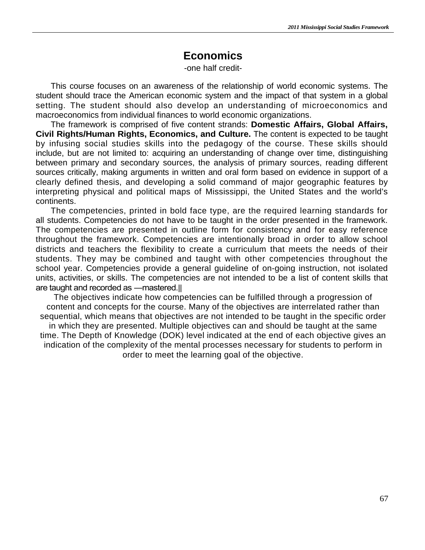-one half credit-

This course focuses on an awareness of the relationship of world economic systems. The student should trace the American economic system and the impact of that system in a global setting. The student should also develop an understanding of microeconomics and macroeconomics from individual finances to world economic organizations.

The framework is comprised of five content strands: **Domestic Affairs, Global Affairs, Civil Rights/Human Rights, Economics, and Culture.** The content is expected to be taught by infusing social studies skills into the pedagogy of the course. These skills should include, but are not limited to: acquiring an understanding of change over time, distinguishing between primary and secondary sources, the analysis of primary sources, reading different sources critically, making arguments in written and oral form based on evidence in support of a clearly defined thesis, and developing a solid command of major geographic features by interpreting physical and political maps of Mississippi, the United States and the world's continents.

The competencies, printed in bold face type, are the required learning standards for all students. Competencies do not have to be taught in the order presented in the framework. The competencies are presented in outline form for consistency and for easy reference throughout the framework. Competencies are intentionally broad in order to allow school districts and teachers the flexibility to create a curriculum that meets the needs of their students. They may be combined and taught with other competencies throughout the school year. Competencies provide a general guideline of on-going instruction, not isolated units, activities, or skills. The competencies are not intended to be a list of content skills that are taught and recorded as ―mastered.‖

The objectives indicate how competencies can be fulfilled through a progression of content and concepts for the course. Many of the objectives are interrelated rather than sequential, which means that objectives are not intended to be taught in the specific order in which they are presented. Multiple objectives can and should be taught at the same time. The Depth of Knowledge (DOK) level indicated at the end of each objective gives an indication of the complexity of the mental processes necessary for students to perform in order to meet the learning goal of the objective.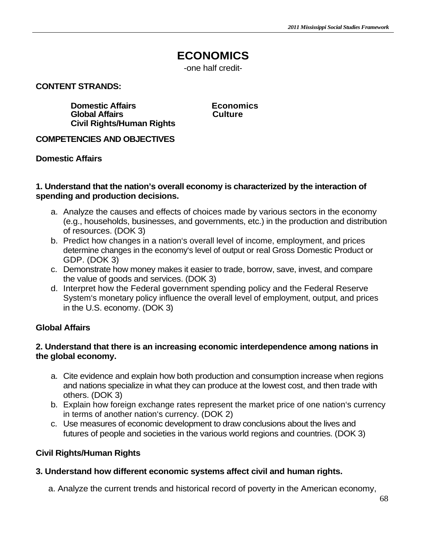## **ECONOMICS**

-one half credit-

**CONTENT STRANDS:**

**Domestic Affairs**<br> **Global Affairs**<br> **Culture Global Affairs Civil Rights/Human Rights**

#### **COMPETENCIES AND OBJECTIVES**

#### **Domestic Affairs**

#### **1. Understand that the nation's overall economy is characterized by the interaction of spending and production decisions.**

- a. Analyze the causes and effects of choices made by various sectors in the economy (e.g., households, businesses, and governments, etc.) in the production and distribution of resources. (DOK 3)
- b. Predict how changes in a nation's overall level of income, employment, and prices determine changes in the economy's level of output or real Gross Domestic Product or GDP. (DOK 3)
- c. Demonstrate how money makes it easier to trade, borrow, save, invest, and compare the value of goods and services. (DOK 3)
- d. Interpret how the Federal government spending policy and the Federal Reserve System's monetary policy influence the overall level of employment, output, and prices in the U.S. economy. (DOK 3)

#### **Global Affairs**

#### **2. Understand that there is an increasing economic interdependence among nations in the global economy.**

- a. Cite evidence and explain how both production and consumption increase when regions and nations specialize in what they can produce at the lowest cost, and then trade with others. (DOK 3)
- b. Explain how foreign exchange rates represent the market price of one nation's currency in terms of another nation's currency. (DOK 2)
- c. Use measures of economic development to draw conclusions about the lives and futures of people and societies in the various world regions and countries. (DOK 3)

#### **Civil Rights/Human Rights**

#### **3. Understand how different economic systems affect civil and human rights.**

a. Analyze the current trends and historical record of poverty in the American economy,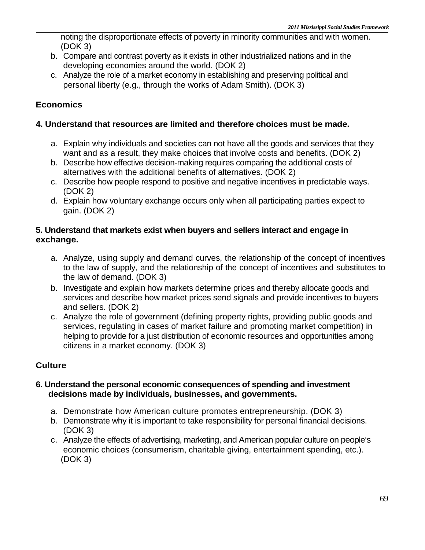noting the disproportionate effects of poverty in minority communities and with women. (DOK 3)

- b. Compare and contrast poverty as it exists in other industrialized nations and in the developing economies around the world. (DOK 2)
- c. Analyze the role of a market economy in establishing and preserving political and personal liberty (e.g., through the works of Adam Smith). (DOK 3)

## **Economics**

## **4. Understand that resources are limited and therefore choices must be made.**

- a. Explain why individuals and societies can not have all the goods and services that they want and as a result, they make choices that involve costs and benefits. (DOK 2)
- b. Describe how effective decision-making requires comparing the additional costs of alternatives with the additional benefits of alternatives. (DOK 2)
- c. Describe how people respond to positive and negative incentives in predictable ways. (DOK 2)
- d. Explain how voluntary exchange occurs only when all participating parties expect to gain. (DOK 2)

## **5. Understand that markets exist when buyers and sellers interact and engage in exchange.**

- a. Analyze, using supply and demand curves, the relationship of the concept of incentives to the law of supply, and the relationship of the concept of incentives and substitutes to the law of demand. (DOK 3)
- b. Investigate and explain how markets determine prices and thereby allocate goods and services and describe how market prices send signals and provide incentives to buyers and sellers. (DOK 2)
- c. Analyze the role of government (defining property rights, providing public goods and services, regulating in cases of market failure and promoting market competition) in helping to provide for a just distribution of economic resources and opportunities among citizens in a market economy. (DOK 3)

## **Culture**

## **6. Understand the personal economic consequences of spending and investment decisions made by individuals, businesses, and governments.**

- a. Demonstrate how American culture promotes entrepreneurship. (DOK 3)
- b. Demonstrate why it is important to take responsibility for personal financial decisions. (DOK 3)
- c. Analyze the effects of advertising, marketing, and American popular culture on people's economic choices (consumerism, charitable giving, entertainment spending, etc.). (DOK 3)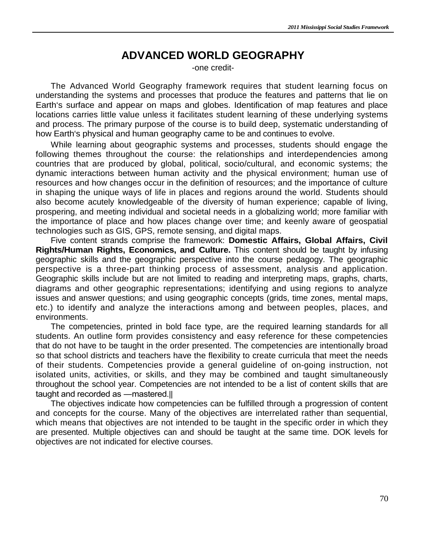## **ADVANCED WORLD GEOGRAPHY**

-one credit-

The Advanced World Geography framework requires that student learning focus on understanding the systems and processes that produce the features and patterns that lie on Earth's surface and appear on maps and globes. Identification of map features and place locations carries little value unless it facilitates student learning of these underlying systems and process. The primary purpose of the course is to build deep, systematic understanding of how Earth's physical and human geography came to be and continues to evolve.

While learning about geographic systems and processes, students should engage the following themes throughout the course: the relationships and interdependencies among countries that are produced by global, political, socio/cultural, and economic systems; the dynamic interactions between human activity and the physical environment; human use of resources and how changes occur in the definition of resources; and the importance of culture in shaping the unique ways of life in places and regions around the world. Students should also become acutely knowledgeable of the diversity of human experience; capable of living, prospering, and meeting individual and societal needs in a globalizing world; more familiar with the importance of place and how places change over time; and keenly aware of geospatial technologies such as GIS, GPS, remote sensing, and digital maps.

Five content strands comprise the framework: **Domestic Affairs, Global Affairs, Civil Rights/Human Rights, Economics, and Culture.** This content should be taught by infusing geographic skills and the geographic perspective into the course pedagogy. The geographic perspective is a three-part thinking process of assessment, analysis and application. Geographic skills include but are not limited to reading and interpreting maps, graphs, charts, diagrams and other geographic representations; identifying and using regions to analyze issues and answer questions; and using geographic concepts (grids, time zones, mental maps, etc.) to identify and analyze the interactions among and between peoples, places, and environments.

The competencies, printed in bold face type, are the required learning standards for all students. An outline form provides consistency and easy reference for these competencies that do not have to be taught in the order presented. The competencies are intentionally broad so that school districts and teachers have the flexibility to create curricula that meet the needs of their students. Competencies provide a general guideline of on-going instruction, not isolated units, activities, or skills, and they may be combined and taught simultaneously throughout the school year. Competencies are not intended to be a list of content skills that are taught and recorded as ―mastered.‖

The objectives indicate how competencies can be fulfilled through a progression of content and concepts for the course. Many of the objectives are interrelated rather than sequential, which means that objectives are not intended to be taught in the specific order in which they are presented. Multiple objectives can and should be taught at the same time. DOK levels for objectives are not indicated for elective courses.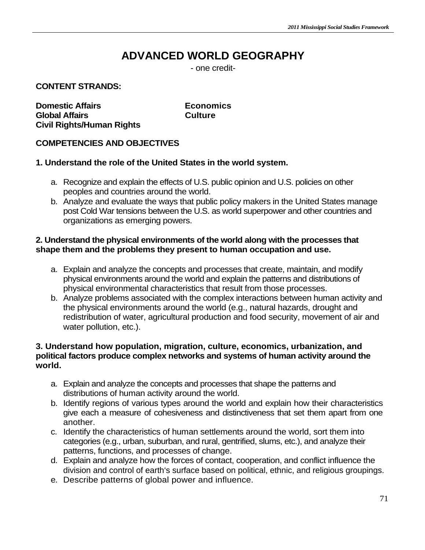# **ADVANCED WORLD GEOGRAPHY**

- one credit-

#### **CONTENT STRANDS:**

**Domestic Affairs Economics Global Affairs Culture Civil Rights/Human Rights**

## **COMPETENCIES AND OBJECTIVES**

#### **1. Understand the role of the United States in the world system.**

- a. Recognize and explain the effects of U.S. public opinion and U.S. policies on other peoples and countries around the world.
- b. Analyze and evaluate the ways that public policy makers in the United States manage post Cold War tensions between the U.S. as world superpower and other countries and organizations as emerging powers.

#### **2. Understand the physical environments of the world along with the processes that shape them and the problems they present to human occupation and use.**

- a. Explain and analyze the concepts and processes that create, maintain, and modify physical environments around the world and explain the patterns and distributions of physical environmental characteristics that result from those processes.
- b. Analyze problems associated with the complex interactions between human activity and the physical environments around the world (e.g., natural hazards, drought and redistribution of water, agricultural production and food security, movement of air and water pollution, etc.).

#### **3. Understand how population, migration, culture, economics, urbanization, and political factors produce complex networks and systems of human activity around the world.**

- a. Explain and analyze the concepts and processes that shape the patterns and distributions of human activity around the world.
- b. Identify regions of various types around the world and explain how their characteristics give each a measure of cohesiveness and distinctiveness that set them apart from one another.
- c. Identify the characteristics of human settlements around the world, sort them into categories (e.g., urban, suburban, and rural, gentrified, slums, etc.), and analyze their patterns, functions, and processes of change.
- d. Explain and analyze how the forces of contact, cooperation, and conflict influence the division and control of earth's surface based on political, ethnic, and religious groupings.
- e. Describe patterns of global power and influence.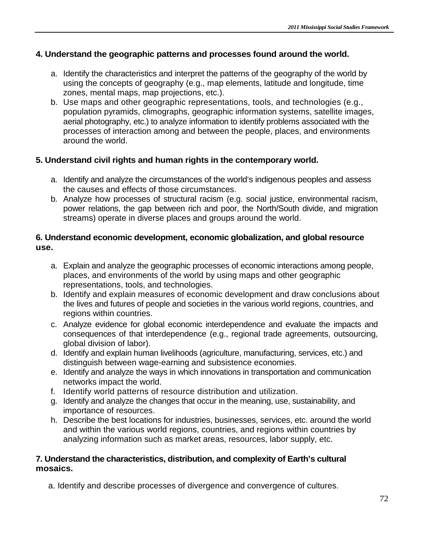## **4. Understand the geographic patterns and processes found around the world.**

- a. Identify the characteristics and interpret the patterns of the geography of the world by using the concepts of geography (e.g., map elements, latitude and longitude, time zones, mental maps, map projections, etc.).
- b. Use maps and other geographic representations, tools, and technologies (e.g., population pyramids, climographs, geographic information systems, satellite images, aerial photography, etc.) to analyze information to identify problems associated with the processes of interaction among and between the people, places, and environments around the world.

## **5. Understand civil rights and human rights in the contemporary world.**

- a. Identify and analyze the circumstances of the world's indigenous peoples and assess the causes and effects of those circumstances.
- b. Analyze how processes of structural racism (e.g. social justice, environmental racism, power relations, the gap between rich and poor, the North/South divide, and migration streams) operate in diverse places and groups around the world.

## **6. Understand economic development, economic globalization, and global resource use.**

- a. Explain and analyze the geographic processes of economic interactions among people, places, and environments of the world by using maps and other geographic representations, tools, and technologies.
- b. Identify and explain measures of economic development and draw conclusions about the lives and futures of people and societies in the various world regions, countries, and regions within countries.
- c. Analyze evidence for global economic interdependence and evaluate the impacts and consequences of that interdependence (e.g., regional trade agreements, outsourcing, global division of labor).
- d. Identify and explain human livelihoods (agriculture, manufacturing, services, etc.) and distinguish between wage-earning and subsistence economies.
- e. Identify and analyze the ways in which innovations in transportation and communication networks impact the world.
- f. Identify world patterns of resource distribution and utilization.
- g. Identify and analyze the changes that occur in the meaning, use, sustainability, and importance of resources.
- h. Describe the best locations for industries, businesses, services, etc. around the world and within the various world regions, countries, and regions within countries by analyzing information such as market areas, resources, labor supply, etc.

## **7. Understand the characteristics, distribution, and complexity of Earth's cultural mosaics.**

a. Identify and describe processes of divergence and convergence of cultures.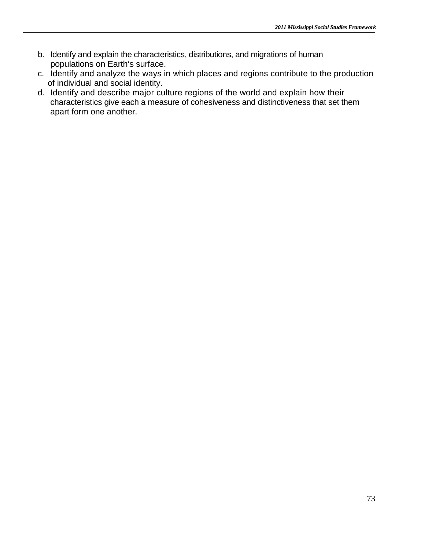- b. Identify and explain the characteristics, distributions, and migrations of human populations on Earth's surface.
- c. Identify and analyze the ways in which places and regions contribute to the production of individual and social identity.
- d. Identify and describe major culture regions of the world and explain how their characteristics give each a measure of cohesiveness and distinctiveness that set them apart form one another.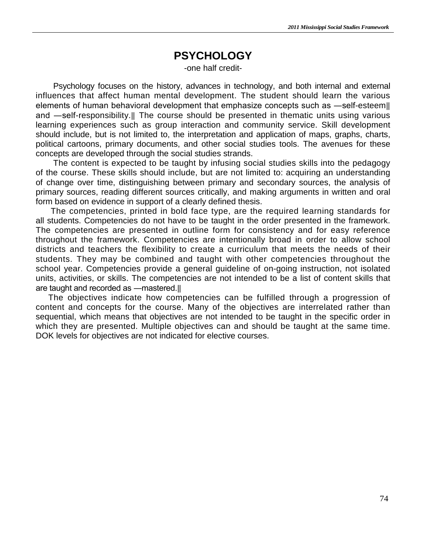## **PSYCHOLOGY**

-one half credit-

Psychology focuses on the history, advances in technology, and both internal and external influences that affect human mental development. The student should learn the various elements of human behavioral development that emphasize concepts such as -self-esteem|| and ―self-responsibility.‖ The course should be presented in thematic units using various learning experiences such as group interaction and community service. Skill development should include, but is not limited to, the interpretation and application of maps, graphs, charts, political cartoons, primary documents, and other social studies tools. The avenues for these concepts are developed through the social studies strands.

The content is expected to be taught by infusing social studies skills into the pedagogy of the course. These skills should include, but are not limited to: acquiring an understanding of change over time, distinguishing between primary and secondary sources, the analysis of primary sources, reading different sources critically, and making arguments in written and oral form based on evidence in support of a clearly defined thesis.

The competencies, printed in bold face type, are the required learning standards for all students. Competencies do not have to be taught in the order presented in the framework. The competencies are presented in outline form for consistency and for easy reference throughout the framework. Competencies are intentionally broad in order to allow school districts and teachers the flexibility to create a curriculum that meets the needs of their students. They may be combined and taught with other competencies throughout the school year. Competencies provide a general guideline of on-going instruction, not isolated units, activities, or skills. The competencies are not intended to be a list of content skills that are taught and recorded as ―mastered.‖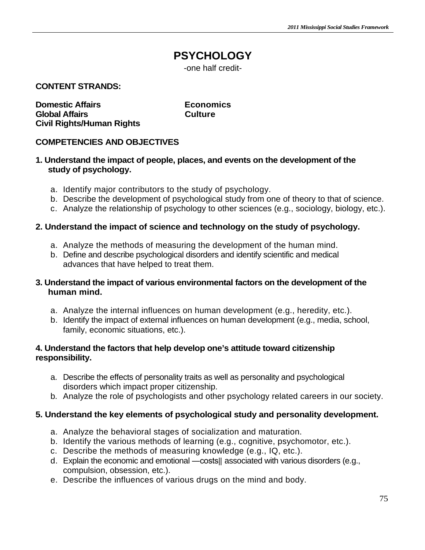## **PSYCHOLOGY**

-one half credit-

**CONTENT STRANDS:**

**Domestic Affairs Economics Global Affairs Culture Civil Rights/Human Rights**

## **COMPETENCIES AND OBJECTIVES**

### **1. Understand the impact of people, places, and events on the development of the study of psychology.**

- a. Identify major contributors to the study of psychology.
- b. Describe the development of psychological study from one of theory to that of science.
- c. Analyze the relationship of psychology to other sciences (e.g., sociology, biology, etc.).

## **2. Understand the impact of science and technology on the study of psychology.**

- a. Analyze the methods of measuring the development of the human mind.
- b. Define and describe psychological disorders and identify scientific and medical advances that have helped to treat them.

## **3. Understand the impact of various environmental factors on the development of the human mind.**

- a. Analyze the internal influences on human development (e.g., heredity, etc.).
- b. Identify the impact of external influences on human development (e.g., media, school, family, economic situations, etc.).

## **4. Understand the factors that help develop one's attitude toward citizenship responsibility.**

- a. Describe the effects of personality traits as well as personality and psychological disorders which impact proper citizenship.
- b. Analyze the role of psychologists and other psychology related careers in our society.

## **5. Understand the key elements of psychological study and personality development.**

- a. Analyze the behavioral stages of socialization and maturation.
- b. Identify the various methods of learning (e.g., cognitive, psychomotor, etc.).
- c. Describe the methods of measuring knowledge (e.g., IQ, etc.).
- d. Explain the economic and emotional ―costs‖ associated with various disorders (e.g., compulsion, obsession, etc.).
- e. Describe the influences of various drugs on the mind and body.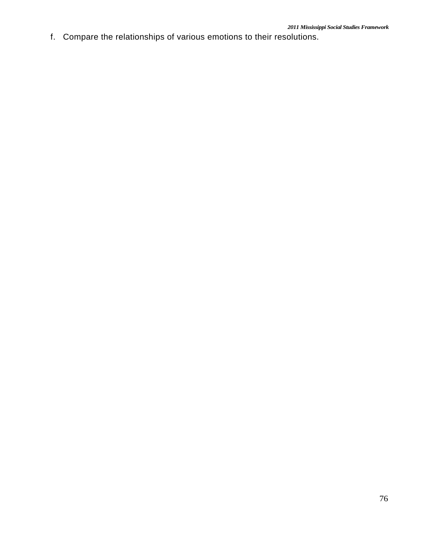f. Compare the relationships of various emotions to their resolutions.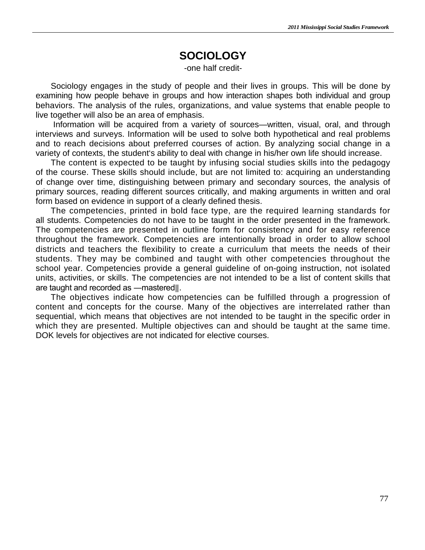# **SOCIOLOGY**

-one half credit-

Sociology engages in the study of people and their lives in groups. This will be done by examining how people behave in groups and how interaction shapes both individual and group behaviors. The analysis of the rules, organizations, and value systems that enable people to live together will also be an area of emphasis.

Information will be acquired from a variety of sources—written, visual, oral, and through interviews and surveys. Information will be used to solve both hypothetical and real problems and to reach decisions about preferred courses of action. By analyzing social change in a variety of contexts, the student's ability to deal with change in his/her own life should increase.

The content is expected to be taught by infusing social studies skills into the pedagogy of the course. These skills should include, but are not limited to: acquiring an understanding of change over time, distinguishing between primary and secondary sources, the analysis of primary sources, reading different sources critically, and making arguments in written and oral form based on evidence in support of a clearly defined thesis.

The competencies, printed in bold face type, are the required learning standards for all students. Competencies do not have to be taught in the order presented in the framework. The competencies are presented in outline form for consistency and for easy reference throughout the framework. Competencies are intentionally broad in order to allow school districts and teachers the flexibility to create a curriculum that meets the needs of their students. They may be combined and taught with other competencies throughout the school year. Competencies provide a general guideline of on-going instruction, not isolated units, activities, or skills. The competencies are not intended to be a list of content skills that are taught and recorded as ―mastered‖.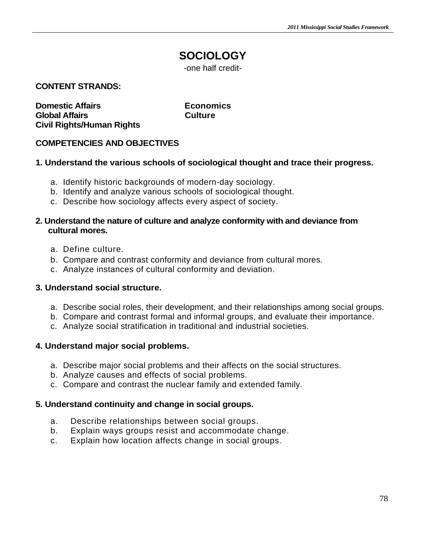## **SOCIOLOGY**

-one half credit-

**CONTENT STRANDS:**

**Domestic Affairs Economics Global Affairs Culture Civil Rights/Human Rights**

## **COMPETENCIES AND OBJECTIVES**

### **1. Understand the various schools of sociological thought and trace their progress.**

- a. Identify historic backgrounds of modern-day sociology.
- b. Identify and analyze various schools of sociological thought.
- c. Describe how sociology affects every aspect of society.

### **2. Understand the nature of culture and analyze conformity with and deviance from cultural mores.**

- a. Define culture.
- b. Compare and contrast conformity and deviance from cultural mores.
- c. Analyze instances of cultural conformity and deviation.

#### **3. Understand social structure.**

- a. Describe social roles, their development, and their relationships among social groups.
- b. Compare and contrast formal and informal groups, and evaluate their importance.
- c. Analyze social stratification in traditional and industrial societies.

## **4. Understand major social problems.**

- a. Describe major social problems and their affects on the social structures.
- b. Analyze causes and effects of social problems.
- c. Compare and contrast the nuclear family and extended family.

## **5. Understand continuity and change in social groups.**

- a. Describe relationships between social groups.
- b. Explain ways groups resist and accommodate change.
- c. Explain how location affects change in social groups.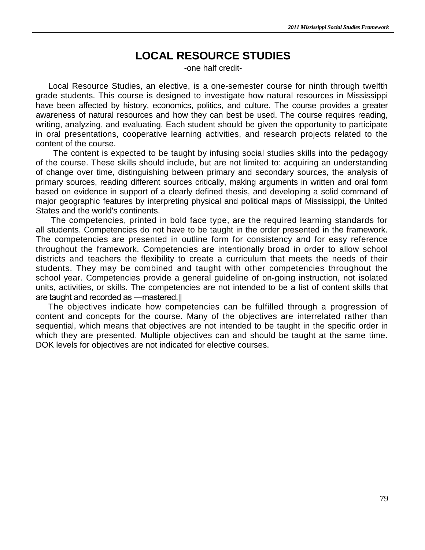# **LOCAL RESOURCE STUDIES**

-one half credit-

Local Resource Studies, an elective, is a one-semester course for ninth through twelfth grade students. This course is designed to investigate how natural resources in Mississippi have been affected by history, economics, politics, and culture. The course provides a greater awareness of natural resources and how they can best be used. The course requires reading, writing, analyzing, and evaluating. Each student should be given the opportunity to participate in oral presentations, cooperative learning activities, and research projects related to the content of the course.

The content is expected to be taught by infusing social studies skills into the pedagogy of the course. These skills should include, but are not limited to: acquiring an understanding of change over time, distinguishing between primary and secondary sources, the analysis of primary sources, reading different sources critically, making arguments in written and oral form based on evidence in support of a clearly defined thesis, and developing a solid command of major geographic features by interpreting physical and political maps of Mississippi, the United States and the world's continents.

The competencies, printed in bold face type, are the required learning standards for all students. Competencies do not have to be taught in the order presented in the framework. The competencies are presented in outline form for consistency and for easy reference throughout the framework. Competencies are intentionally broad in order to allow school districts and teachers the flexibility to create a curriculum that meets the needs of their students. They may be combined and taught with other competencies throughout the school year. Competencies provide a general guideline of on-going instruction, not isolated units, activities, or skills. The competencies are not intended to be a list of content skills that are taught and recorded as ―mastered.‖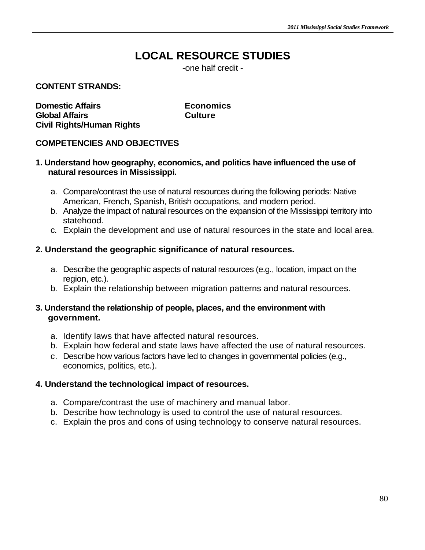# **LOCAL RESOURCE STUDIES**

-one half credit -

#### **CONTENT STRANDS:**

**Domestic Affairs Economics Global Affairs Culture Civil Rights/Human Rights**

## **COMPETENCIES AND OBJECTIVES**

### **1. Understand how geography, economics, and politics have influenced the use of natural resources in Mississippi.**

- a. Compare/contrast the use of natural resources during the following periods: Native American, French, Spanish, British occupations, and modern period.
- b. Analyze the impact of natural resources on the expansion of the Mississippi territory into statehood.
- c. Explain the development and use of natural resources in the state and local area.

## **2. Understand the geographic significance of natural resources.**

- a. Describe the geographic aspects of natural resources (e.g., location, impact on the region, etc.).
- b. Explain the relationship between migration patterns and natural resources.

### **3. Understand the relationship of people, places, and the environment with government.**

- a. Identify laws that have affected natural resources.
- b. Explain how federal and state laws have affected the use of natural resources.
- c. Describe how various factors have led to changes in governmental policies (e.g., economics, politics, etc.).

## **4. Understand the technological impact of resources.**

- a. Compare/contrast the use of machinery and manual labor.
- b. Describe how technology is used to control the use of natural resources.
- c. Explain the pros and cons of using technology to conserve natural resources.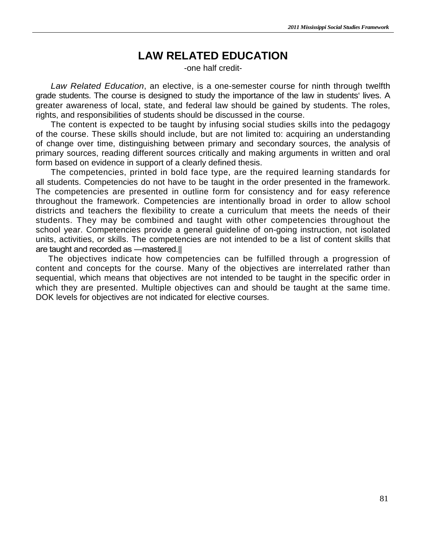# **LAW RELATED EDUCATION**

-one half credit-

*Law Related Education*, an elective, is a one-semester course for ninth through twelfth grade students. The course is designed to study the importance of the law in students' lives. A greater awareness of local, state, and federal law should be gained by students. The roles, rights, and responsibilities of students should be discussed in the course.

The content is expected to be taught by infusing social studies skills into the pedagogy of the course. These skills should include, but are not limited to: acquiring an understanding of change over time, distinguishing between primary and secondary sources, the analysis of primary sources, reading different sources critically and making arguments in written and oral form based on evidence in support of a clearly defined thesis.

The competencies, printed in bold face type, are the required learning standards for all students. Competencies do not have to be taught in the order presented in the framework. The competencies are presented in outline form for consistency and for easy reference throughout the framework. Competencies are intentionally broad in order to allow school districts and teachers the flexibility to create a curriculum that meets the needs of their students. They may be combined and taught with other competencies throughout the school year. Competencies provide a general guideline of on-going instruction, not isolated units, activities, or skills. The competencies are not intended to be a list of content skills that are taught and recorded as ―mastered.‖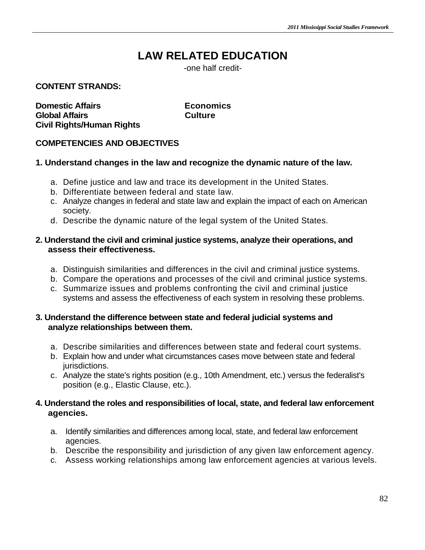# **LAW RELATED EDUCATION**

-one half credit-

### **CONTENT STRANDS:**

**Domestic Affairs Economics Global Affairs Culture Civil Rights/Human Rights**

## **COMPETENCIES AND OBJECTIVES**

#### **1. Understand changes in the law and recognize the dynamic nature of the law.**

- a. Define justice and law and trace its development in the United States.
- b. Differentiate between federal and state law.
- c. Analyze changes in federal and state law and explain the impact of each on American society.
- d. Describe the dynamic nature of the legal system of the United States.

## **2. Understand the civil and criminal justice systems, analyze their operations, and assess their effectiveness.**

- a. Distinguish similarities and differences in the civil and criminal justice systems.
- b. Compare the operations and processes of the civil and criminal justice systems.
- c. Summarize issues and problems confronting the civil and criminal justice systems and assess the effectiveness of each system in resolving these problems.

### **3. Understand the difference between state and federal judicial systems and analyze relationships between them.**

- a. Describe similarities and differences between state and federal court systems.
- b. Explain how and under what circumstances cases move between state and federal jurisdictions.
- c. Analyze the state's rights position (e.g., 10th Amendment, etc.) versus the federalist's position (e.g., Elastic Clause, etc.).

## **4. Understand the roles and responsibilities of local, state, and federal law enforcement agencies.**

- a. Identify similarities and differences among local, state, and federal law enforcement agencies.
- b. Describe the responsibility and jurisdiction of any given law enforcement agency.
- c. Assess working relationships among law enforcement agencies at various levels.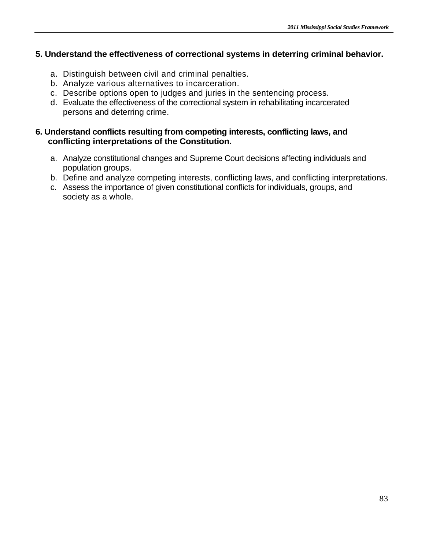## **5. Understand the effectiveness of correctional systems in deterring criminal behavior.**

- a. Distinguish between civil and criminal penalties.
- b. Analyze various alternatives to incarceration.
- c. Describe options open to judges and juries in the sentencing process.
- d. Evaluate the effectiveness of the correctional system in rehabilitating incarcerated persons and deterring crime.

## **6. Understand conflicts resulting from competing interests, conflicting laws, and conflicting interpretations of the Constitution.**

- a. Analyze constitutional changes and Supreme Court decisions affecting individuals and population groups.
- b. Define and analyze competing interests, conflicting laws, and conflicting interpretations.
- c. Assess the importance of given constitutional conflicts for individuals, groups, and society as a whole.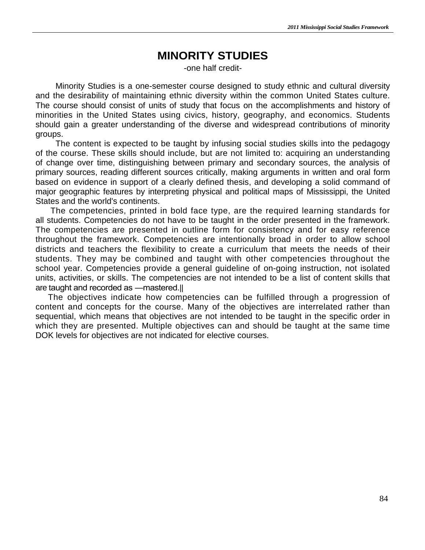## **MINORITY STUDIES**

-one half credit-

Minority Studies is a one-semester course designed to study ethnic and cultural diversity and the desirability of maintaining ethnic diversity within the common United States culture. The course should consist of units of study that focus on the accomplishments and history of minorities in the United States using civics, history, geography, and economics. Students should gain a greater understanding of the diverse and widespread contributions of minority groups.

The content is expected to be taught by infusing social studies skills into the pedagogy of the course. These skills should include, but are not limited to: acquiring an understanding of change over time, distinguishing between primary and secondary sources, the analysis of primary sources, reading different sources critically, making arguments in written and oral form based on evidence in support of a clearly defined thesis, and developing a solid command of major geographic features by interpreting physical and political maps of Mississippi, the United States and the world's continents.

The competencies, printed in bold face type, are the required learning standards for all students. Competencies do not have to be taught in the order presented in the framework. The competencies are presented in outline form for consistency and for easy reference throughout the framework. Competencies are intentionally broad in order to allow school districts and teachers the flexibility to create a curriculum that meets the needs of their students. They may be combined and taught with other competencies throughout the school year. Competencies provide a general guideline of on-going instruction, not isolated units, activities, or skills. The competencies are not intended to be a list of content skills that are taught and recorded as ―mastered.‖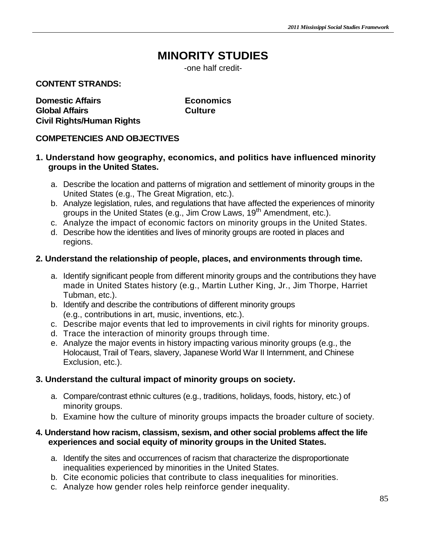## **MINORITY STUDIES**

-one half credit-

**CONTENT STRANDS:**

**Domestic Affairs Economics Global Affairs Culture Civil Rights/Human Rights**

## **COMPETENCIES AND OBJECTIVES**

## **1. Understand how geography, economics, and politics have influenced minority groups in the United States.**

- a. Describe the location and patterns of migration and settlement of minority groups in the United States (e.g., The Great Migration, etc.).
- b. Analyze legislation, rules, and regulations that have affected the experiences of minority groups in the United States (e.g., Jim Crow Laws, 19<sup>th</sup> Amendment, etc.).
- c. Analyze the impact of economic factors on minority groups in the United States.
- d. Describe how the identities and lives of minority groups are rooted in places and regions.

## **2. Understand the relationship of people, places, and environments through time.**

- a. Identify significant people from different minority groups and the contributions they have made in United States history (e.g., Martin Luther King, Jr., Jim Thorpe, Harriet Tubman, etc.).
- b. Identify and describe the contributions of different minority groups (e.g., contributions in art, music, inventions, etc.).
- c. Describe major events that led to improvements in civil rights for minority groups.
- d. Trace the interaction of minority groups through time.
- e. Analyze the major events in history impacting various minority groups (e.g., the Holocaust, Trail of Tears, slavery, Japanese World War II Internment, and Chinese Exclusion, etc.).

## **3. Understand the cultural impact of minority groups on society.**

- a. Compare/contrast ethnic cultures (e.g., traditions, holidays, foods, history, etc.) of minority groups.
- b. Examine how the culture of minority groups impacts the broader culture of society.

## **4. Understand how racism, classism, sexism, and other social problems affect the life experiences and social equity of minority groups in the United States.**

- a. Identify the sites and occurrences of racism that characterize the disproportionate inequalities experienced by minorities in the United States.
- b. Cite economic policies that contribute to class inequalities for minorities.
- c. Analyze how gender roles help reinforce gender inequality.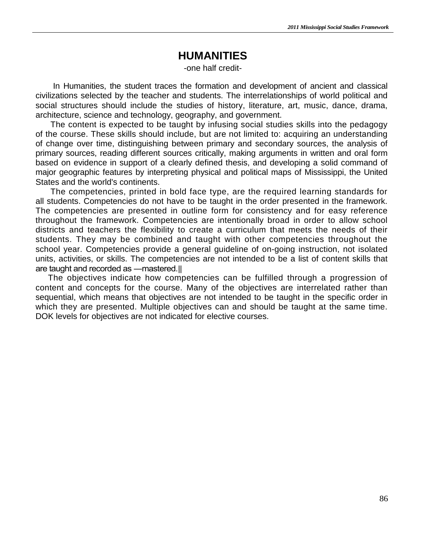## **HUMANITIES**

-one half credit-

In Humanities, the student traces the formation and development of ancient and classical civilizations selected by the teacher and students. The interrelationships of world political and social structures should include the studies of history, literature, art, music, dance, drama, architecture, science and technology, geography, and government.

The content is expected to be taught by infusing social studies skills into the pedagogy of the course. These skills should include, but are not limited to: acquiring an understanding of change over time, distinguishing between primary and secondary sources, the analysis of primary sources, reading different sources critically, making arguments in written and oral form based on evidence in support of a clearly defined thesis, and developing a solid command of major geographic features by interpreting physical and political maps of Mississippi, the United States and the world's continents.

The competencies, printed in bold face type, are the required learning standards for all students. Competencies do not have to be taught in the order presented in the framework. The competencies are presented in outline form for consistency and for easy reference throughout the framework. Competencies are intentionally broad in order to allow school districts and teachers the flexibility to create a curriculum that meets the needs of their students. They may be combined and taught with other competencies throughout the school year. Competencies provide a general guideline of on-going instruction, not isolated units, activities, or skills. The competencies are not intended to be a list of content skills that are taught and recorded as ―mastered.‖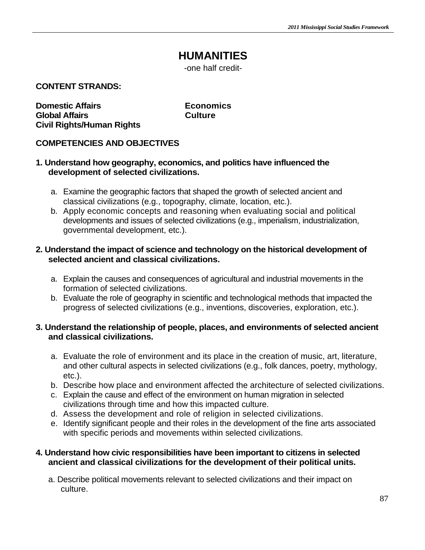## **HUMANITIES**

-one half credit-

**CONTENT STRANDS:**

**Domestic Affairs Economics Global Affairs Culture Civil Rights/Human Rights**

## **COMPETENCIES AND OBJECTIVES**

### **1. Understand how geography, economics, and politics have influenced the development of selected civilizations.**

- a. Examine the geographic factors that shaped the growth of selected ancient and classical civilizations (e.g., topography, climate, location, etc.).
- b. Apply economic concepts and reasoning when evaluating social and political developments and issues of selected civilizations (e.g., imperialism, industrialization, governmental development, etc.).

### **2. Understand the impact of science and technology on the historical development of selected ancient and classical civilizations.**

- a. Explain the causes and consequences of agricultural and industrial movements in the formation of selected civilizations.
- b. Evaluate the role of geography in scientific and technological methods that impacted the progress of selected civilizations (e.g., inventions, discoveries, exploration, etc.).

## **3. Understand the relationship of people, places, and environments of selected ancient and classical civilizations.**

- a. Evaluate the role of environment and its place in the creation of music, art, literature, and other cultural aspects in selected civilizations (e.g., folk dances, poetry, mythology, etc.).
- b. Describe how place and environment affected the architecture of selected civilizations.
- c. Explain the cause and effect of the environment on human migration in selected civilizations through time and how this impacted culture.
- d. Assess the development and role of religion in selected civilizations.
- e. Identify significant people and their roles in the development of the fine arts associated with specific periods and movements within selected civilizations.

## **4. Understand how civic responsibilities have been important to citizens in selected ancient and classical civilizations for the development of their political units.**

a. Describe political movements relevant to selected civilizations and their impact on culture.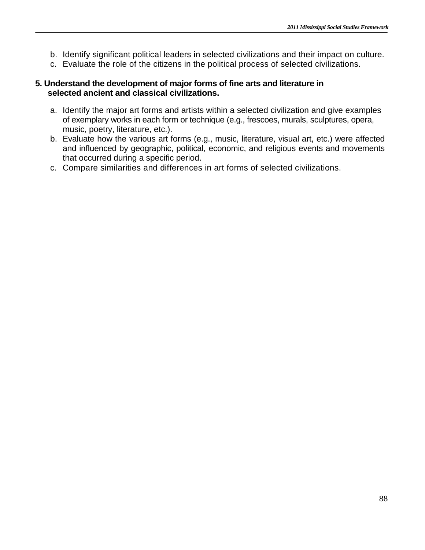- b. Identify significant political leaders in selected civilizations and their impact on culture.
- c. Evaluate the role of the citizens in the political process of selected civilizations.

### **5. Understand the development of major forms of fine arts and literature in selected ancient and classical civilizations.**

- a. Identify the major art forms and artists within a selected civilization and give examples of exemplary works in each form or technique (e.g., frescoes, murals, sculptures, opera, music, poetry, literature, etc.).
- b. Evaluate how the various art forms (e.g., music, literature, visual art, etc.) were affected and influenced by geographic, political, economic, and religious events and movements that occurred during a specific period.
- c. Compare similarities and differences in art forms of selected civilizations.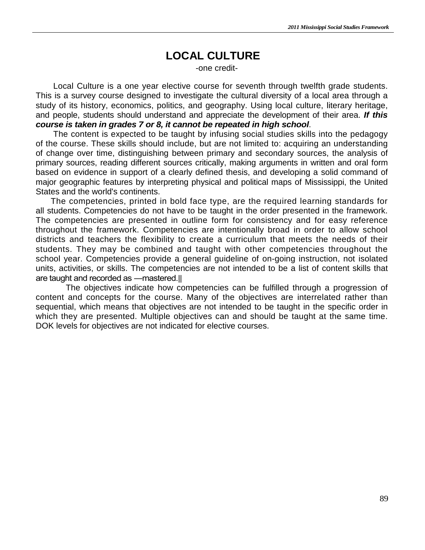# **LOCAL CULTURE**

-one credit-

Local Culture is a one year elective course for seventh through twelfth grade students. This is a survey course designed to investigate the cultural diversity of a local area through a study of its history, economics, politics, and geography. Using local culture, literary heritage, and people, students should understand and appreciate the development of their area. *If this course is taken in grades 7 or 8, it cannot be repeated in high school*.

The content is expected to be taught by infusing social studies skills into the pedagogy of the course. These skills should include, but are not limited to: acquiring an understanding of change over time, distinguishing between primary and secondary sources, the analysis of primary sources, reading different sources critically, making arguments in written and oral form based on evidence in support of a clearly defined thesis, and developing a solid command of major geographic features by interpreting physical and political maps of Mississippi, the United States and the world's continents.

The competencies, printed in bold face type, are the required learning standards for all students. Competencies do not have to be taught in the order presented in the framework. The competencies are presented in outline form for consistency and for easy reference throughout the framework. Competencies are intentionally broad in order to allow school districts and teachers the flexibility to create a curriculum that meets the needs of their students. They may be combined and taught with other competencies throughout the school year. Competencies provide a general guideline of on-going instruction, not isolated units, activities, or skills. The competencies are not intended to be a list of content skills that are taught and recorded as ―mastered.‖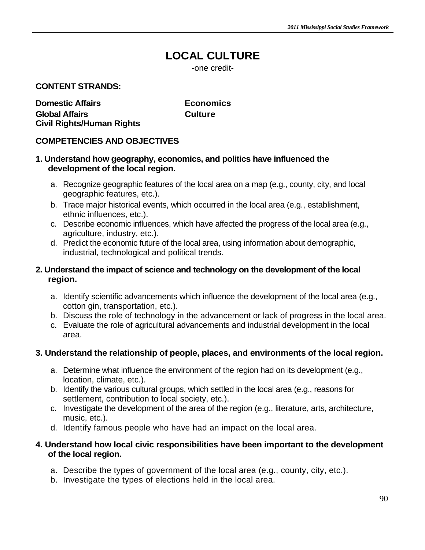## **LOCAL CULTURE**

-one credit-

**CONTENT STRANDS:**

**Domestic Affairs Economics Global Affairs Culture Civil Rights/Human Rights**

## **COMPETENCIES AND OBJECTIVES**

### **1. Understand how geography, economics, and politics have influenced the development of the local region.**

- a. Recognize geographic features of the local area on a map (e.g., county, city, and local geographic features, etc.).
- b. Trace major historical events, which occurred in the local area (e.g., establishment, ethnic influences, etc.).
- c. Describe economic influences, which have affected the progress of the local area (e.g., agriculture, industry, etc.).
- d. Predict the economic future of the local area, using information about demographic, industrial, technological and political trends.

## **2. Understand the impact of science and technology on the development of the local region.**

- a. Identify scientific advancements which influence the development of the local area (e.g., cotton gin, transportation, etc.).
- b. Discuss the role of technology in the advancement or lack of progress in the local area.
- c. Evaluate the role of agricultural advancements and industrial development in the local area.

## **3. Understand the relationship of people, places, and environments of the local region.**

- a. Determine what influence the environment of the region had on its development (e.g., location, climate, etc.).
- b. Identify the various cultural groups, which settled in the local area (e.g., reasons for settlement, contribution to local society, etc.).
- c. Investigate the development of the area of the region (e.g., literature, arts, architecture, music, etc.).
- d. Identify famous people who have had an impact on the local area.

## **4. Understand how local civic responsibilities have been important to the development of the local region.**

- a. Describe the types of government of the local area (e.g., county, city, etc.).
- b. Investigate the types of elections held in the local area.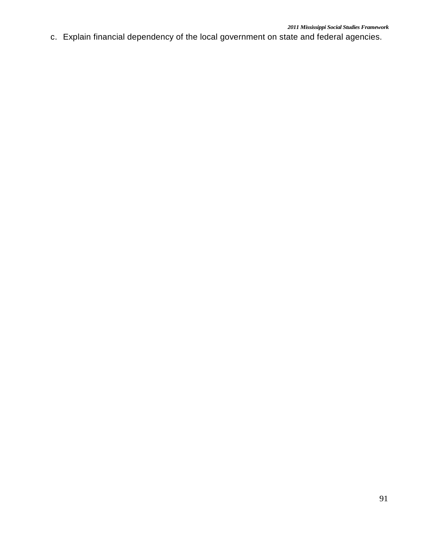c. Explain financial dependency of the local government on state and federal agencies.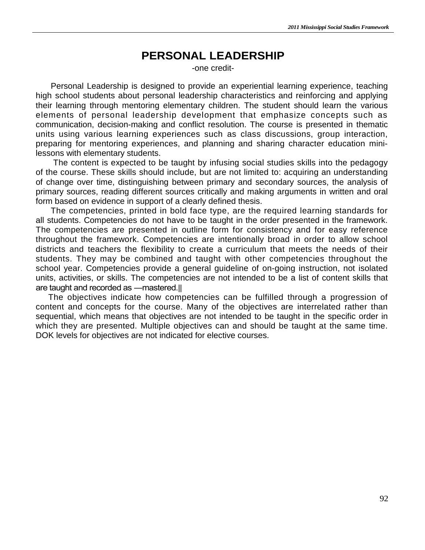## **PERSONAL LEADERSHIP**

-one credit-

Personal Leadership is designed to provide an experiential learning experience, teaching high school students about personal leadership characteristics and reinforcing and applying their learning through mentoring elementary children. The student should learn the various elements of personal leadership development that emphasize concepts such as communication, decision-making and conflict resolution. The course is presented in thematic units using various learning experiences such as class discussions, group interaction, preparing for mentoring experiences, and planning and sharing character education minilessons with elementary students.

The content is expected to be taught by infusing social studies skills into the pedagogy of the course. These skills should include, but are not limited to: acquiring an understanding of change over time, distinguishing between primary and secondary sources, the analysis of primary sources, reading different sources critically and making arguments in written and oral form based on evidence in support of a clearly defined thesis.

The competencies, printed in bold face type, are the required learning standards for all students. Competencies do not have to be taught in the order presented in the framework. The competencies are presented in outline form for consistency and for easy reference throughout the framework. Competencies are intentionally broad in order to allow school districts and teachers the flexibility to create a curriculum that meets the needs of their students. They may be combined and taught with other competencies throughout the school year. Competencies provide a general guideline of on-going instruction, not isolated units, activities, or skills. The competencies are not intended to be a list of content skills that are taught and recorded as ―mastered.‖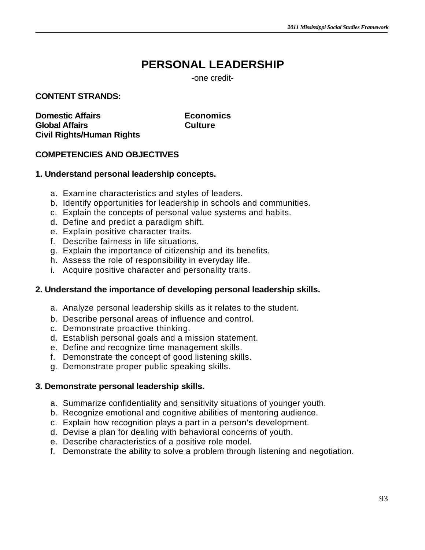## **PERSONAL LEADERSHIP**

-one credit-

### **CONTENT STRANDS:**

**Domestic Affairs Economics Global Affairs Culture Civil Rights/Human Rights**

## **COMPETENCIES AND OBJECTIVES**

#### **1. Understand personal leadership concepts.**

- a. Examine characteristics and styles of leaders.
- b. Identify opportunities for leadership in schools and communities.
- c. Explain the concepts of personal value systems and habits.
- d. Define and predict a paradigm shift.
- e. Explain positive character traits.
- f. Describe fairness in life situations.
- g. Explain the importance of citizenship and its benefits.
- h. Assess the role of responsibility in everyday life.
- i. Acquire positive character and personality traits.

#### **2. Understand the importance of developing personal leadership skills.**

- a. Analyze personal leadership skills as it relates to the student.
- b. Describe personal areas of influence and control.
- c. Demonstrate proactive thinking.
- d. Establish personal goals and a mission statement.
- e. Define and recognize time management skills.
- f. Demonstrate the concept of good listening skills.
- g. Demonstrate proper public speaking skills.

#### **3. Demonstrate personal leadership skills.**

- a. Summarize confidentiality and sensitivity situations of younger youth.
- b. Recognize emotional and cognitive abilities of mentoring audience.
- c. Explain how recognition plays a part in a person's development.
- d. Devise a plan for dealing with behavioral concerns of youth.
- e. Describe characteristics of a positive role model.
- f. Demonstrate the ability to solve a problem through listening and negotiation.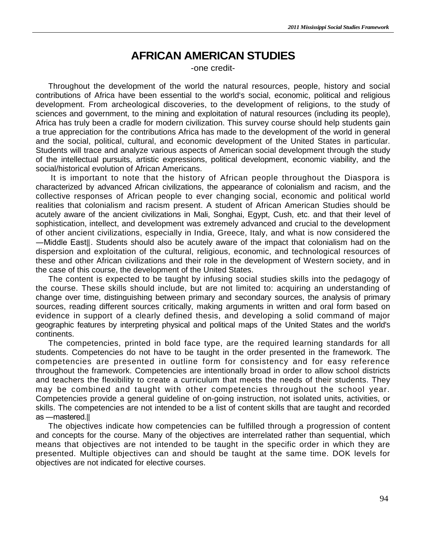## **AFRICAN AMERICAN STUDIES**

-one credit-

Throughout the development of the world the natural resources, people, history and social contributions of Africa have been essential to the world's social, economic, political and religious development. From archeological discoveries, to the development of religions, to the study of sciences and government, to the mining and exploitation of natural resources (including its people), Africa has truly been a cradle for modern civilization. This survey course should help students gain a true appreciation for the contributions Africa has made to the development of the world in general and the social, political, cultural, and economic development of the United States in particular. Students will trace and analyze various aspects of American social development through the study of the intellectual pursuits, artistic expressions, political development, economic viability, and the social/historical evolution of African Americans.

It is important to note that the history of African people throughout the Diaspora is characterized by advanced African civilizations, the appearance of colonialism and racism, and the collective responses of African people to ever changing social, economic and political world realities that colonialism and racism present. A student of African American Studies should be acutely aware of the ancient civilizations in Mali, Songhai, Egypt, Cush, etc. and that their level of sophistication, intellect, and development was extremely advanced and crucial to the development of other ancient civilizations, especially in India, Greece, Italy, and what is now considered the ―Middle East‖. Students should also be acutely aware of the impact that colonialism had on the dispersion and exploitation of the cultural, religious, economic, and technological resources of these and other African civilizations and their role in the development of Western society, and in the case of this course, the development of the United States.

The content is expected to be taught by infusing social studies skills into the pedagogy of the course. These skills should include, but are not limited to: acquiring an understanding of change over time, distinguishing between primary and secondary sources, the analysis of primary sources, reading different sources critically, making arguments in written and oral form based on evidence in support of a clearly defined thesis, and developing a solid command of major geographic features by interpreting physical and political maps of the United States and the world's continents.

The competencies, printed in bold face type, are the required learning standards for all students. Competencies do not have to be taught in the order presented in the framework. The competencies are presented in outline form for consistency and for easy reference throughout the framework. Competencies are intentionally broad in order to allow school districts and teachers the flexibility to create a curriculum that meets the needs of their students. They may be combined and taught with other competencies throughout the school year. Competencies provide a general guideline of on-going instruction, not isolated units, activities, or skills. The competencies are not intended to be a list of content skills that are taught and recorded as ―mastered.‖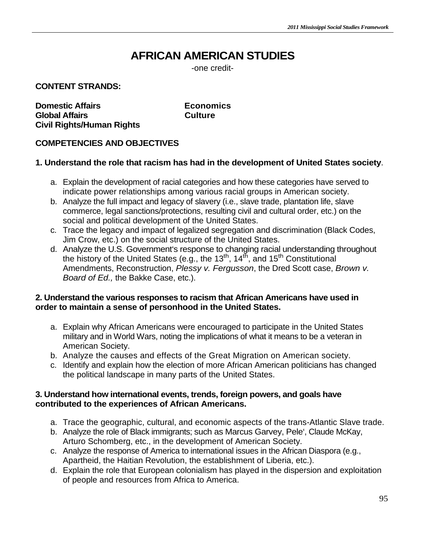# **AFRICAN AMERICAN STUDIES**

-one credit-

### **CONTENT STRANDS:**

**Domestic Affairs Economics Global Affairs Culture Civil Rights/Human Rights**

## **COMPETENCIES AND OBJECTIVES**

### **1. Understand the role that racism has had in the development of United States society**.

- a. Explain the development of racial categories and how these categories have served to indicate power relationships among various racial groups in American society.
- b. Analyze the full impact and legacy of slavery (i.e., slave trade, plantation life, slave commerce, legal sanctions/protections, resulting civil and cultural order, etc.) on the social and political development of the United States.
- c. Trace the legacy and impact of legalized segregation and discrimination (Black Codes, Jim Crow, etc.) on the social structure of the United States.
- d. Analyze the U.S. Government's response to changing racial understanding throughout the history of the United States (e.g., the 13<sup>th</sup>, 14<sup>th</sup>, and 15<sup>th</sup> Constitutional Amendments, Reconstruction, *Plessy v. Fergusson*, the Dred Scott case, *Brown v. Board of Ed.,* the Bakke Case, etc.).

## **2. Understand the various responses to racism that African Americans have used in order to maintain a sense of personhood in the United States.**

- a. Explain why African Americans were encouraged to participate in the United States military and in World Wars, noting the implications of what it means to be a veteran in American Society.
- b. Analyze the causes and effects of the Great Migration on American society.
- c. Identify and explain how the election of more African American politicians has changed the political landscape in many parts of the United States.

### **3. Understand how international events, trends, foreign powers, and goals have contributed to the experiences of African Americans.**

- a. Trace the geographic, cultural, and economic aspects of the trans-Atlantic Slave trade.
- b. Analyze the role of Black immigrants; such as Marcus Garvey, Pele', Claude McKay, Arturo Schomberg, etc., in the development of American Society.
- c. Analyze the response of America to international issues in the African Diaspora (e.g., Apartheid, the Haitian Revolution, the establishment of Liberia, etc.).
- d. Explain the role that European colonialism has played in the dispersion and exploitation of people and resources from Africa to America.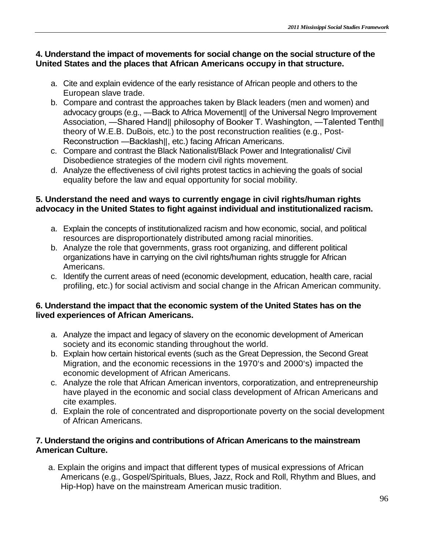## **4. Understand the impact of movements for social change on the social structure of the United States and the places that African Americans occupy in that structure.**

- a. Cite and explain evidence of the early resistance of African people and others to the European slave trade.
- b. Compare and contrast the approaches taken by Black leaders (men and women) and advocacy groups (e.g., ―Back to Africa Movement‖ of the Universal Negro Improvement Association, —Shared Hand|| philosophy of Booker T. Washington, —Talented Tenth|| theory of W.E.B. DuBois, etc.) to the post reconstruction realities (e.g., Post-Reconstruction ―Backlash‖, etc.) facing African Americans.
- c. Compare and contrast the Black Nationalist/Black Power and Integrationalist/ Civil Disobedience strategies of the modern civil rights movement.
- d. Analyze the effectiveness of civil rights protest tactics in achieving the goals of social equality before the law and equal opportunity for social mobility.

## **5. Understand the need and ways to currently engage in civil rights/human rights advocacy in the United States to fight against individual and institutionalized racism.**

- a. Explain the concepts of institutionalized racism and how economic, social, and political resources are disproportionately distributed among racial minorities.
- b. Analyze the role that governments, grass root organizing, and different political organizations have in carrying on the civil rights/human rights struggle for African Americans.
- c. Identify the current areas of need (economic development, education, health care, racial profiling, etc.) for social activism and social change in the African American community.

## **6. Understand the impact that the economic system of the United States has on the lived experiences of African Americans.**

- a. Analyze the impact and legacy of slavery on the economic development of American society and its economic standing throughout the world.
- b. Explain how certain historical events (such as the Great Depression, the Second Great Migration, and the economic recessions in the 1970's and 2000's) impacted the economic development of African Americans.
- c. Analyze the role that African American inventors, corporatization, and entrepreneurship have played in the economic and social class development of African Americans and cite examples.
- d. Explain the role of concentrated and disproportionate poverty on the social development of African Americans.

## **7. Understand the origins and contributions of African Americans to the mainstream American Culture.**

a. Explain the origins and impact that different types of musical expressions of African Americans (e.g., Gospel/Spirituals, Blues, Jazz, Rock and Roll, Rhythm and Blues, and Hip-Hop) have on the mainstream American music tradition.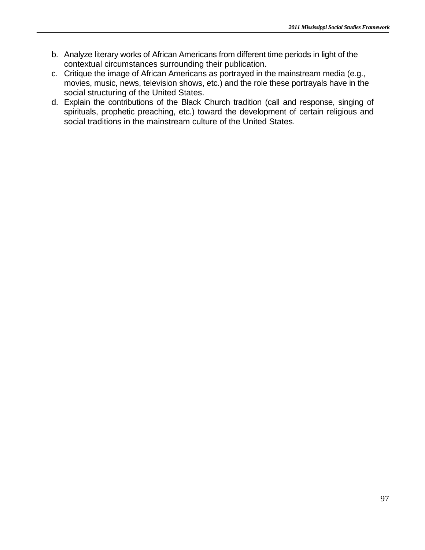- b. Analyze literary works of African Americans from different time periods in light of the contextual circumstances surrounding their publication.
- c. Critique the image of African Americans as portrayed in the mainstream media (e.g., movies, music, news, television shows, etc.) and the role these portrayals have in the social structuring of the United States.
- d. Explain the contributions of the Black Church tradition (call and response, singing of spirituals, prophetic preaching, etc.) toward the development of certain religious and social traditions in the mainstream culture of the United States.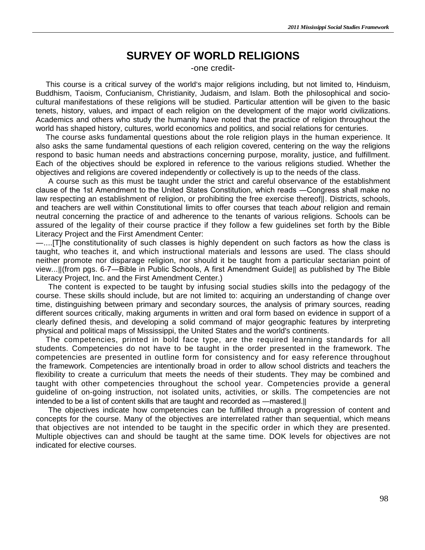## **SURVEY OF WORLD RELIGIONS**

-one credit-

This course is a critical survey of the world's major religions including, but not limited to, Hinduism, Buddhism, Taoism, Confucianism, Christianity, Judaism, and Islam. Both the philosophical and sociocultural manifestations of these religions will be studied. Particular attention will be given to the basic tenets, history, values, and impact of each religion on the development of the major world civilizations. Academics and others who study the humanity have noted that the practice of religion throughout the world has shaped history, cultures, world economics and politics, and social relations for centuries.

The course asks fundamental questions about the role religion plays in the human experience. It also asks the same fundamental questions of each religion covered, centering on the way the religions respond to basic human needs and abstractions concerning purpose, morality, justice, and fulfillment. Each of the objectives should be explored in reference to the various religions studied. Whether the objectives and religions are covered independently or collectively is up to the needs of the class.

A course such as this must be taught under the strict and careful observance of the establishment clause of the 1st Amendment to the United States Constitution, which reads ―Congress shall make no law respecting an establishment of religion, or prohibiting the free exercise thereof‖. Districts, schools, and teachers are well within Constitutional limits to offer courses that teach *about* religion and remain neutral concerning the practice of and adherence to the tenants of various religions. Schools can be assured of the legality of their course practice if they follow a few guidelines set forth by the Bible Literacy Project and the First Amendment Center:

―....[T]he constitutionality of such classes is highly dependent on such factors as how the class is taught, who teaches it, and which instructional materials and lessons are used. The class should neither promote nor disparage religion, nor should it be taught from a particular sectarian point of view...‖(from pgs. 6-7―Bible in Public Schools, A first Amendment Guide‖ as published by The Bible Literacy Project, Inc. and the First Amendment Center.)

The content is expected to be taught by infusing social studies skills into the pedagogy of the course. These skills should include, but are not limited to: acquiring an understanding of change over time, distinguishing between primary and secondary sources, the analysis of primary sources, reading different sources critically, making arguments in written and oral form based on evidence in support of a clearly defined thesis, and developing a solid command of major geographic features by interpreting physical and political maps of Mississippi, the United States and the world's continents.

The competencies, printed in bold face type, are the required learning standards for all students. Competencies do not have to be taught in the order presented in the framework. The competencies are presented in outline form for consistency and for easy reference throughout the framework. Competencies are intentionally broad in order to allow school districts and teachers the flexibility to create a curriculum that meets the needs of their students. They may be combined and taught with other competencies throughout the school year. Competencies provide a general guideline of on-going instruction, not isolated units, activities, or skills. The competencies are not intended to be a list of content skills that are taught and recorded as ―mastered.‖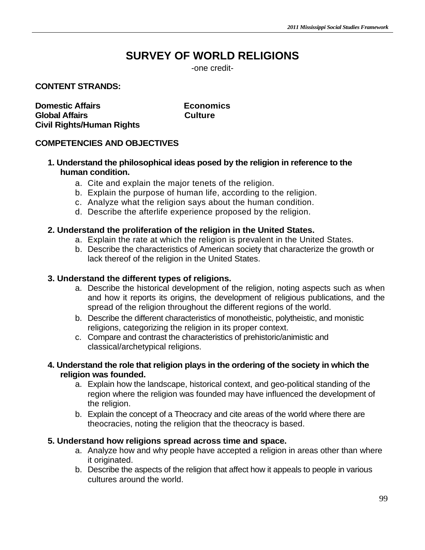# **SURVEY OF WORLD RELIGIONS**

-one credit-

#### **CONTENT STRANDS:**

**Domestic Affairs Economics Global Affairs Culture Civil Rights/Human Rights**

#### **COMPETENCIES AND OBJECTIVES**

- **1. Understand the philosophical ideas posed by the religion in reference to the human condition.**
	- a. Cite and explain the major tenets of the religion.
	- b. Explain the purpose of human life, according to the religion.
	- c. Analyze what the religion says about the human condition.
	- d. Describe the afterlife experience proposed by the religion.

#### **2. Understand the proliferation of the religion in the United States.**

- a. Explain the rate at which the religion is prevalent in the United States.
- b. Describe the characteristics of American society that characterize the growth or lack thereof of the religion in the United States.

#### **3. Understand the different types of religions.**

- a. Describe the historical development of the religion, noting aspects such as when and how it reports its origins, the development of religious publications, and the spread of the religion throughout the different regions of the world.
- b. Describe the different characteristics of monotheistic, polytheistic, and monistic religions, categorizing the religion in its proper context.
- c. Compare and contrast the characteristics of prehistoric/animistic and classical/archetypical religions.

#### **4. Understand the role that religion plays in the ordering of the society in which the religion was founded.**

- a. Explain how the landscape, historical context, and geo-political standing of the region where the religion was founded may have influenced the development of the religion.
- b. Explain the concept of a Theocracy and cite areas of the world where there are theocracies, noting the religion that the theocracy is based.

## **5. Understand how religions spread across time and space.**

- a. Analyze how and why people have accepted a religion in areas other than where it originated.
- b. Describe the aspects of the religion that affect how it appeals to people in various cultures around the world.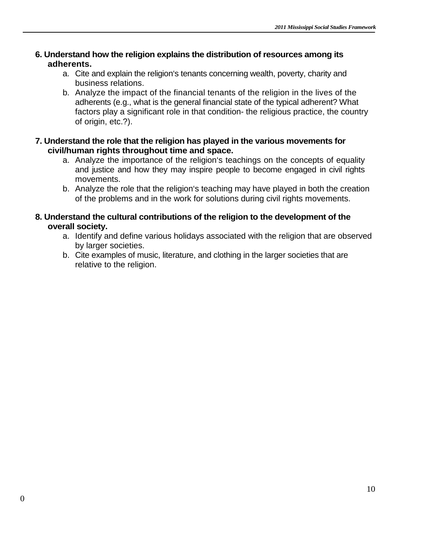## **6. Understand how the religion explains the distribution of resources among its adherents.**

- a. Cite and explain the religion's tenants concerning wealth, poverty, charity and business relations.
- b. Analyze the impact of the financial tenants of the religion in the lives of the adherents (e.g., what is the general financial state of the typical adherent? What factors play a significant role in that condition- the religious practice, the country of origin, etc.?).
- **7. Understand the role that the religion has played in the various movements for civil/human rights throughout time and space.**
	- a. Analyze the importance of the religion's teachings on the concepts of equality and justice and how they may inspire people to become engaged in civil rights movements.
	- b. Analyze the role that the religion's teaching may have played in both the creation of the problems and in the work for solutions during civil rights movements.
- **8. Understand the cultural contributions of the religion to the development of the overall society.**
	- a. Identify and define various holidays associated with the religion that are observed by larger societies.
	- b. Cite examples of music, literature, and clothing in the larger societies that are relative to the religion.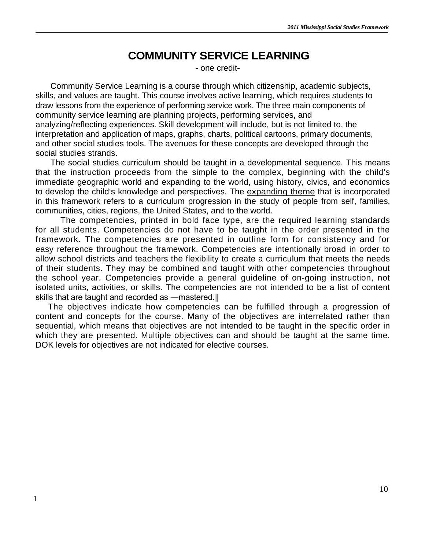## **COMMUNITY SERVICE LEARNING**

**-** one credit**-**

Community Service Learning is a course through which citizenship, academic subjects, skills, and values are taught. This course involves active learning, which requires students to draw lessons from the experience of performing service work. The three main components of community service learning are planning projects, performing services, and analyzing/reflecting experiences. Skill development will include, but is not limited to, the interpretation and application of maps, graphs, charts, political cartoons, primary documents, and other social studies tools. The avenues for these concepts are developed through the social studies strands.

The social studies curriculum should be taught in a developmental sequence. This means that the instruction proceeds from the simple to the complex, beginning with the child's immediate geographic world and expanding to the world, using history, civics, and economics to develop the child's knowledge and perspectives. The expanding theme that is incorporated in this framework refers to a curriculum progression in the study of people from self, families, communities, cities, regions, the United States, and to the world.

The competencies, printed in bold face type, are the required learning standards for all students. Competencies do not have to be taught in the order presented in the framework. The competencies are presented in outline form for consistency and for easy reference throughout the framework. Competencies are intentionally broad in order to allow school districts and teachers the flexibility to create a curriculum that meets the needs of their students. They may be combined and taught with other competencies throughout the school year. Competencies provide a general guideline of on-going instruction, not isolated units, activities, or skills. The competencies are not intended to be a list of content skills that are taught and recorded as ―mastered.‖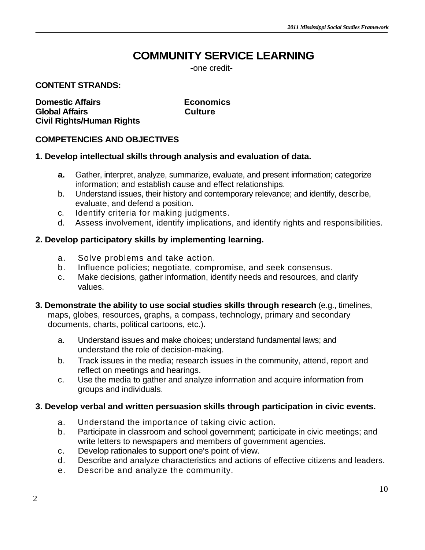# **COMMUNITY SERVICE LEARNING**

**-**one credit**-**

**CONTENT STRANDS:**

**Domestic Affairs Economics Global Affairs Civil Rights/Human Rights**

## **COMPETENCIES AND OBJECTIVES**

### **1. Develop intellectual skills through analysis and evaluation of data.**

- **a.** Gather, interpret, analyze, summarize, evaluate, and present information; categorize information; and establish cause and effect relationships.
- b. Understand issues, their history and contemporary relevance; and identify, describe, evaluate, and defend a position.
- c. Identify criteria for making judgments.
- d. Assess involvement, identify implications, and identify rights and responsibilities.

## **2. Develop participatory skills by implementing learning.**

- a. Solve problems and take action.
- b. Influence policies; negotiate, compromise, and seek consensus.
- c. Make decisions, gather information, identify needs and resources, and clarify values.
- **3. Demonstrate the ability to use social studies skills through research** (e.g., timelines, maps, globes, resources, graphs, a compass, technology, primary and secondary documents, charts, political cartoons, etc.)**.**
	- a. Understand issues and make choices; understand fundamental laws; and understand the role of decision-making.
	- b. Track issues in the media; research issues in the community, attend, report and reflect on meetings and hearings.
	- c. Use the media to gather and analyze information and acquire information from groups and individuals.

## **3. Develop verbal and written persuasion skills through participation in civic events.**

- a. Understand the importance of taking civic action.
- b. Participate in classroom and school government; participate in civic meetings; and write letters to newspapers and members of government agencies.
- c. Develop rationales to support one's point of view.
- d. Describe and analyze characteristics and actions of effective citizens and leaders.
- e. Describe and analyze the community.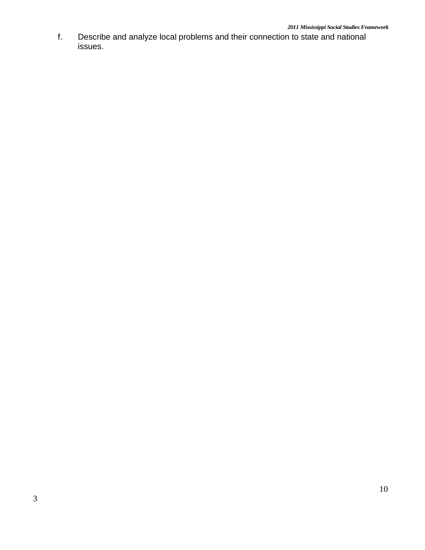f. Describe and analyze local problems and their connection to state and national issues.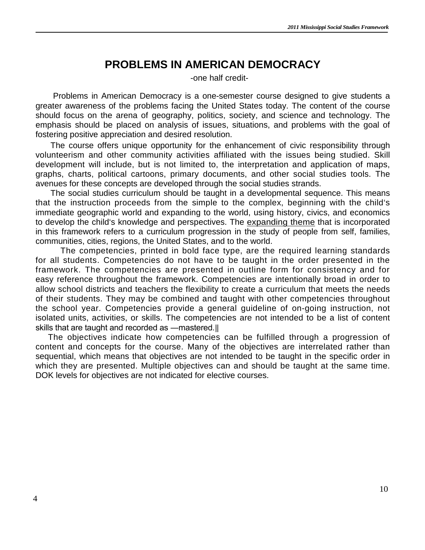## **PROBLEMS IN AMERICAN DEMOCRACY**

-one half credit-

Problems in American Democracy is a one-semester course designed to give students a greater awareness of the problems facing the United States today. The content of the course should focus on the arena of geography, politics, society, and science and technology. The emphasis should be placed on analysis of issues, situations, and problems with the goal of fostering positive appreciation and desired resolution.

The course offers unique opportunity for the enhancement of civic responsibility through volunteerism and other community activities affiliated with the issues being studied. Skill development will include, but is not limited to, the interpretation and application of maps, graphs, charts, political cartoons, primary documents, and other social studies tools. The avenues for these concepts are developed through the social studies strands.

The social studies curriculum should be taught in a developmental sequence. This means that the instruction proceeds from the simple to the complex, beginning with the child's immediate geographic world and expanding to the world, using history, civics, and economics to develop the child's knowledge and perspectives. The expanding theme that is incorporated in this framework refers to a curriculum progression in the study of people from self, families, communities, cities, regions, the United States, and to the world.

The competencies, printed in bold face type, are the required learning standards for all students. Competencies do not have to be taught in the order presented in the framework. The competencies are presented in outline form for consistency and for easy reference throughout the framework. Competencies are intentionally broad in order to allow school districts and teachers the flexibility to create a curriculum that meets the needs of their students. They may be combined and taught with other competencies throughout the school year. Competencies provide a general guideline of on-going instruction, not isolated units, activities, or skills. The competencies are not intended to be a list of content skills that are taught and recorded as ―mastered.‖

The objectives indicate how competencies can be fulfilled through a progression of content and concepts for the course. Many of the objectives are interrelated rather than sequential, which means that objectives are not intended to be taught in the specific order in which they are presented. Multiple objectives can and should be taught at the same time. DOK levels for objectives are not indicated for elective courses.

4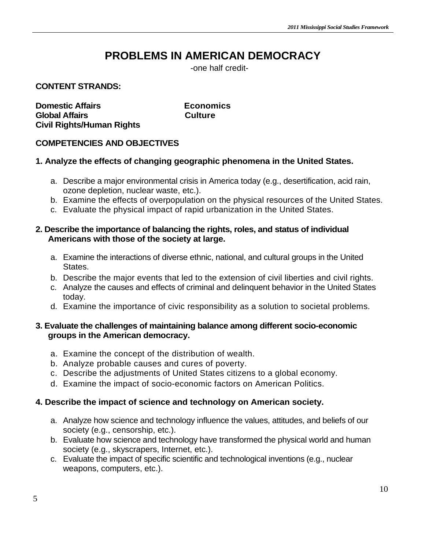# **PROBLEMS IN AMERICAN DEMOCRACY**

-one half credit-

**CONTENT STRANDS:**

**Domestic Affairs Economics Global Affairs Culture Civil Rights/Human Rights**

## **COMPETENCIES AND OBJECTIVES**

### **1. Analyze the effects of changing geographic phenomena in the United States.**

- a. Describe a major environmental crisis in America today (e.g., desertification, acid rain, ozone depletion, nuclear waste, etc.).
- b. Examine the effects of overpopulation on the physical resources of the United States.
- c. Evaluate the physical impact of rapid urbanization in the United States.

### **2. Describe the importance of balancing the rights, roles, and status of individual Americans with those of the society at large.**

- a. Examine the interactions of diverse ethnic, national, and cultural groups in the United States.
- b. Describe the major events that led to the extension of civil liberties and civil rights.
- c. Analyze the causes and effects of criminal and delinquent behavior in the United States today.
- d. Examine the importance of civic responsibility as a solution to societal problems.

## **3. Evaluate the challenges of maintaining balance among different socio-economic groups in the American democracy.**

- a. Examine the concept of the distribution of wealth.
- b. Analyze probable causes and cures of poverty.
- c. Describe the adjustments of United States citizens to a global economy.
- d. Examine the impact of socio-economic factors on American Politics.

## **4. Describe the impact of science and technology on American society.**

- a. Analyze how science and technology influence the values, attitudes, and beliefs of our society (e.g., censorship, etc.).
- b. Evaluate how science and technology have transformed the physical world and human society (e.g., skyscrapers, Internet, etc.).
- c. Evaluate the impact of specific scientific and technological inventions (e.g., nuclear weapons, computers, etc.).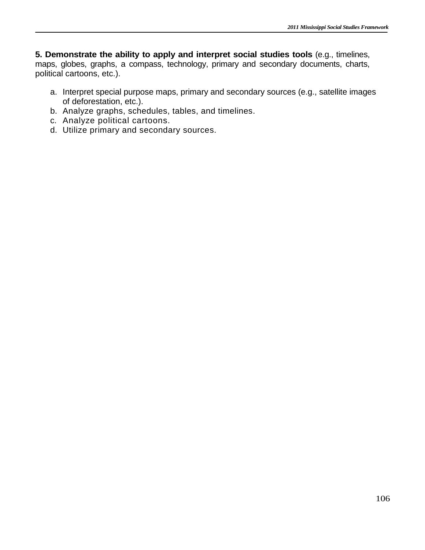**5. Demonstrate the ability to apply and interpret social studies tools** (e.g., timelines, maps, globes, graphs, a compass, technology, primary and secondary documents, charts, political cartoons, etc.).

- a. Interpret special purpose maps, primary and secondary sources (e.g., satellite images of deforestation, etc.).
- b. Analyze graphs, schedules, tables, and timelines.
- c. Analyze political cartoons.
- d. Utilize primary and secondary sources.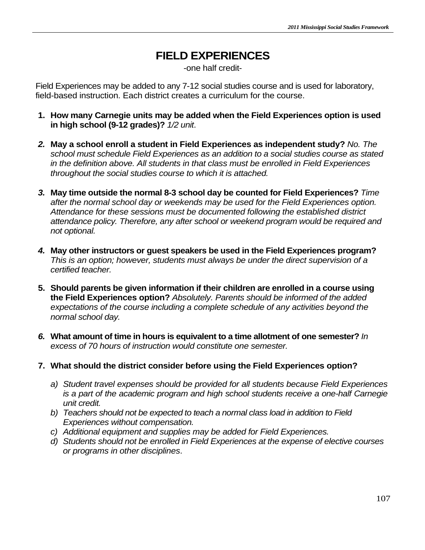# **FIELD EXPERIENCES**

-one half credit-

Field Experiences may be added to any 7-12 social studies course and is used for laboratory, field-based instruction. Each district creates a curriculum for the course.

- **1. How many Carnegie units may be added when the Field Experiences option is used in high school (9-12 grades)?** *1/2 unit*.
- *2.* **May a school enroll a student in Field Experiences as independent study?** *No. The school must schedule Field Experiences as an addition to a social studies course as stated in the definition above. All students in that class must be enrolled in Field Experiences throughout the social studies course to which it is attached.*
- *3.* **May time outside the normal 8-3 school day be counted for Field Experiences?** *Time after the normal school day or weekends may be used for the Field Experiences option. Attendance for these sessions must be documented following the established district attendance policy. Therefore, any after school or weekend program would be required and not optional.*
- *4.* **May other instructors or guest speakers be used in the Field Experiences program?** *This is an option; however, students must always be under the direct supervision of a certified teacher.*
- **5. Should parents be given information if their children are enrolled in a course using the Field Experiences option?** *Absolutely. Parents should be informed of the added*  expectations of the course including a complete schedule of any activities beyond the *normal school day.*
- *6.* **What amount of time in hours is equivalent to a time allotment of one semester?** *In excess of 70 hours of instruction would constitute one semester.*
- **7. What should the district consider before using the Field Experiences option?**
	- *a) Student travel expenses should be provided for all students because Field Experiences is a part of the academic program and high school students receive a one-half Carnegie unit credit.*
	- *b) Teachers should not be expected to teach a normal class load in addition to Field Experiences without compensation.*
	- *c) Additional equipment and supplies may be added for Field Experiences.*
	- *d) Students should not be enrolled in Field Experiences at the expense of elective courses or programs in other disciplines*.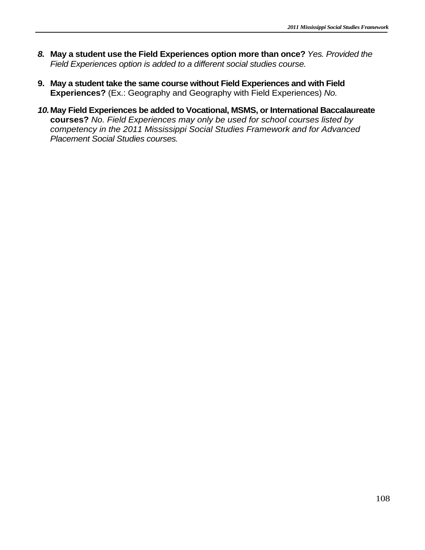- *8.* **May a student use the Field Experiences option more than once?** *Yes. Provided the Field Experiences option is added to a different social studies course.*
- **9. May a student take the same course without Field Experiences and with Field Experiences?** (Ex.: Geography and Geography with Field Experiences) *No.*
- *10.***May Field Experiences be added to Vocational, MSMS, or International Baccalaureate courses?** *No. Field Experiences may only be used for school courses listed by competency in the 2011 Mississippi Social Studies Framework and for Advanced Placement Social Studies courses.*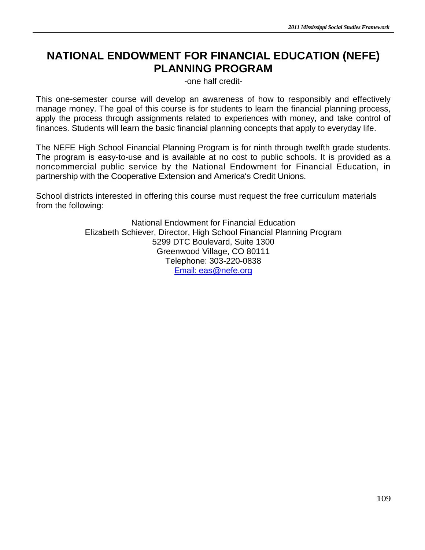# **NATIONAL ENDOWMENT FOR FINANCIAL EDUCATION (NEFE) PLANNING PROGRAM**

-one half credit-

This one-semester course will develop an awareness of how to responsibly and effectively manage money. The goal of this course is for students to learn the financial planning process, apply the process through assignments related to experiences with money, and take control of finances. Students will learn the basic financial planning concepts that apply to everyday life.

The NEFE High School Financial Planning Program is for ninth through twelfth grade students. The program is easy-to-use and is available at no cost to public schools. It is provided as a noncommercial public service by the National Endowment for Financial Education, in partnership with the Cooperative Extension and America's Credit Unions.

School districts interested in offering this course must request the free curriculum materials from the following:

> National Endowment for Financial Education Elizabeth Schiever, Director, High School Financial Planning Program 5299 DTC Boulevard, Suite 1300 Greenwood Village, CO 80111 Telephone: 303-220-0838 [Email: eas@nefe.org](mailto:eas@nefe.org)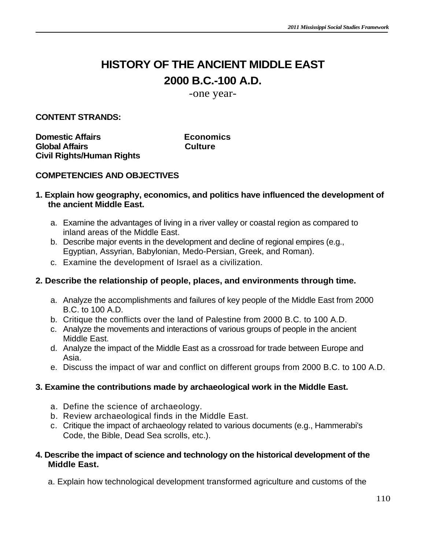# **HISTORY OF THE ANCIENT MIDDLE EAST 2000 B.C.-100 A.D.**

-one year-

#### **CONTENT STRANDS:**

**Domestic Affairs Economics Global Affairs Culture Civil Rights/Human Rights**

#### **COMPETENCIES AND OBJECTIVES**

#### **1. Explain how geography, economics, and politics have influenced the development of the ancient Middle East.**

- a. Examine the advantages of living in a river valley or coastal region as compared to inland areas of the Middle East.
- b. Describe major events in the development and decline of regional empires (e.g., Egyptian, Assyrian, Babylonian, Medo-Persian, Greek, and Roman).
- c. Examine the development of Israel as a civilization.

#### **2. Describe the relationship of people, places, and environments through time.**

- a. Analyze the accomplishments and failures of key people of the Middle East from 2000 B.C. to 100 A.D.
- b. Critique the conflicts over the land of Palestine from 2000 B.C. to 100 A.D.
- c. Analyze the movements and interactions of various groups of people in the ancient Middle East.
- d. Analyze the impact of the Middle East as a crossroad for trade between Europe and Asia.
- e. Discuss the impact of war and conflict on different groups from 2000 B.C. to 100 A.D.

#### **3. Examine the contributions made by archaeological work in the Middle East.**

- a. Define the science of archaeology.
- b. Review archaeological finds in the Middle East.
- c. Critique the impact of archaeology related to various documents (e.g., Hammerabi's Code, the Bible, Dead Sea scrolls, etc.).

#### **4. Describe the impact of science and technology on the historical development of the Middle East.**

a. Explain how technological development transformed agriculture and customs of the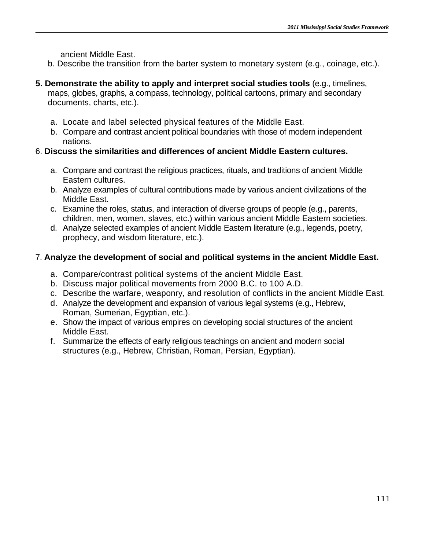ancient Middle East.

- b. Describe the transition from the barter system to monetary system (e.g., coinage, etc.).
- **5. Demonstrate the ability to apply and interpret social studies tools** (e.g., timelines, maps, globes, graphs, a compass, technology, political cartoons, primary and secondary documents, charts, etc.).
	- a. Locate and label selected physical features of the Middle East.
	- b. Compare and contrast ancient political boundaries with those of modern independent nations.

## 6. **Discuss the similarities and differences of ancient Middle Eastern cultures.**

- a. Compare and contrast the religious practices, rituals, and traditions of ancient Middle Eastern cultures.
- b. Analyze examples of cultural contributions made by various ancient civilizations of the Middle East.
- c. Examine the roles, status, and interaction of diverse groups of people (e.g., parents, children, men, women, slaves, etc.) within various ancient Middle Eastern societies.
- d. Analyze selected examples of ancient Middle Eastern literature (e.g., legends, poetry, prophecy, and wisdom literature, etc.).

## 7. **Analyze the development of social and political systems in the ancient Middle East.**

- a. Compare/contrast political systems of the ancient Middle East.
- b. Discuss major political movements from 2000 B.C. to 100 A.D.
- c. Describe the warfare, weaponry, and resolution of conflicts in the ancient Middle East.
- d. Analyze the development and expansion of various legal systems (e.g., Hebrew, Roman, Sumerian, Egyptian, etc.).
- e. Show the impact of various empires on developing social structures of the ancient Middle East.
- f. Summarize the effects of early religious teachings on ancient and modern social structures (e.g., Hebrew, Christian, Roman, Persian, Egyptian).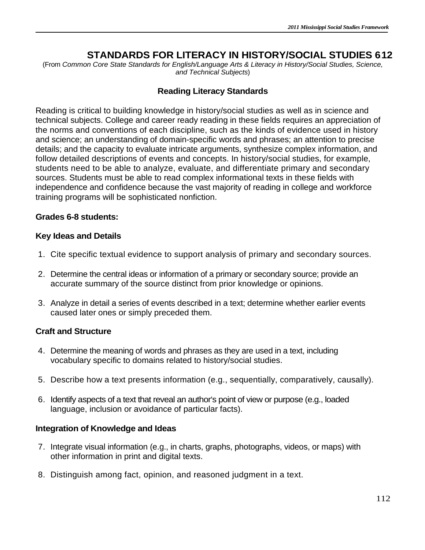# **STANDARDS FOR LITERACY IN HISTORY/SOCIAL STUDIES 612**

(From *Common Core State Standards for English/Language Arts & Literacy in History/Social Studies, Science, and Technical Subjects*)

#### **Reading Literacy Standards**

Reading is critical to building knowledge in history/social studies as well as in science and technical subjects. College and career ready reading in these fields requires an appreciation of the norms and conventions of each discipline, such as the kinds of evidence used in history and science; an understanding of domain-specific words and phrases; an attention to precise details; and the capacity to evaluate intricate arguments, synthesize complex information, and follow detailed descriptions of events and concepts. In history/social studies, for example, students need to be able to analyze, evaluate, and differentiate primary and secondary sources. Students must be able to read complex informational texts in these fields with independence and confidence because the vast majority of reading in college and workforce training programs will be sophisticated nonfiction.

#### **Grades 6-8 students:**

#### **Key Ideas and Details**

- 1. Cite specific textual evidence to support analysis of primary and secondary sources.
- 2. Determine the central ideas or information of a primary or secondary source; provide an accurate summary of the source distinct from prior knowledge or opinions.
- 3. Analyze in detail a series of events described in a text; determine whether earlier events caused later ones or simply preceded them.

## **Craft and Structure**

- 4. Determine the meaning of words and phrases as they are used in a text, including vocabulary specific to domains related to history/social studies.
- 5. Describe how a text presents information (e.g., sequentially, comparatively, causally).
- 6. Identify aspects of a text that reveal an author's point of view or purpose (e.g., loaded language, inclusion or avoidance of particular facts).

#### **Integration of Knowledge and Ideas**

- 7. Integrate visual information (e.g., in charts, graphs, photographs, videos, or maps) with other information in print and digital texts.
- 8. Distinguish among fact, opinion, and reasoned judgment in a text.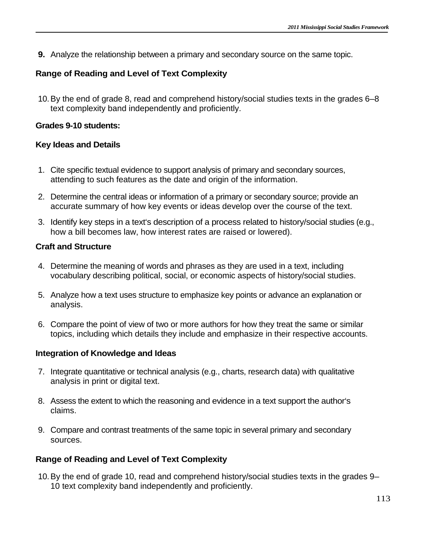**9.** Analyze the relationship between a primary and secondary source on the same topic.

## **Range of Reading and Level of Text Complexity**

10.By the end of grade 8, read and comprehend history/social studies texts in the grades 6–8 text complexity band independently and proficiently.

#### **Grades 9-10 students:**

#### **Key Ideas and Details**

- 1. Cite specific textual evidence to support analysis of primary and secondary sources, attending to such features as the date and origin of the information.
- 2. Determine the central ideas or information of a primary or secondary source; provide an accurate summary of how key events or ideas develop over the course of the text.
- 3. Identify key steps in a text's description of a process related to history/social studies (e.g., how a bill becomes law, how interest rates are raised or lowered).

#### **Craft and Structure**

- 4. Determine the meaning of words and phrases as they are used in a text, including vocabulary describing political, social, or economic aspects of history/social studies.
- 5. Analyze how a text uses structure to emphasize key points or advance an explanation or analysis.
- 6. Compare the point of view of two or more authors for how they treat the same or similar topics, including which details they include and emphasize in their respective accounts.

## **Integration of Knowledge and Ideas**

- 7. Integrate quantitative or technical analysis (e.g., charts, research data) with qualitative analysis in print or digital text.
- 8. Assess the extent to which the reasoning and evidence in a text support the author's claims.
- 9. Compare and contrast treatments of the same topic in several primary and secondary sources.

## **Range of Reading and Level of Text Complexity**

10.By the end of grade 10, read and comprehend history/social studies texts in the grades 9– 10 text complexity band independently and proficiently.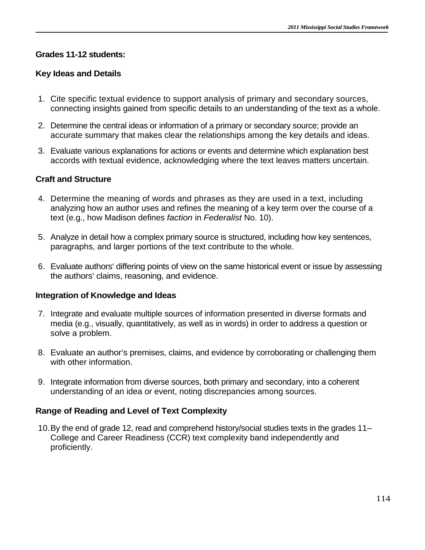#### **Grades 11-12 students:**

#### **Key Ideas and Details**

- 1. Cite specific textual evidence to support analysis of primary and secondary sources, connecting insights gained from specific details to an understanding of the text as a whole.
- 2. Determine the central ideas or information of a primary or secondary source; provide an accurate summary that makes clear the relationships among the key details and ideas.
- 3. Evaluate various explanations for actions or events and determine which explanation best accords with textual evidence, acknowledging where the text leaves matters uncertain.

#### **Craft and Structure**

- 4. Determine the meaning of words and phrases as they are used in a text, including analyzing how an author uses and refines the meaning of a key term over the course of a text (e.g., how Madison defines *faction* in *Federalist* No. 10).
- 5. Analyze in detail how a complex primary source is structured, including how key sentences, paragraphs, and larger portions of the text contribute to the whole.
- 6. Evaluate authors' differing points of view on the same historical event or issue by assessing the authors' claims, reasoning, and evidence.

#### **Integration of Knowledge and Ideas**

- 7. Integrate and evaluate multiple sources of information presented in diverse formats and media (e.g., visually, quantitatively, as well as in words) in order to address a question or solve a problem.
- 8. Evaluate an author's premises, claims, and evidence by corroborating or challenging them with other information.
- 9. Integrate information from diverse sources, both primary and secondary, into a coherent understanding of an idea or event, noting discrepancies among sources.

#### **Range of Reading and Level of Text Complexity**

10.By the end of grade 12, read and comprehend history/social studies texts in the grades 11– College and Career Readiness (CCR) text complexity band independently and proficiently.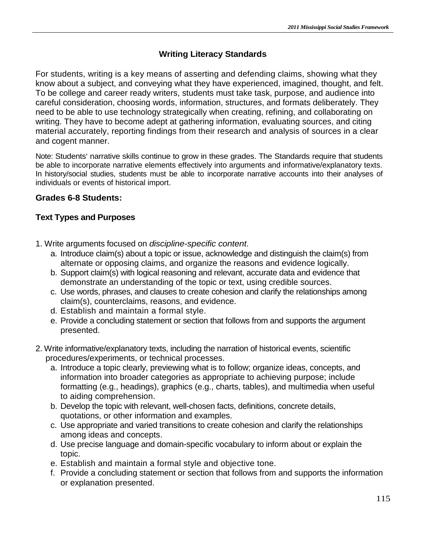# **Writing Literacy Standards**

For students, writing is a key means of asserting and defending claims, showing what they know about a subject, and conveying what they have experienced, imagined, thought, and felt. To be college and career ready writers, students must take task, purpose, and audience into careful consideration, choosing words, information, structures, and formats deliberately. They need to be able to use technology strategically when creating, refining, and collaborating on writing. They have to become adept at gathering information, evaluating sources, and citing material accurately, reporting findings from their research and analysis of sources in a clear and cogent manner.

Note: Students' narrative skills continue to grow in these grades. The Standards require that students be able to incorporate narrative elements effectively into arguments and informative/explanatory texts. In history/social studies, students must be able to incorporate narrative accounts into their analyses of individuals or events of historical import.

## **Grades 6-8 Students:**

#### **Text Types and Purposes**

- 1. Write arguments focused on *discipline-specific content*.
	- a. Introduce claim(s) about a topic or issue, acknowledge and distinguish the claim(s) from alternate or opposing claims, and organize the reasons and evidence logically.
	- b. Support claim(s) with logical reasoning and relevant, accurate data and evidence that demonstrate an understanding of the topic or text, using credible sources.
	- c. Use words, phrases, and clauses to create cohesion and clarify the relationships among claim(s), counterclaims, reasons, and evidence.
	- d. Establish and maintain a formal style.
	- e. Provide a concluding statement or section that follows from and supports the argument presented.
- 2. Write informative/explanatory texts, including the narration of historical events, scientific procedures/experiments, or technical processes.
	- a. Introduce a topic clearly, previewing what is to follow; organize ideas, concepts, and information into broader categories as appropriate to achieving purpose; include formatting (e.g., headings), graphics (e.g., charts, tables), and multimedia when useful to aiding comprehension.
	- b. Develop the topic with relevant, well-chosen facts, definitions, concrete details, quotations, or other information and examples.
	- c. Use appropriate and varied transitions to create cohesion and clarify the relationships among ideas and concepts.
	- d. Use precise language and domain-specific vocabulary to inform about or explain the topic.
	- e. Establish and maintain a formal style and objective tone.
	- f. Provide a concluding statement or section that follows from and supports the information or explanation presented.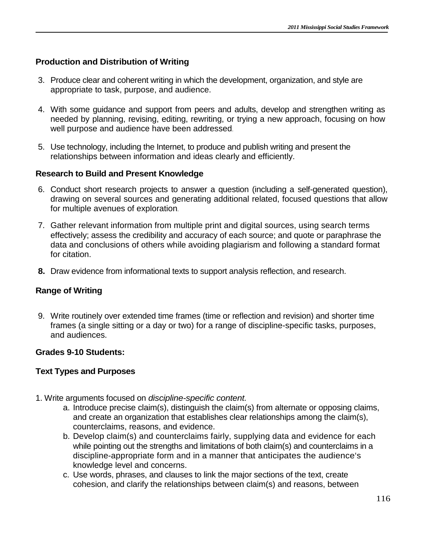## **Production and Distribution of Writing**

- 3. Produce clear and coherent writing in which the development, organization, and style are appropriate to task, purpose, and audience.
- 4. With some guidance and support from peers and adults, develop and strengthen writing as needed by planning, revising, editing, rewriting, or trying a new approach, focusing on how well purpose and audience have been addressed.
- 5. Use technology, including the Internet, to produce and publish writing and present the relationships between information and ideas clearly and efficiently.

#### **Research to Build and Present Knowledge**

- 6. Conduct short research projects to answer a question (including a self-generated question), drawing on several sources and generating additional related, focused questions that allow for multiple avenues of exploration.
- 7. Gather relevant information from multiple print and digital sources, using search terms effectively; assess the credibility and accuracy of each source; and quote or paraphrase the data and conclusions of others while avoiding plagiarism and following a standard format for citation.
- **8.** Draw evidence from informational texts to support analysis reflection, and research.

#### **Range of Writing**

9. Write routinely over extended time frames (time or reflection and revision) and shorter time frames (a single sitting or a day or two) for a range of discipline-specific tasks, purposes, and audiences.

#### **Grades 9-10 Students:**

#### **Text Types and Purposes**

- 1. Write arguments focused on *discipline-specific content.*
	- a. Introduce precise claim(s), distinguish the claim(s) from alternate or opposing claims, and create an organization that establishes clear relationships among the claim(s), counterclaims, reasons, and evidence.
	- b. Develop claim(s) and counterclaims fairly, supplying data and evidence for each while pointing out the strengths and limitations of both claim(s) and counterclaims in a discipline-appropriate form and in a manner that anticipates the audience's knowledge level and concerns.
	- c. Use words, phrases, and clauses to link the major sections of the text, create cohesion, and clarify the relationships between claim(s) and reasons, between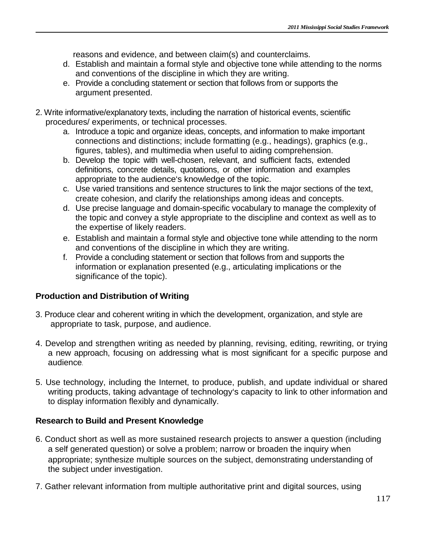reasons and evidence, and between claim(s) and counterclaims.

- d. Establish and maintain a formal style and objective tone while attending to the norms and conventions of the discipline in which they are writing.
- e. Provide a concluding statement or section that follows from or supports the argument presented.
- 2. Write informative/explanatory texts, including the narration of historical events, scientific procedures/ experiments, or technical processes.
	- a. Introduce a topic and organize ideas, concepts, and information to make important connections and distinctions; include formatting (e.g., headings), graphics (e.g., figures, tables), and multimedia when useful to aiding comprehension.
	- b. Develop the topic with well-chosen, relevant, and sufficient facts, extended definitions, concrete details, quotations, or other information and examples appropriate to the audience's knowledge of the topic.
	- c. Use varied transitions and sentence structures to link the major sections of the text, create cohesion, and clarify the relationships among ideas and concepts.
	- d. Use precise language and domain-specific vocabulary to manage the complexity of the topic and convey a style appropriate to the discipline and context as well as to the expertise of likely readers.
	- e. Establish and maintain a formal style and objective tone while attending to the norm and conventions of the discipline in which they are writing.
	- f. Provide a concluding statement or section that follows from and supports the information or explanation presented (e.g., articulating implications or the significance of the topic).

# **Production and Distribution of Writing**

- 3. Produce clear and coherent writing in which the development, organization, and style are appropriate to task, purpose, and audience.
- 4. Develop and strengthen writing as needed by planning, revising, editing, rewriting, or trying a new approach, focusing on addressing what is most significant for a specific purpose and audience.
- 5. Use technology, including the Internet, to produce, publish, and update individual or shared writing products, taking advantage of technology's capacity to link to other information and to display information flexibly and dynamically.

# **Research to Build and Present Knowledge**

- 6. Conduct short as well as more sustained research projects to answer a question (including a self generated question) or solve a problem; narrow or broaden the inquiry when appropriate; synthesize multiple sources on the subject, demonstrating understanding of the subject under investigation.
- 7. Gather relevant information from multiple authoritative print and digital sources, using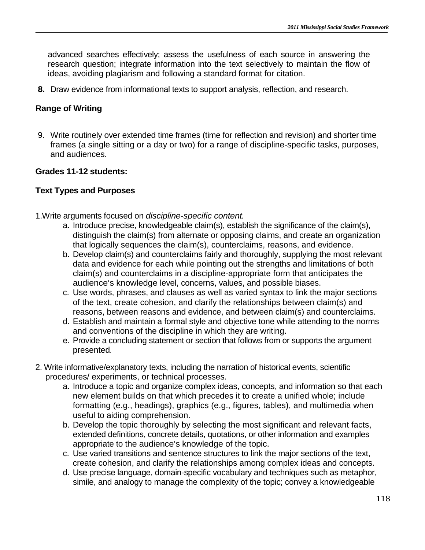advanced searches effectively; assess the usefulness of each source in answering the research question; integrate information into the text selectively to maintain the flow of ideas, avoiding plagiarism and following a standard format for citation.

**8.** Draw evidence from informational texts to support analysis, reflection, and research.

# **Range of Writing**

9. Write routinely over extended time frames (time for reflection and revision) and shorter time frames (a single sitting or a day or two) for a range of discipline-specific tasks, purposes, and audiences.

## **Grades 11-12 students:**

## **Text Types and Purposes**

1.Write arguments focused on *discipline-specific content.*

- a. Introduce precise, knowledgeable claim(s), establish the significance of the claim(s), distinguish the claim(s) from alternate or opposing claims, and create an organization that logically sequences the claim(s), counterclaims, reasons, and evidence.
- b. Develop claim(s) and counterclaims fairly and thoroughly, supplying the most relevant data and evidence for each while pointing out the strengths and limitations of both claim(s) and counterclaims in a discipline-appropriate form that anticipates the audience's knowledge level, concerns, values, and possible biases.
- c. Use words, phrases, and clauses as well as varied syntax to link the major sections of the text, create cohesion, and clarify the relationships between claim(s) and reasons, between reasons and evidence, and between claim(s) and counterclaims.
- d. Establish and maintain a formal style and objective tone while attending to the norms and conventions of the discipline in which they are writing.
- e. Provide a concluding statement or section that follows from or supports the argument presented.
- 2. Write informative/explanatory texts, including the narration of historical events, scientific procedures/ experiments, or technical processes.
	- a. Introduce a topic and organize complex ideas, concepts, and information so that each new element builds on that which precedes it to create a unified whole; include formatting (e.g., headings), graphics (e.g., figures, tables), and multimedia when useful to aiding comprehension.
	- b. Develop the topic thoroughly by selecting the most significant and relevant facts, extended definitions, concrete details, quotations, or other information and examples appropriate to the audience's knowledge of the topic.
	- c. Use varied transitions and sentence structures to link the major sections of the text, create cohesion, and clarify the relationships among complex ideas and concepts.
	- d. Use precise language, domain-specific vocabulary and techniques such as metaphor, simile, and analogy to manage the complexity of the topic; convey a knowledgeable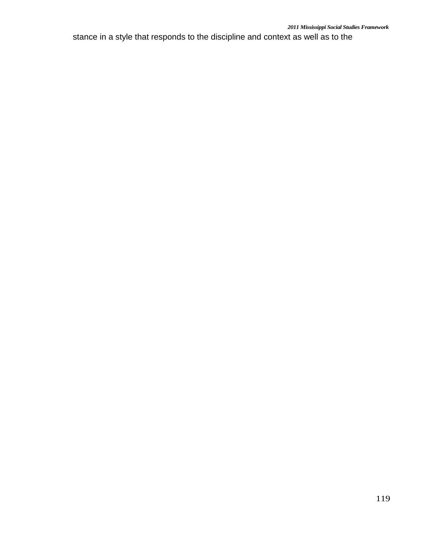stance in a style that responds to the discipline and context as well as to the